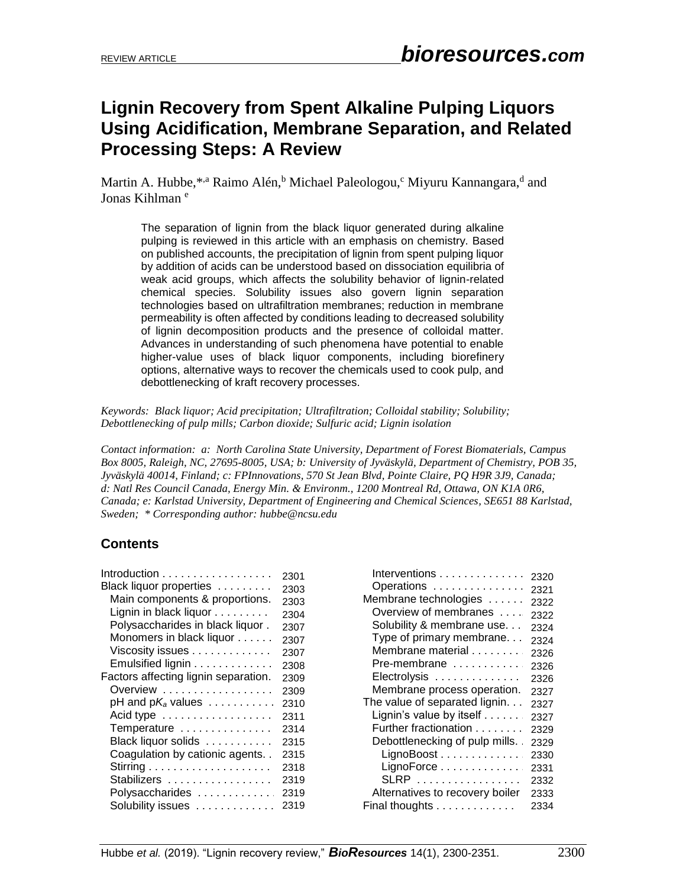# **Lignin Recovery from Spent Alkaline Pulping Liquors Using Acidification, Membrane Separation, and Related Processing Steps: A Review**

Martin A. Hubbe, \*<sup>,a</sup> Raimo Alén, <sup>b</sup> Michael Paleologou, <sup>c</sup> Miyuru Kannangara, <sup>d</sup> and Jonas Kihlman<sup>e</sup>

The separation of lignin from the black liquor generated during alkaline pulping is reviewed in this article with an emphasis on chemistry. Based on published accounts, the precipitation of lignin from spent pulping liquor by addition of acids can be understood based on dissociation equilibria of weak acid groups, which affects the solubility behavior of lignin-related chemical species. Solubility issues also govern lignin separation technologies based on ultrafiltration membranes; reduction in membrane permeability is often affected by conditions leading to decreased solubility of lignin decomposition products and the presence of colloidal matter. Advances in understanding of such phenomena have potential to enable higher-value uses of black liquor components, including biorefinery options, alternative ways to recover the chemicals used to cook pulp, and debottlenecking of kraft recovery processes.

*Keywords: Black liquor; Acid precipitation; Ultrafiltration; Colloidal stability; Solubility; Debottlenecking of pulp mills; Carbon dioxide; Sulfuric acid; Lignin isolation*

*Contact information: a: North Carolina State University, Department of Forest Biomaterials, Campus Box 8005, Raleigh, NC, 27695-8005, USA; b: University of Jyväskylä, Department of Chemistry, POB 35, Jyväskylä 40014, Finland; c: FPInnovations, 570 St Jean Blvd, Pointe Claire, PQ H9R 3J9, Canada; d: Natl Res Council Canada, Energy Min. & Environm., 1200 Montreal Rd, Ottawa, ON K1A 0R6, Canada; e: Karlstad University, Department of Engineering and Chemical Sciences, SE651 88 Karlstad, Sweden; \* Corresponding author: [hubbe@ncsu.edu](mailto:hubbe@ncsu.edu)*

# **Contents**

| Black liquor properties<br>Main components & proportions.<br>Lignin in black liquor<br>Polysaccharides in black liquor.<br>Monomers in black liquor<br>Viscosity issues<br>Emulsified lignin<br>Factors affecting lignin separation.<br>Overview<br>pH and $pK_a$ values $\ldots \ldots \ldots$<br>Acid type<br>Temperature<br>Black liquor solids<br>Coagulation by cationic agents. . | 2304<br>2307<br>2307<br>2307<br>2308<br>2309<br>2309<br>2310<br>2311<br>2314<br>2315<br>2315<br>2318 |
|-----------------------------------------------------------------------------------------------------------------------------------------------------------------------------------------------------------------------------------------------------------------------------------------------------------------------------------------------------------------------------------------|------------------------------------------------------------------------------------------------------|
|                                                                                                                                                                                                                                                                                                                                                                                         |                                                                                                      |
| Stabilizers                                                                                                                                                                                                                                                                                                                                                                             | 2319                                                                                                 |
| Polysaccharides                                                                                                                                                                                                                                                                                                                                                                         | 2319                                                                                                 |
| Solubility issues                                                                                                                                                                                                                                                                                                                                                                       | 2319                                                                                                 |

| Interventions                   | 2320 |
|---------------------------------|------|
| Operations                      | 2321 |
| Membrane technologies           | 2322 |
| Overview of membranes           | 2322 |
| Solubility & membrane use       | 2324 |
| Type of primary membrane        | 2324 |
| Membrane material               | 2326 |
| Pre-membrane                    | 2326 |
| Electrolysis                    | 2326 |
| Membrane process operation.     | 2327 |
| The value of separated lignin   | 2327 |
| Lignin's value by itself        | 2327 |
| Further fractionation           | 2329 |
| Debottlenecking of pulp mills.  | 2329 |
| LignoBoost                      | 2330 |
| LignoForce                      | 2331 |
| SLRP                            | 2332 |
| Alternatives to recovery boiler | 2333 |
| Final thoughts                  | 2334 |
|                                 |      |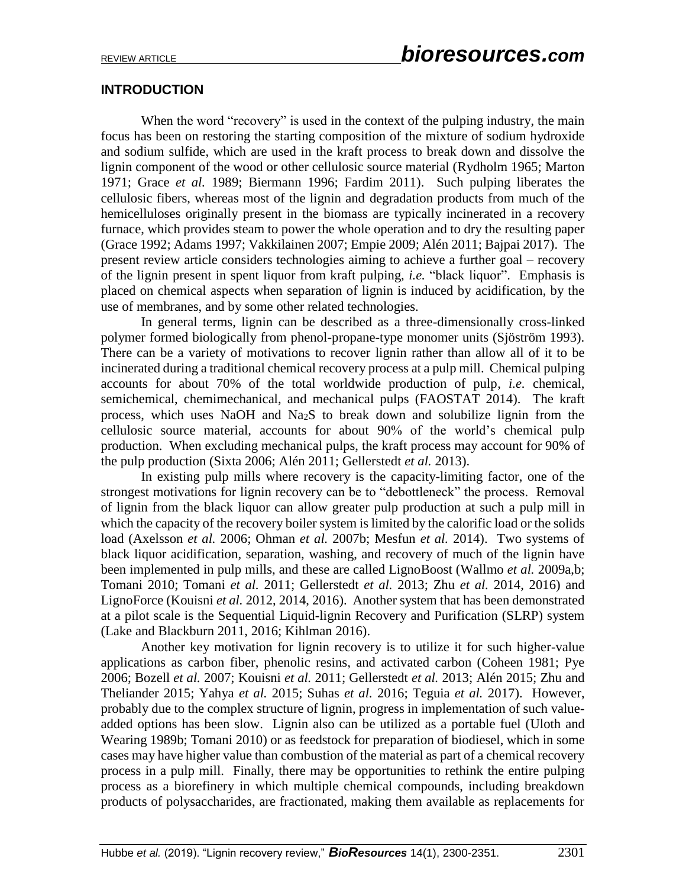### **INTRODUCTION**

When the word "recovery" is used in the context of the pulping industry, the main focus has been on restoring the starting composition of the mixture of sodium hydroxide and sodium sulfide, which are used in the kraft process to break down and dissolve the lignin component of the wood or other cellulosic source material (Rydholm 1965; Marton 1971; Grace *et al.* 1989; Biermann 1996; Fardim 2011). Such pulping liberates the cellulosic fibers, whereas most of the lignin and degradation products from much of the hemicelluloses originally present in the biomass are typically incinerated in a recovery furnace, which provides steam to power the whole operation and to dry the resulting paper (Grace 1992; Adams 1997; Vakkilainen 2007; Empie 2009; Alén 2011; Bajpai 2017). The present review article considers technologies aiming to achieve a further goal – recovery of the lignin present in spent liquor from kraft pulping, *i.e.* "black liquor". Emphasis is placed on chemical aspects when separation of lignin is induced by acidification, by the use of membranes, and by some other related technologies.

In general terms, lignin can be described as a three-dimensionally cross-linked polymer formed biologically from phenol-propane-type monomer units (Sjöström 1993). There can be a variety of motivations to recover lignin rather than allow all of it to be incinerated during a traditional chemical recovery process at a pulp mill. Chemical pulping accounts for about 70% of the total worldwide production of pulp, *i.e.* chemical, semichemical, chemimechanical, and mechanical pulps (FAOSTAT 2014). The kraft process, which uses NaOH and Na2S to break down and solubilize lignin from the cellulosic source material, accounts for about 90% of the world's chemical pulp production. When excluding mechanical pulps, the kraft process may account for 90% of the pulp production (Sixta 2006; Alén 2011; Gellerstedt *et al.* 2013).

In existing pulp mills where recovery is the capacity-limiting factor, one of the strongest motivations for lignin recovery can be to "debottleneck" the process. Removal of lignin from the black liquor can allow greater pulp production at such a pulp mill in which the capacity of the recovery boiler system is limited by the calorific load or the solids load (Axelsson *et al.* 2006; Ohman *et al.* 2007b; Mesfun *et al.* 2014). Two systems of black liquor acidification, separation, washing, and recovery of much of the lignin have been implemented in pulp mills, and these are called LignoBoost (Wallmo *et al.* 2009a,b; Tomani 2010; Tomani *et al.* 2011; Gellerstedt *et al.* 2013; Zhu *et al.* 2014, 2016) and LignoForce (Kouisni *et al.* 2012, 2014, 2016). Another system that has been demonstrated at a pilot scale is the Sequential Liquid-lignin Recovery and Purification (SLRP) system (Lake and Blackburn 2011, 2016; Kihlman 2016).

Another key motivation for lignin recovery is to utilize it for such higher-value applications as carbon fiber, phenolic resins, and activated carbon (Coheen 1981; Pye 2006; Bozell *et al.* 2007; Kouisni *et al.* 2011; Gellerstedt *et al.* 2013; Alén 2015; Zhu and Theliander 2015; Yahya *et al.* 2015; Suhas *et al.* 2016; Teguia *et al.* 2017). However, probably due to the complex structure of lignin, progress in implementation of such valueadded options has been slow. Lignin also can be utilized as a portable fuel (Uloth and Wearing 1989b; Tomani 2010) or as feedstock for preparation of biodiesel, which in some cases may have higher value than combustion of the material as part of a chemical recovery process in a pulp mill. Finally, there may be opportunities to rethink the entire pulping process as a biorefinery in which multiple chemical compounds, including breakdown products of polysaccharides, are fractionated, making them available as replacements for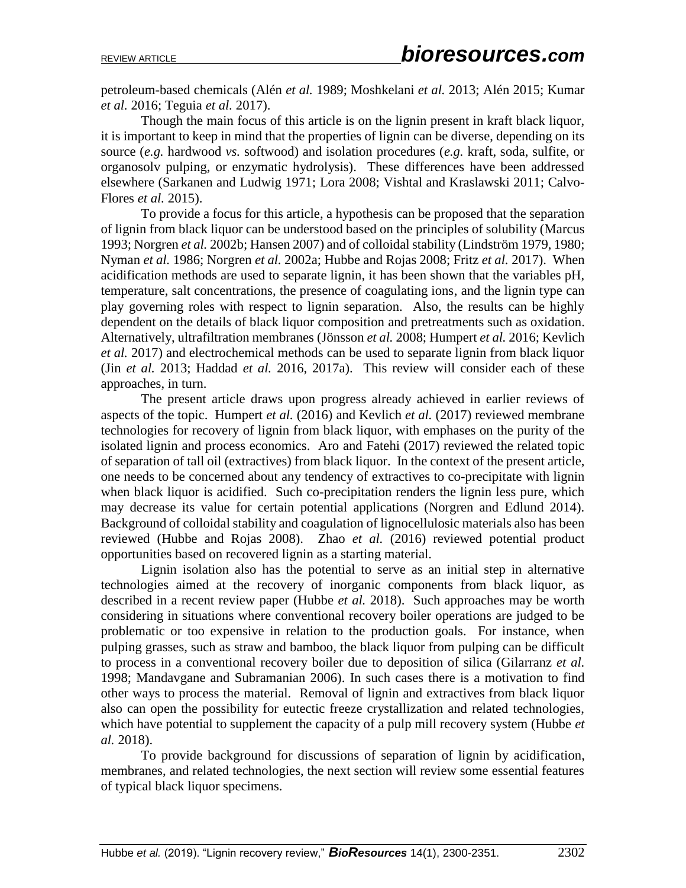petroleum-based chemicals (Alén *et al.* 1989; Moshkelani *et al.* 2013; Alén 2015; Kumar *et al.* 2016; Teguia *et al.* 2017).

Though the main focus of this article is on the lignin present in kraft black liquor, it is important to keep in mind that the properties of lignin can be diverse, depending on its source (*e.g.* hardwood *vs.* softwood) and isolation procedures (*e.g.* kraft, soda, sulfite, or organosolv pulping, or enzymatic hydrolysis). These differences have been addressed elsewhere (Sarkanen and Ludwig 1971; Lora 2008; Vishtal and Kraslawski 2011; Calvo-Flores *et al.* 2015).

To provide a focus for this article, a hypothesis can be proposed that the separation of lignin from black liquor can be understood based on the principles of solubility (Marcus 1993; Norgren *et al.* 2002b; Hansen 2007) and of colloidal stability (Lindström 1979, 1980; Nyman *et al.* 1986; Norgren *et al.* 2002a; Hubbe and Rojas 2008; Fritz *et al.* 2017). When acidification methods are used to separate lignin, it has been shown that the variables pH, temperature, salt concentrations, the presence of coagulating ions, and the lignin type can play governing roles with respect to lignin separation. Also, the results can be highly dependent on the details of black liquor composition and pretreatments such as oxidation. Alternatively, ultrafiltration membranes (Jönsson *et al.* 2008; Humpert *et al.* 2016; Kevlich *et al.* 2017) and electrochemical methods can be used to separate lignin from black liquor (Jin *et al.* 2013; Haddad *et al.* 2016, 2017a). This review will consider each of these approaches, in turn.

The present article draws upon progress already achieved in earlier reviews of aspects of the topic. Humpert *et al.* (2016) and Kevlich *et al.* (2017) reviewed membrane technologies for recovery of lignin from black liquor, with emphases on the purity of the isolated lignin and process economics. Aro and Fatehi (2017) reviewed the related topic of separation of tall oil (extractives) from black liquor. In the context of the present article, one needs to be concerned about any tendency of extractives to co-precipitate with lignin when black liquor is acidified. Such co-precipitation renders the lignin less pure, which may decrease its value for certain potential applications (Norgren and Edlund 2014). Background of colloidal stability and coagulation of lignocellulosic materials also has been reviewed (Hubbe and Rojas 2008). Zhao *et al.* (2016) reviewed potential product opportunities based on recovered lignin as a starting material.

Lignin isolation also has the potential to serve as an initial step in alternative technologies aimed at the recovery of inorganic components from black liquor, as described in a recent review paper (Hubbe *et al.* 2018). Such approaches may be worth considering in situations where conventional recovery boiler operations are judged to be problematic or too expensive in relation to the production goals. For instance, when pulping grasses, such as straw and bamboo, the black liquor from pulping can be difficult to process in a conventional recovery boiler due to deposition of silica (Gilarranz *et al.* 1998; Mandavgane and Subramanian 2006). In such cases there is a motivation to find other ways to process the material. Removal of lignin and extractives from black liquor also can open the possibility for eutectic freeze crystallization and related technologies, which have potential to supplement the capacity of a pulp mill recovery system (Hubbe *et al.* 2018).

To provide background for discussions of separation of lignin by acidification, membranes, and related technologies, the next section will review some essential features of typical black liquor specimens.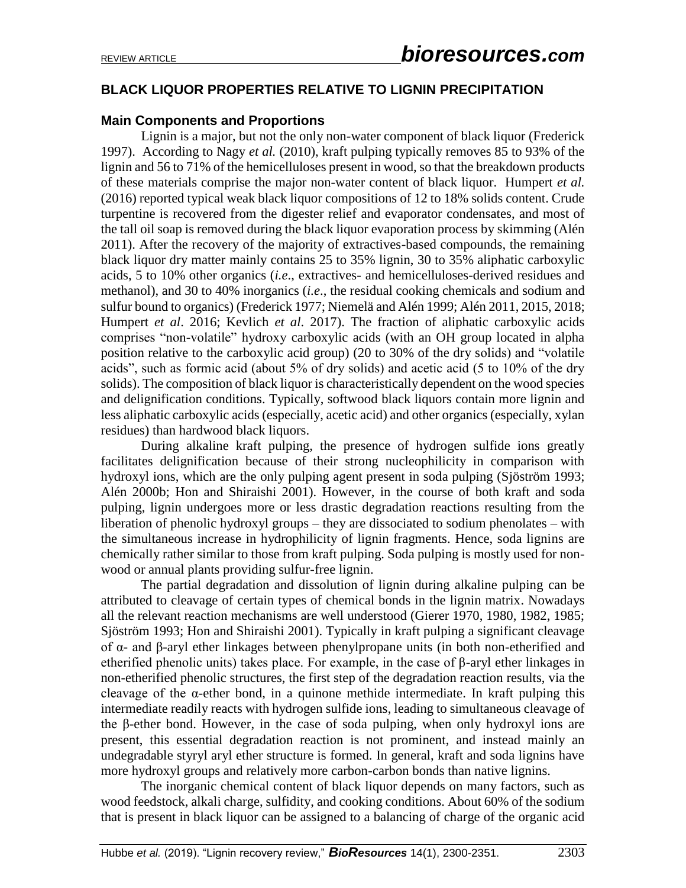# **BLACK LIQUOR PROPERTIES RELATIVE TO LIGNIN PRECIPITATION**

### **Main Components and Proportions**

Lignin is a major, but not the only non-water component of black liquor (Frederick 1997). According to Nagy *et al.* (2010), kraft pulping typically removes 85 to 93% of the lignin and 56 to 71% of the hemicelluloses present in wood, so that the breakdown products of these materials comprise the major non-water content of black liquor. Humpert *et al.* (2016) reported typical weak black liquor compositions of 12 to 18% solids content. Crude turpentine is recovered from the digester relief and evaporator condensates, and most of the tall oil soap is removed during the black liquor evaporation process by skimming (Alén 2011). After the recovery of the majority of extractives-based compounds, the remaining black liquor dry matter mainly contains 25 to 35% lignin, 30 to 35% aliphatic carboxylic acids, 5 to 10% other organics (*i.e*., extractives- and hemicelluloses-derived residues and methanol), and 30 to 40% inorganics (*i.e*., the residual cooking chemicals and sodium and sulfur bound to organics) (Frederick 1977; Niemelä and Alén 1999; Alén 2011, 2015, 2018; Humpert *et al*. 2016; Kevlich *et al*. 2017). The fraction of aliphatic carboxylic acids comprises "non-volatile" hydroxy carboxylic acids (with an OH group located in alpha position relative to the carboxylic acid group) (20 to 30% of the dry solids) and "volatile acids", such as formic acid (about 5% of dry solids) and acetic acid (5 to 10% of the dry solids). The composition of black liquor is characteristically dependent on the wood species and delignification conditions. Typically, softwood black liquors contain more lignin and less aliphatic carboxylic acids (especially, acetic acid) and other organics (especially, xylan residues) than hardwood black liquors.

During alkaline kraft pulping, the presence of hydrogen sulfide ions greatly facilitates delignification because of their strong nucleophilicity in comparison with hydroxyl ions, which are the only pulping agent present in soda pulping (Sjöström 1993; Alén 2000b; Hon and Shiraishi 2001). However, in the course of both kraft and soda pulping, lignin undergoes more or less drastic degradation reactions resulting from the liberation of phenolic hydroxyl groups – they are dissociated to sodium phenolates – with the simultaneous increase in hydrophilicity of lignin fragments. Hence, soda lignins are chemically rather similar to those from kraft pulping. Soda pulping is mostly used for nonwood or annual plants providing sulfur-free lignin.

The partial degradation and dissolution of lignin during alkaline pulping can be attributed to cleavage of certain types of chemical bonds in the lignin matrix. Nowadays all the relevant reaction mechanisms are well understood (Gierer 1970, 1980, 1982, 1985; Sjöström 1993; Hon and Shiraishi 2001). Typically in kraft pulping a significant cleavage of α- and β-aryl ether linkages between phenylpropane units (in both non-etherified and etherified phenolic units) takes place. For example, in the case of β-aryl ether linkages in non-etherified phenolic structures, the first step of the degradation reaction results, via the cleavage of the  $\alpha$ -ether bond, in a quinone methide intermediate. In kraft pulping this intermediate readily reacts with hydrogen sulfide ions, leading to simultaneous cleavage of the β-ether bond. However, in the case of soda pulping, when only hydroxyl ions are present, this essential degradation reaction is not prominent, and instead mainly an undegradable styryl aryl ether structure is formed. In general, kraft and soda lignins have more hydroxyl groups and relatively more carbon-carbon bonds than native lignins.

The inorganic chemical content of black liquor depends on many factors, such as wood feedstock, alkali charge, sulfidity, and cooking conditions. About 60% of the sodium that is present in black liquor can be assigned to a balancing of charge of the organic acid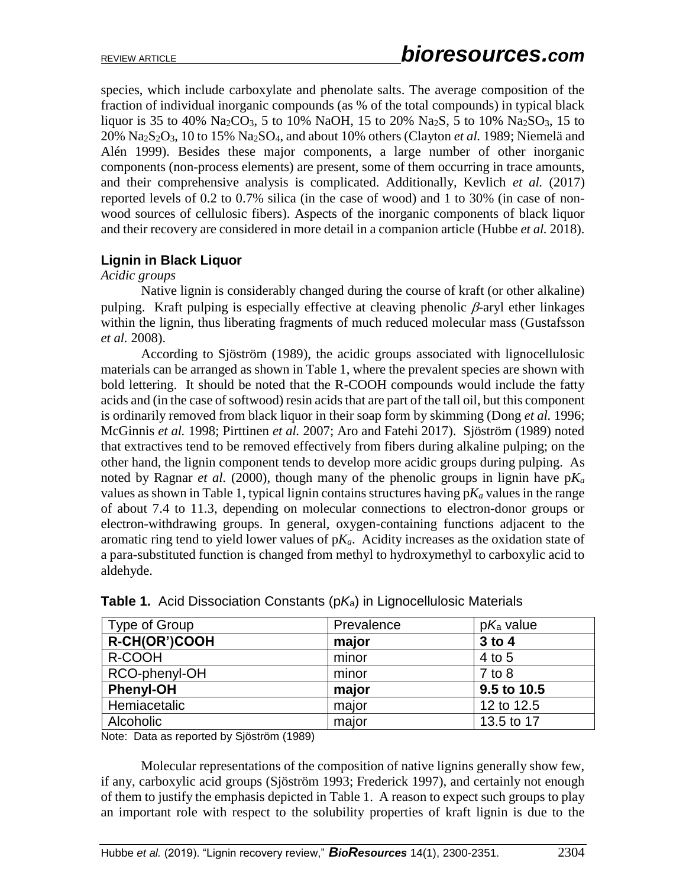species, which include carboxylate and phenolate salts. The average composition of the fraction of individual inorganic compounds (as % of the total compounds) in typical black liquor is 35 to 40% Na<sub>2</sub>CO<sub>3</sub>, 5 to 10% NaOH, 15 to 20% Na<sub>2</sub>S, 5 to 10% Na<sub>2</sub>SO<sub>3</sub>, 15 to  $20\%$  Na<sub>2</sub>S<sub>2</sub>O<sub>3</sub>, 10 to 15% Na<sub>2</sub>SO<sub>4</sub>, and about 10% others (Clayton *et al.* 1989; Niemelä and Alén 1999). Besides these major components, a large number of other inorganic components (non-process elements) are present, some of them occurring in trace amounts, and their comprehensive analysis is complicated. Additionally, Kevlich *et al.* (2017) reported levels of 0.2 to 0.7% silica (in the case of wood) and 1 to 30% (in case of nonwood sources of cellulosic fibers). Aspects of the inorganic components of black liquor and their recovery are considered in more detail in a companion article (Hubbe *et al.* 2018).

# **Lignin in Black Liquor**

*Acidic groups*

Native lignin is considerably changed during the course of kraft (or other alkaline) pulping. Kraft pulping is especially effective at cleaving phenolic  $\beta$ -aryl ether linkages within the lignin, thus liberating fragments of much reduced molecular mass (Gustafsson *et al.* 2008).

According to Sjöström (1989), the acidic groups associated with lignocellulosic materials can be arranged as shown in Table 1, where the prevalent species are shown with bold lettering. It should be noted that the R-COOH compounds would include the fatty acids and (in the case of softwood) resin acids that are part of the tall oil, but this component is ordinarily removed from black liquor in their soap form by skimming (Dong *et al.* 1996; McGinnis *et al.* 1998; Pirttinen *et al.* 2007; Aro and Fatehi 2017). Sjöström (1989) noted that extractives tend to be removed effectively from fibers during alkaline pulping; on the other hand, the lignin component tends to develop more acidic groups during pulping. As noted by Ragnar *et al.* (2000), though many of the phenolic groups in lignin have  $pK_a$ values as shown in Table 1, typical lignin contains structures having  $pK_a$  values in the range of about 7.4 to 11.3, depending on molecular connections to electron-donor groups or electron-withdrawing groups. In general, oxygen-containing functions adjacent to the aromatic ring tend to yield lower values of p*Ka*. Acidity increases as the oxidation state of a para-substituted function is changed from methyl to hydroxymethyl to carboxylic acid to aldehyde.

| Type of Group    | Prevalence | $pK_a$ value |
|------------------|------------|--------------|
| R-CH(OR')COOH    | major      | 3 to 4       |
| R-COOH           | minor      | 4 to 5       |
| RCO-phenyl-OH    | minor      | $7$ to $8$   |
| <b>Phenyl-OH</b> | major      | 9.5 to 10.5  |
| Hemiacetalic     | major      | 12 to 12.5   |
| Alcoholic        | major      | 13.5 to 17   |

|  |  | <b>Table 1.</b> Acid Dissociation Constants (p $K$ a) in Lignocellulosic Materials |  |  |  |  |  |
|--|--|------------------------------------------------------------------------------------|--|--|--|--|--|
|--|--|------------------------------------------------------------------------------------|--|--|--|--|--|

Note: Data as reported by Sjöström (1989)

Molecular representations of the composition of native lignins generally show few, if any, carboxylic acid groups (Sjöström 1993; Frederick 1997), and certainly not enough of them to justify the emphasis depicted in Table 1. A reason to expect such groups to play an important role with respect to the solubility properties of kraft lignin is due to the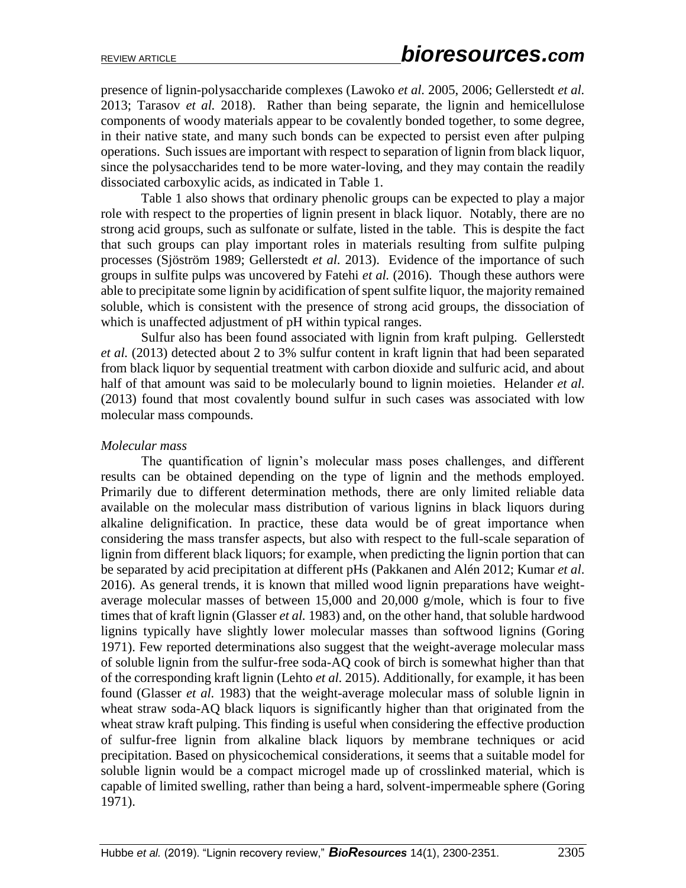presence of lignin-polysaccharide complexes (Lawoko *et al.* 2005, 2006; Gellerstedt *et al.* 2013; Tarasov *et al.* 2018). Rather than being separate, the lignin and hemicellulose components of woody materials appear to be covalently bonded together, to some degree, in their native state, and many such bonds can be expected to persist even after pulping operations. Such issues are important with respect to separation of lignin from black liquor, since the polysaccharides tend to be more water-loving, and they may contain the readily dissociated carboxylic acids, as indicated in Table 1.

Table 1 also shows that ordinary phenolic groups can be expected to play a major role with respect to the properties of lignin present in black liquor. Notably, there are no strong acid groups, such as sulfonate or sulfate, listed in the table. This is despite the fact that such groups can play important roles in materials resulting from sulfite pulping processes (Sjöström 1989; Gellerstedt *et al.* 2013). Evidence of the importance of such groups in sulfite pulps was uncovered by Fatehi *et al.* (2016). Though these authors were able to precipitate some lignin by acidification of spent sulfite liquor, the majority remained soluble, which is consistent with the presence of strong acid groups, the dissociation of which is unaffected adjustment of pH within typical ranges.

Sulfur also has been found associated with lignin from kraft pulping. Gellerstedt *et al.* (2013) detected about 2 to 3% sulfur content in kraft lignin that had been separated from black liquor by sequential treatment with carbon dioxide and sulfuric acid, and about half of that amount was said to be molecularly bound to lignin moieties. Helander *et al.*  (2013) found that most covalently bound sulfur in such cases was associated with low molecular mass compounds.

#### *Molecular mass*

The quantification of lignin's molecular mass poses challenges, and different results can be obtained depending on the type of lignin and the methods employed. Primarily due to different determination methods, there are only limited reliable data available on the molecular mass distribution of various lignins in black liquors during alkaline delignification. In practice, these data would be of great importance when considering the mass transfer aspects, but also with respect to the full-scale separation of lignin from different black liquors; for example, when predicting the lignin portion that can be separated by acid precipitation at different pHs (Pakkanen and Alén 2012; Kumar *et al*. 2016). As general trends, it is known that milled wood lignin preparations have weightaverage molecular masses of between 15,000 and 20,000 g/mole, which is four to five times that of kraft lignin (Glasser *et al.* 1983) and, on the other hand, that soluble hardwood lignins typically have slightly lower molecular masses than softwood lignins (Goring 1971). Few reported determinations also suggest that the weight-average molecular mass of soluble lignin from the sulfur-free soda-AQ cook of birch is somewhat higher than that of the corresponding kraft lignin (Lehto *et al.* 2015). Additionally, for example, it has been found (Glasser *et al.* 1983) that the weight-average molecular mass of soluble lignin in wheat straw soda-AQ black liquors is significantly higher than that originated from the wheat straw kraft pulping. This finding is useful when considering the effective production of sulfur-free lignin from alkaline black liquors by membrane techniques or acid precipitation. Based on physicochemical considerations, it seems that a suitable model for soluble lignin would be a compact microgel made up of crosslinked material, which is capable of limited swelling, rather than being a hard, solvent-impermeable sphere (Goring 1971).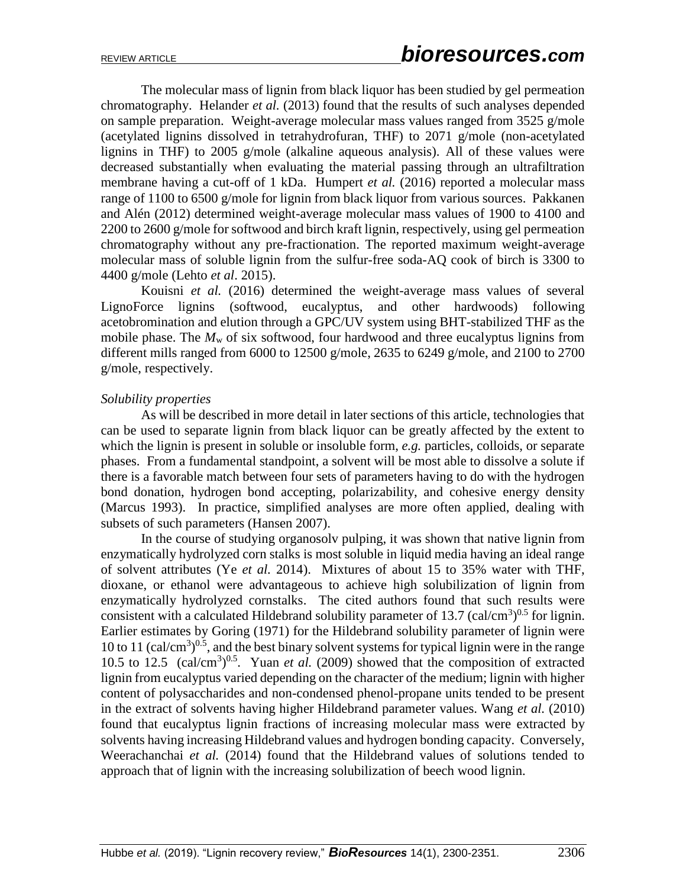The molecular mass of lignin from black liquor has been studied by gel permeation chromatography. Helander *et al.* (2013) found that the results of such analyses depended on sample preparation. Weight-average molecular mass values ranged from 3525 g/mole (acetylated lignins dissolved in tetrahydrofuran, THF) to 2071 g/mole (non-acetylated lignins in THF) to 2005 g/mole (alkaline aqueous analysis). All of these values were decreased substantially when evaluating the material passing through an ultrafiltration membrane having a cut-off of 1 kDa. Humpert *et al.* (2016) reported a molecular mass range of 1100 to 6500 g/mole for lignin from black liquor from various sources. Pakkanen and Alén (2012) determined weight-average molecular mass values of 1900 to 4100 and 2200 to 2600 g/mole for softwood and birch kraft lignin, respectively, using gel permeation chromatography without any pre-fractionation. The reported maximum weight-average molecular mass of soluble lignin from the sulfur-free soda-AQ cook of birch is 3300 to 4400 g/mole (Lehto *et al*. 2015).

Kouisni *et al.* (2016) determined the weight-average mass values of several LignoForce lignins (softwood, eucalyptus, and other hardwoods) following acetobromination and elution through a GPC/UV system using BHT-stabilized THF as the mobile phase. The  $M_w$  of six softwood, four hardwood and three eucalyptus lignins from different mills ranged from 6000 to 12500 g/mole, 2635 to 6249 g/mole, and 2100 to 2700 g/mole, respectively.

#### *Solubility properties*

As will be described in more detail in later sections of this article, technologies that can be used to separate lignin from black liquor can be greatly affected by the extent to which the lignin is present in soluble or insoluble form, *e.g.* particles, colloids, or separate phases. From a fundamental standpoint, a solvent will be most able to dissolve a solute if there is a favorable match between four sets of parameters having to do with the hydrogen bond donation, hydrogen bond accepting, polarizability, and cohesive energy density (Marcus 1993). In practice, simplified analyses are more often applied, dealing with subsets of such parameters (Hansen 2007).

In the course of studying organosolv pulping, it was shown that native lignin from enzymatically hydrolyzed corn stalks is most soluble in liquid media having an ideal range of solvent attributes (Ye *et al.* 2014). Mixtures of about 15 to 35% water with THF, dioxane, or ethanol were advantageous to achieve high solubilization of lignin from enzymatically hydrolyzed cornstalks. The cited authors found that such results were consistent with a calculated Hildebrand solubility parameter of 13.7 (cal/cm<sup>3</sup>)<sup>0.5</sup> for lignin. Earlier estimates by Goring (1971) for the Hildebrand solubility parameter of lignin were 10 to 11 (cal/cm<sup>3</sup>)<sup>0.5</sup>, and the best binary solvent systems for typical lignin were in the range 10.5 to 12.5  $\text{(cal/cm}^3)^{0.5}$ . Yuan *et al.* (2009) showed that the composition of extracted lignin from eucalyptus varied depending on the character of the medium; lignin with higher content of polysaccharides and non-condensed phenol-propane units tended to be present in the extract of solvents having higher Hildebrand parameter values. Wang *et al.* (2010) found that eucalyptus lignin fractions of increasing molecular mass were extracted by solvents having increasing Hildebrand values and hydrogen bonding capacity. Conversely, Weerachanchai *et al.* (2014) found that the Hildebrand values of solutions tended to approach that of lignin with the increasing solubilization of beech wood lignin.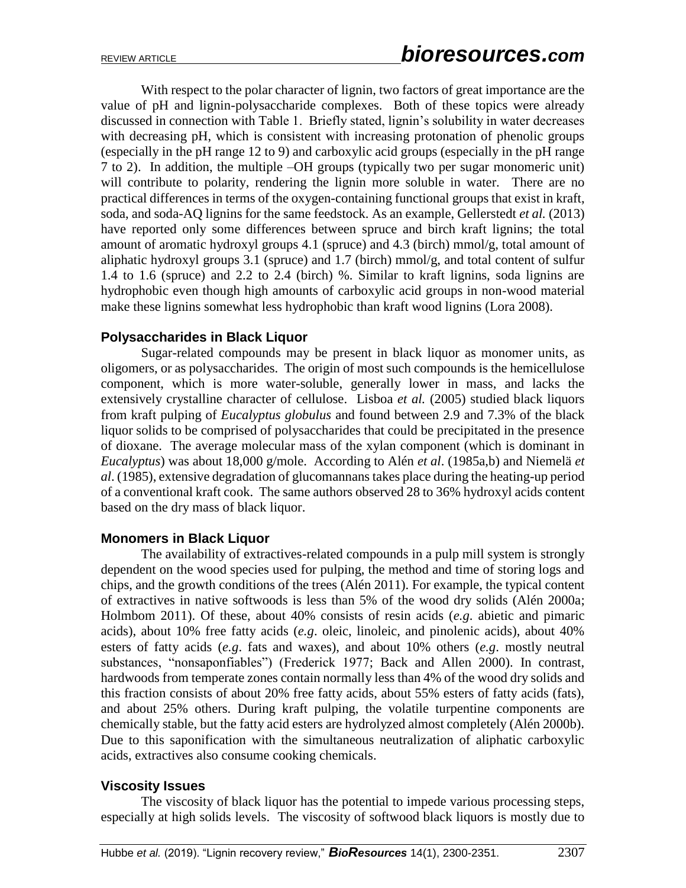With respect to the polar character of lignin, two factors of great importance are the value of pH and lignin-polysaccharide complexes. Both of these topics were already discussed in connection with Table 1. Briefly stated, lignin's solubility in water decreases with decreasing pH, which is consistent with increasing protonation of phenolic groups (especially in the pH range 12 to 9) and carboxylic acid groups (especially in the pH range 7 to 2). In addition, the multiple –OH groups (typically two per sugar monomeric unit) will contribute to polarity, rendering the lignin more soluble in water. There are no practical differences in terms of the oxygen-containing functional groups that exist in kraft, soda, and soda-AQ lignins for the same feedstock. As an example, Gellerstedt *et al.* (2013) have reported only some differences between spruce and birch kraft lignins; the total amount of aromatic hydroxyl groups 4.1 (spruce) and 4.3 (birch) mmol/g, total amount of aliphatic hydroxyl groups 3.1 (spruce) and 1.7 (birch)  $mmol/g$ , and total content of sulfur 1.4 to 1.6 (spruce) and 2.2 to 2.4 (birch) %. Similar to kraft lignins, soda lignins are hydrophobic even though high amounts of carboxylic acid groups in non-wood material make these lignins somewhat less hydrophobic than kraft wood lignins (Lora 2008).

### **Polysaccharides in Black Liquor**

Sugar-related compounds may be present in black liquor as monomer units, as oligomers, or as polysaccharides. The origin of most such compounds is the hemicellulose component, which is more water-soluble, generally lower in mass, and lacks the extensively crystalline character of cellulose. Lisboa *et al.* (2005) studied black liquors from kraft pulping of *Eucalyptus globulus* and found between 2.9 and 7.3% of the black liquor solids to be comprised of polysaccharides that could be precipitated in the presence of dioxane. The average molecular mass of the xylan component (which is dominant in *Eucalyptus*) was about 18,000 g/mole. According to Alén *et al*. (1985a,b) and Niemelä *et al*. (1985), extensive degradation of glucomannans takes place during the heating-up period of a conventional kraft cook. The same authors observed 28 to 36% hydroxyl acids content based on the dry mass of black liquor.

### **Monomers in Black Liquor**

The availability of extractives-related compounds in a pulp mill system is strongly dependent on the wood species used for pulping, the method and time of storing logs and chips, and the growth conditions of the trees (Alén 2011). For example, the typical content of extractives in native softwoods is less than 5% of the wood dry solids (Alén 2000a; Holmbom 2011). Of these, about 40% consists of resin acids (*e.g*. abietic and pimaric acids), about 10% free fatty acids (*e.g*. oleic, linoleic, and pinolenic acids), about 40% esters of fatty acids (*e.g*. fats and waxes), and about 10% others (*e.g*. mostly neutral substances, "nonsaponfiables") (Frederick 1977; Back and Allen 2000). In contrast, hardwoods from temperate zones contain normally less than 4% of the wood dry solids and this fraction consists of about 20% free fatty acids, about 55% esters of fatty acids (fats), and about 25% others. During kraft pulping, the volatile turpentine components are chemically stable, but the fatty acid esters are hydrolyzed almost completely (Alén 2000b). Due to this saponification with the simultaneous neutralization of aliphatic carboxylic acids, extractives also consume cooking chemicals.

### **Viscosity Issues**

The viscosity of black liquor has the potential to impede various processing steps, especially at high solids levels. The viscosity of softwood black liquors is mostly due to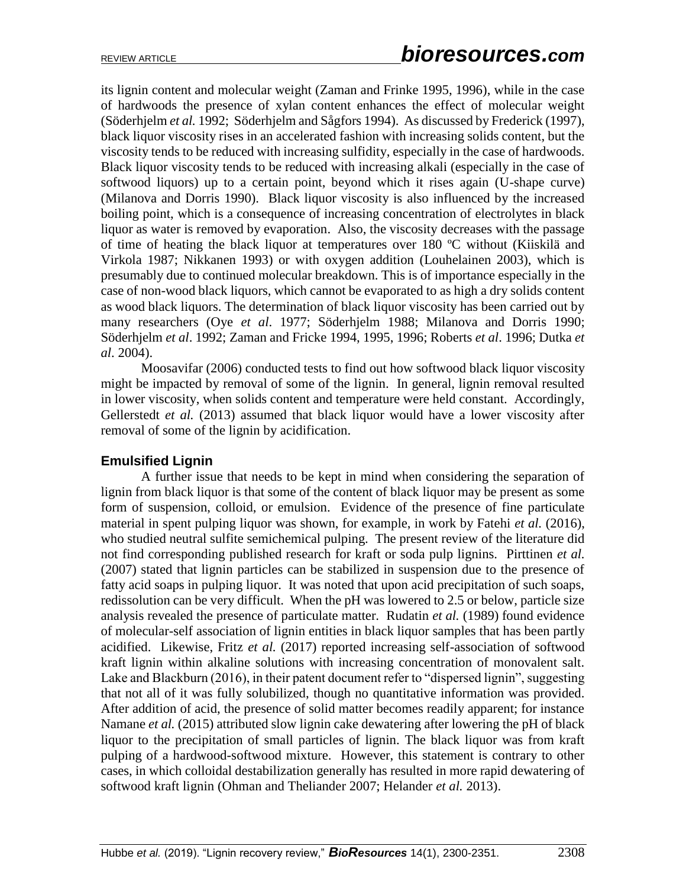its lignin content and molecular weight (Zaman and Frinke 1995, 1996), while in the case of hardwoods the presence of xylan content enhances the effect of molecular weight (Söderhjelm *et al.* 1992; Söderhjelm and Sågfors 1994). As discussed by Frederick (1997), black liquor viscosity rises in an accelerated fashion with increasing solids content, but the viscosity tends to be reduced with increasing sulfidity, especially in the case of hardwoods. Black liquor viscosity tends to be reduced with increasing alkali (especially in the case of softwood liquors) up to a certain point, beyond which it rises again (U-shape curve) (Milanova and Dorris 1990). Black liquor viscosity is also influenced by the increased boiling point, which is a consequence of increasing concentration of electrolytes in black liquor as water is removed by evaporation. Also, the viscosity decreases with the passage of time of heating the black liquor at temperatures over 180 ºC without (Kiiskilä and Virkola 1987; Nikkanen 1993) or with oxygen addition (Louhelainen 2003), which is presumably due to continued molecular breakdown. This is of importance especially in the case of non-wood black liquors, which cannot be evaporated to as high a dry solids content as wood black liquors. The determination of black liquor viscosity has been carried out by many researchers (Oye *et al*. 1977; Söderhjelm 1988; Milanova and Dorris 1990; Söderhjelm *et al*. 1992; Zaman and Fricke 1994, 1995, 1996; Roberts *et al*. 1996; Dutka *et al*. 2004).

Moosavifar (2006) conducted tests to find out how softwood black liquor viscosity might be impacted by removal of some of the lignin. In general, lignin removal resulted in lower viscosity, when solids content and temperature were held constant. Accordingly, Gellerstedt *et al.* (2013) assumed that black liquor would have a lower viscosity after removal of some of the lignin by acidification.

### **Emulsified Lignin**

A further issue that needs to be kept in mind when considering the separation of lignin from black liquor is that some of the content of black liquor may be present as some form of suspension, colloid, or emulsion. Evidence of the presence of fine particulate material in spent pulping liquor was shown, for example, in work by Fatehi *et al.* (2016), who studied neutral sulfite semichemical pulping. The present review of the literature did not find corresponding published research for kraft or soda pulp lignins. Pirttinen *et al.*  (2007) stated that lignin particles can be stabilized in suspension due to the presence of fatty acid soaps in pulping liquor. It was noted that upon acid precipitation of such soaps, redissolution can be very difficult. When the pH was lowered to 2.5 or below, particle size analysis revealed the presence of particulate matter. Rudatin *et al.* (1989) found evidence of molecular-self association of lignin entities in black liquor samples that has been partly acidified. Likewise, Fritz *et al.* (2017) reported increasing self-association of softwood kraft lignin within alkaline solutions with increasing concentration of monovalent salt. Lake and Blackburn (2016), in their patent document refer to "dispersed lignin", suggesting that not all of it was fully solubilized, though no quantitative information was provided. After addition of acid, the presence of solid matter becomes readily apparent; for instance Namane *et al.* (2015) attributed slow lignin cake dewatering after lowering the pH of black liquor to the precipitation of small particles of lignin. The black liquor was from kraft pulping of a hardwood-softwood mixture. However, this statement is contrary to other cases, in which colloidal destabilization generally has resulted in more rapid dewatering of softwood kraft lignin (Ohman and Theliander 2007; Helander *et al.* 2013).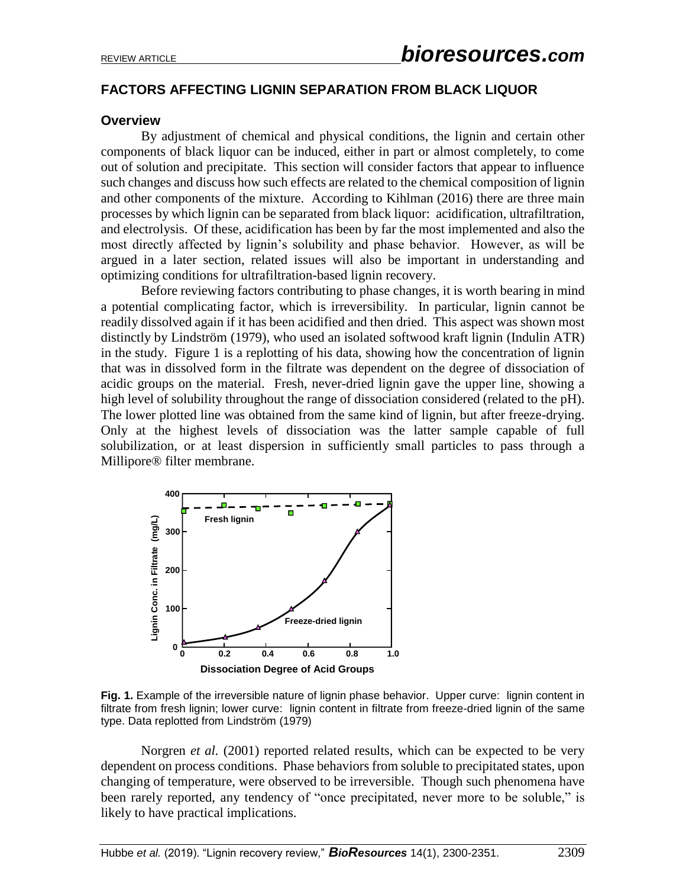# **FACTORS AFFECTING LIGNIN SEPARATION FROM BLACK LIQUOR**

#### **Overview**

By adjustment of chemical and physical conditions, the lignin and certain other components of black liquor can be induced, either in part or almost completely, to come out of solution and precipitate. This section will consider factors that appear to influence such changes and discuss how such effects are related to the chemical composition of lignin and other components of the mixture. According to Kihlman (2016) there are three main processes by which lignin can be separated from black liquor: acidification, ultrafiltration, and electrolysis. Of these, acidification has been by far the most implemented and also the most directly affected by lignin's solubility and phase behavior. However, as will be argued in a later section, related issues will also be important in understanding and optimizing conditions for ultrafiltration-based lignin recovery.

Before reviewing factors contributing to phase changes, it is worth bearing in mind a potential complicating factor, which is irreversibility. In particular, lignin cannot be readily dissolved again if it has been acidified and then dried. This aspect was shown most distinctly by Lindström (1979), who used an isolated softwood kraft lignin (Indulin ATR) in the study. Figure 1 is a replotting of his data, showing how the concentration of lignin that was in dissolved form in the filtrate was dependent on the degree of dissociation of acidic groups on the material. Fresh, never-dried lignin gave the upper line, showing a high level of solubility throughout the range of dissociation considered (related to the pH). The lower plotted line was obtained from the same kind of lignin, but after freeze-drying. Only at the highest levels of dissociation was the latter sample capable of full solubilization, or at least dispersion in sufficiently small particles to pass through a Millipore® filter membrane.



**Fig. 1.** Example of the irreversible nature of lignin phase behavior. Upper curve: lignin content in filtrate from fresh lignin; lower curve: lignin content in filtrate from freeze-dried lignin of the same type. Data replotted from Lindström (1979)

Norgren *et al.* (2001) reported related results, which can be expected to be very dependent on process conditions. Phase behaviors from soluble to precipitated states, upon changing of temperature, were observed to be irreversible. Though such phenomena have been rarely reported, any tendency of "once precipitated, never more to be soluble," is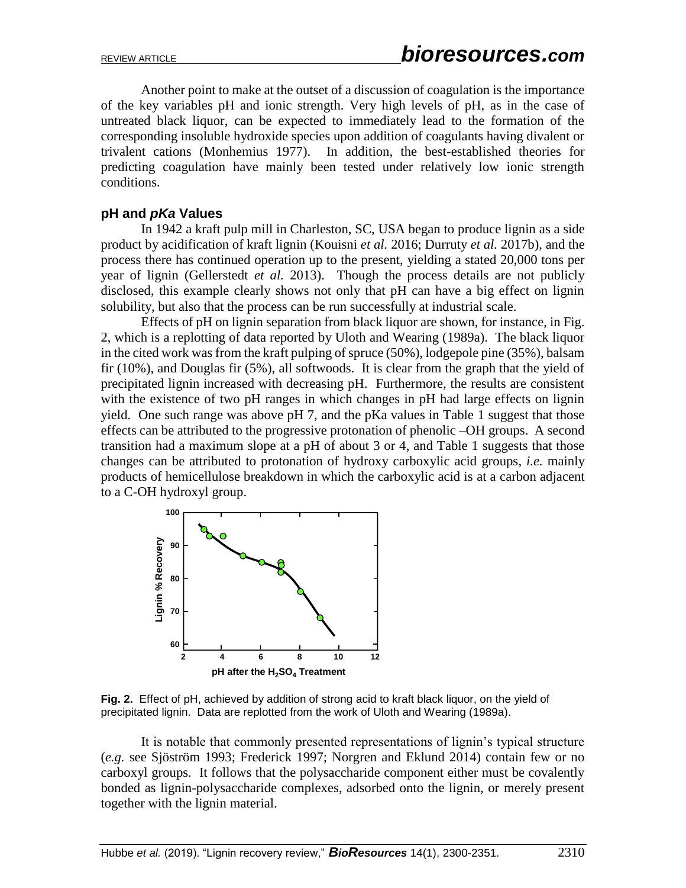Another point to make at the outset of a discussion of coagulation is the importance of the key variables pH and ionic strength. Very high levels of pH, as in the case of untreated black liquor, can be expected to immediately lead to the formation of the corresponding insoluble hydroxide species upon addition of coagulants having divalent or trivalent cations (Monhemius 1977). In addition, the best-established theories for predicting coagulation have mainly been tested under relatively low ionic strength conditions.

#### **pH and** *pKa* **Values**

In 1942 a kraft pulp mill in Charleston, SC, USA began to produce lignin as a side product by acidification of kraft lignin (Kouisni *et al.* 2016; Durruty *et al.* 2017b), and the process there has continued operation up to the present, yielding a stated 20,000 tons per year of lignin (Gellerstedt *et al.* 2013). Though the process details are not publicly disclosed, this example clearly shows not only that pH can have a big effect on lignin solubility, but also that the process can be run successfully at industrial scale.

Effects of pH on lignin separation from black liquor are shown, for instance, in Fig. 2, which is a replotting of data reported by Uloth and Wearing (1989a). The black liquor in the cited work was from the kraft pulping of spruce (50%), lodgepole pine (35%), balsam fir (10%), and Douglas fir (5%), all softwoods. It is clear from the graph that the yield of precipitated lignin increased with decreasing pH. Furthermore, the results are consistent with the existence of two pH ranges in which changes in pH had large effects on lignin yield. One such range was above pH 7, and the pKa values in Table 1 suggest that those effects can be attributed to the progressive protonation of phenolic –OH groups. A second transition had a maximum slope at a pH of about 3 or 4, and Table 1 suggests that those changes can be attributed to protonation of hydroxy carboxylic acid groups, *i.e.* mainly products of hemicellulose breakdown in which the carboxylic acid is at a carbon adjacent to a C-OH hydroxyl group.



**Fig. 2.** Effect of pH, achieved by addition of strong acid to kraft black liquor, on the yield of precipitated lignin. Data are replotted from the work of Uloth and Wearing (1989a).

It is notable that commonly presented representations of lignin's typical structure (*e.g.* see Sjöström 1993; Frederick 1997; Norgren and Eklund 2014) contain few or no carboxyl groups. It follows that the polysaccharide component either must be covalently bonded as lignin-polysaccharide complexes, adsorbed onto the lignin, or merely present together with the lignin material.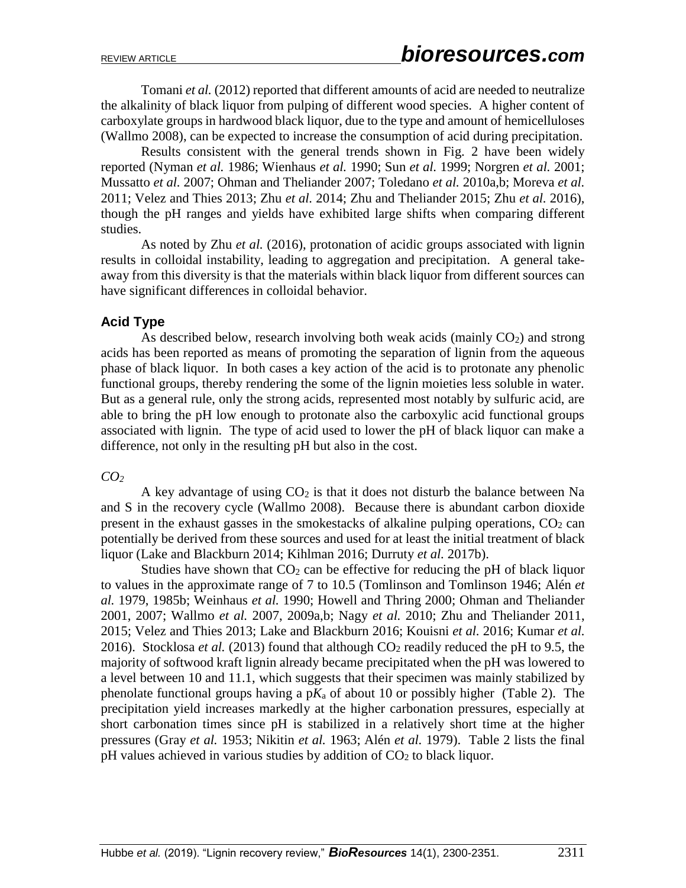Tomani *et al.* (2012) reported that different amounts of acid are needed to neutralize the alkalinity of black liquor from pulping of different wood species. A higher content of carboxylate groups in hardwood black liquor, due to the type and amount of hemicelluloses (Wallmo 2008), can be expected to increase the consumption of acid during precipitation.

Results consistent with the general trends shown in Fig. 2 have been widely reported (Nyman *et al.* 1986; Wienhaus *et al.* 1990; Sun *et al.* 1999; Norgren *et al.* 2001; Mussatto *et al.* 2007; Ohman and Theliander 2007; Toledano *et al.* 2010a,b; Moreva *et al.* 2011; Velez and Thies 2013; Zhu *et al.* 2014; Zhu and Theliander 2015; Zhu *et al.* 2016), though the pH ranges and yields have exhibited large shifts when comparing different studies.

As noted by Zhu *et al.* (2016), protonation of acidic groups associated with lignin results in colloidal instability, leading to aggregation and precipitation. A general takeaway from this diversity is that the materials within black liquor from different sources can have significant differences in colloidal behavior.

### **Acid Type**

As described below, research involving both weak acids (mainly  $CO<sub>2</sub>$ ) and strong acids has been reported as means of promoting the separation of lignin from the aqueous phase of black liquor. In both cases a key action of the acid is to protonate any phenolic functional groups, thereby rendering the some of the lignin moieties less soluble in water. But as a general rule, only the strong acids, represented most notably by sulfuric acid, are able to bring the pH low enough to protonate also the carboxylic acid functional groups associated with lignin. The type of acid used to lower the pH of black liquor can make a difference, not only in the resulting pH but also in the cost.

### *CO<sup>2</sup>*

A key advantage of using  $CO<sub>2</sub>$  is that it does not disturb the balance between Na and S in the recovery cycle (Wallmo 2008). Because there is abundant carbon dioxide present in the exhaust gasses in the smokestacks of alkaline pulping operations,  $CO<sub>2</sub>$  can potentially be derived from these sources and used for at least the initial treatment of black liquor (Lake and Blackburn 2014; Kihlman 2016; Durruty *et al.* 2017b).

Studies have shown that  $CO<sub>2</sub>$  can be effective for reducing the pH of black liquor to values in the approximate range of 7 to 10.5 (Tomlinson and Tomlinson 1946; Alén *et al.* 1979, 1985b; Weinhaus *et al.* 1990; Howell and Thring 2000; Ohman and Theliander 2001, 2007; Wallmo *et al.* 2007, 2009a,b; Nagy *et al.* 2010; Zhu and Theliander 2011, 2015; Velez and Thies 2013; Lake and Blackburn 2016; Kouisni *et al.* 2016; Kumar *et al.*  2016). Stocklosa *et al.* (2013) found that although CO<sub>2</sub> readily reduced the pH to 9.5, the majority of softwood kraft lignin already became precipitated when the pH was lowered to a level between 10 and 11.1, which suggests that their specimen was mainly stabilized by phenolate functional groups having a  $pK_a$  of about 10 or possibly higher (Table 2). The precipitation yield increases markedly at the higher carbonation pressures, especially at short carbonation times since pH is stabilized in a relatively short time at the higher pressures (Gray *et al.* 1953; Nikitin *et al.* 1963; Alén *et al.* 1979). Table 2 lists the final  $pH$  values achieved in various studies by addition of  $CO<sub>2</sub>$  to black liquor.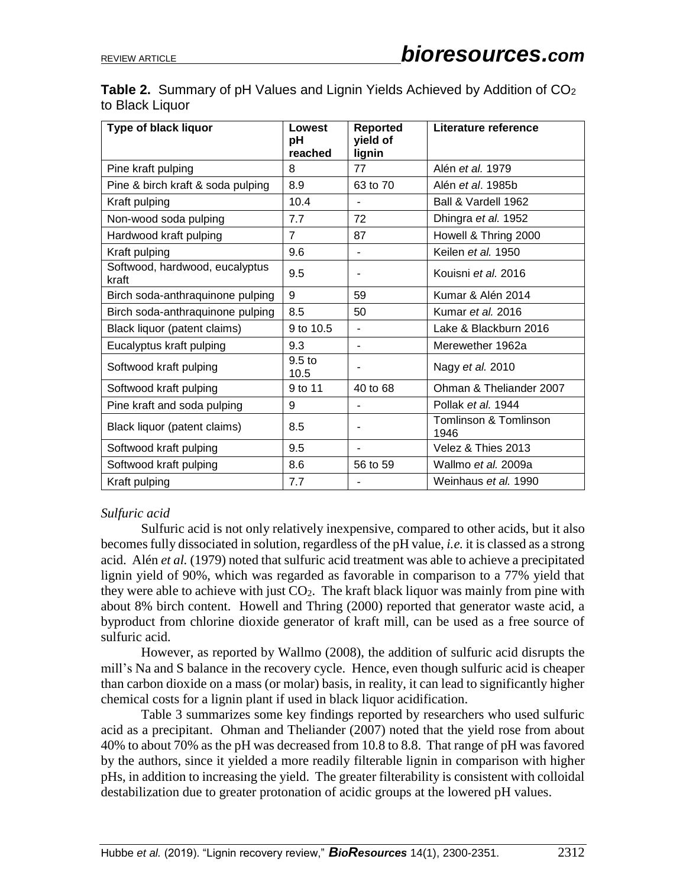| Type of black liquor                    | Lowest<br>pН<br>reached   | Reported<br>yield of<br>lignin | Literature reference          |
|-----------------------------------------|---------------------------|--------------------------------|-------------------------------|
| Pine kraft pulping                      | 8                         | 77                             | Alén et al. 1979              |
| Pine & birch kraft & soda pulping       | 8.9                       | 63 to 70                       | Alén <i>et al.</i> 1985b      |
| Kraft pulping                           | 10.4                      |                                | Ball & Vardell 1962           |
| Non-wood soda pulping                   | 7.7                       | 72                             | Dhingra et al. 1952           |
| Hardwood kraft pulping                  | 7                         | 87                             | Howell & Thring 2000          |
| Kraft pulping                           | 9.6                       |                                | Keilen et al. 1950            |
| Softwood, hardwood, eucalyptus<br>kraft | 9.5                       |                                | Kouisni et al. 2016           |
| Birch soda-anthraquinone pulping        | 9                         | 59                             | Kumar & Alén 2014             |
| Birch soda-anthraquinone pulping        | 8.5                       | 50                             | Kumar et al. 2016             |
| Black liquor (patent claims)            | 9 to 10.5                 |                                | Lake & Blackburn 2016         |
| Eucalyptus kraft pulping                | 9.3                       |                                | Merewether 1962a              |
| Softwood kraft pulping                  | 9.5 <sub>to</sub><br>10.5 |                                | Nagy et al. 2010              |
| Softwood kraft pulping                  | 9 to 11                   | 40 to 68                       | Ohman & Theliander 2007       |
| Pine kraft and soda pulping             | 9                         |                                | Pollak et al. 1944            |
| Black liquor (patent claims)            | 8.5                       |                                | Tomlinson & Tomlinson<br>1946 |
| Softwood kraft pulping                  | 9.5                       |                                | Velez & Thies 2013            |
| Softwood kraft pulping                  | 8.6                       | 56 to 59                       | Wallmo et al. 2009a           |
| Kraft pulping                           | 7.7                       |                                | Weinhaus et al. 1990          |

**Table 2.** Summary of pH Values and Lignin Yields Achieved by Addition of CO<sub>2</sub> to Black Liquor

### *Sulfuric acid*

Sulfuric acid is not only relatively inexpensive, compared to other acids, but it also becomes fully dissociated in solution, regardless of the pH value, *i.e.* it is classed as a strong acid. Alén *et al.* (1979) noted that sulfuric acid treatment was able to achieve a precipitated lignin yield of 90%, which was regarded as favorable in comparison to a 77% yield that they were able to achieve with just  $CO<sub>2</sub>$ . The kraft black liquor was mainly from pine with about 8% birch content. Howell and Thring (2000) reported that generator waste acid, a byproduct from chlorine dioxide generator of kraft mill, can be used as a free source of sulfuric acid.

However, as reported by Wallmo (2008), the addition of sulfuric acid disrupts the mill's Na and S balance in the recovery cycle. Hence, even though sulfuric acid is cheaper than carbon dioxide on a mass (or molar) basis, in reality, it can lead to significantly higher chemical costs for a lignin plant if used in black liquor acidification.

Table 3 summarizes some key findings reported by researchers who used sulfuric acid as a precipitant. Ohman and Theliander (2007) noted that the yield rose from about 40% to about 70% as the pH was decreased from 10.8 to 8.8. That range of pH was favored by the authors, since it yielded a more readily filterable lignin in comparison with higher pHs, in addition to increasing the yield. The greater filterability is consistent with colloidal destabilization due to greater protonation of acidic groups at the lowered pH values.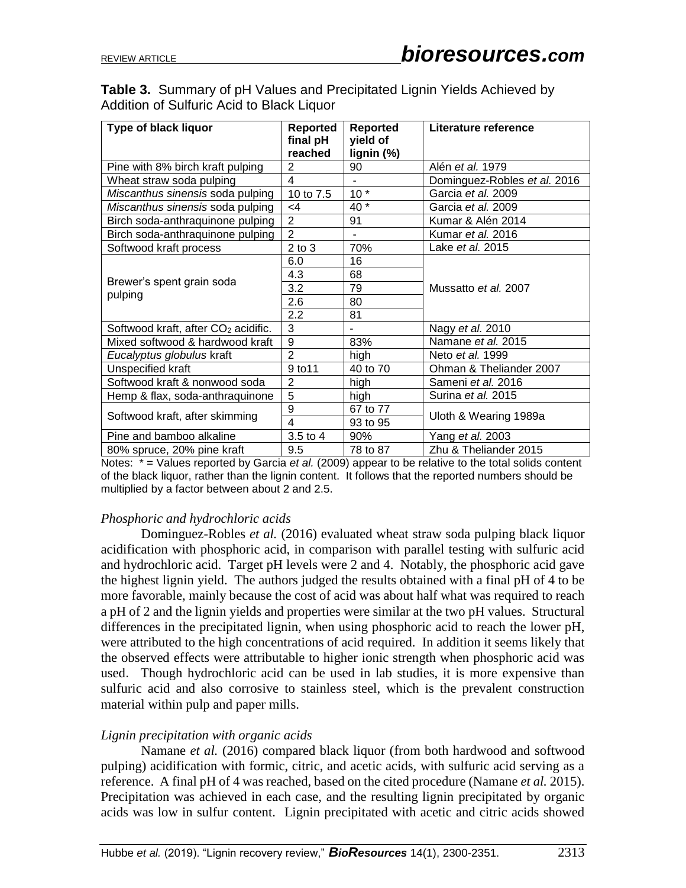# **Table 3.** Summary of pH Values and Precipitated Lignin Yields Achieved by Addition of Sulfuric Acid to Black Liquor

| Type of black liquor                            | Reported<br>final pH<br>reached | <b>Reported</b><br>yield of<br>lignin (%) | Literature reference         |
|-------------------------------------------------|---------------------------------|-------------------------------------------|------------------------------|
| Pine with 8% birch kraft pulping                | 2                               | 90                                        | Alén et al. 1979             |
| Wheat straw soda pulping                        | 4                               |                                           | Dominguez-Robles et al. 2016 |
| Miscanthus sinensis soda pulping                | 10 to 7.5                       | $10*$                                     | Garcia et al. 2009           |
| Miscanthus sinensis soda pulping                | $\leq 4$                        | $40*$                                     | Garcia et al. 2009           |
| Birch soda-anthraquinone pulping                | $\overline{2}$                  | 91                                        | Kumar & Alén 2014            |
| Birch soda-anthraquinone pulping                | $\mathcal{P}$                   |                                           | Kumar et al. 2016            |
| Softwood kraft process                          | $2$ to $3$                      | 70%                                       | Lake et al. 2015             |
|                                                 | 6.0                             | 16                                        |                              |
|                                                 | 4.3                             | 68                                        |                              |
| Brewer's spent grain soda                       | 3.2                             | 79                                        | Mussatto et al. 2007         |
| pulping                                         | 2.6                             | 80                                        |                              |
|                                                 | 2.2                             | 81                                        |                              |
| Softwood kraft, after CO <sub>2</sub> acidific. | 3                               |                                           | Nagy et al. 2010             |
| Mixed softwood & hardwood kraft                 | 9                               | 83%                                       | Namane et al. 2015           |
| Eucalyptus globulus kraft                       | $\overline{2}$                  | high                                      | Neto et al. 1999             |
| Unspecified kraft                               | 9 to 11                         | 40 to 70                                  | Ohman & Theliander 2007      |
| Softwood kraft & nonwood soda                   | $\overline{2}$                  | high                                      | Sameni et al. 2016           |
| Hemp & flax, soda-anthraquinone                 | $\overline{5}$                  | high                                      | Surina et al. 2015           |
|                                                 | 9                               | 67 to 77                                  |                              |
| Softwood kraft, after skimming                  | $\overline{\mathbf{4}}$         | 93 to 95                                  | Uloth & Wearing 1989a        |
| Pine and bamboo alkaline                        | 3.5 to 4                        | 90%                                       | Yang et al. 2003             |
| 80% spruce, 20% pine kraft                      | 9.5                             | 78 to 87                                  | Zhu & Theliander 2015        |

Notes: \* = Values reported by Garcia *et al.* (2009) appear to be relative to the total solids content of the black liquor, rather than the lignin content. It follows that the reported numbers should be multiplied by a factor between about 2 and 2.5.

### *Phosphoric and hydrochloric acids*

Dominguez-Robles *et al.* (2016) evaluated wheat straw soda pulping black liquor acidification with phosphoric acid, in comparison with parallel testing with sulfuric acid and hydrochloric acid. Target pH levels were 2 and 4. Notably, the phosphoric acid gave the highest lignin yield. The authors judged the results obtained with a final pH of 4 to be more favorable, mainly because the cost of acid was about half what was required to reach a pH of 2 and the lignin yields and properties were similar at the two pH values. Structural differences in the precipitated lignin, when using phosphoric acid to reach the lower pH, were attributed to the high concentrations of acid required. In addition it seems likely that the observed effects were attributable to higher ionic strength when phosphoric acid was used. Though hydrochloric acid can be used in lab studies, it is more expensive than sulfuric acid and also corrosive to stainless steel, which is the prevalent construction material within pulp and paper mills.

### *Lignin precipitation with organic acids*

Namane *et al.* (2016) compared black liquor (from both hardwood and softwood pulping) acidification with formic, citric, and acetic acids, with sulfuric acid serving as a reference. A final pH of 4 was reached, based on the cited procedure (Namane *et al.* 2015). Precipitation was achieved in each case, and the resulting lignin precipitated by organic acids was low in sulfur content. Lignin precipitated with acetic and citric acids showed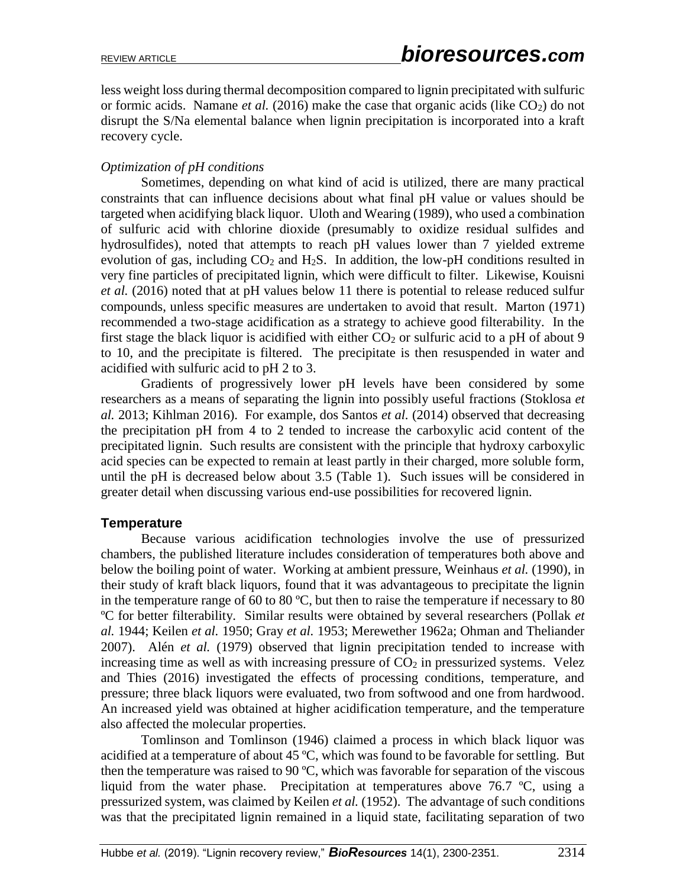less weight loss during thermal decomposition compared to lignin precipitated with sulfuric or formic acids. Namane *et al.* (2016) make the case that organic acids (like CO<sub>2</sub>) do not disrupt the S/Na elemental balance when lignin precipitation is incorporated into a kraft recovery cycle.

#### *Optimization of pH conditions*

Sometimes, depending on what kind of acid is utilized, there are many practical constraints that can influence decisions about what final pH value or values should be targeted when acidifying black liquor. Uloth and Wearing (1989), who used a combination of sulfuric acid with chlorine dioxide (presumably to oxidize residual sulfides and hydrosulfides), noted that attempts to reach pH values lower than 7 yielded extreme evolution of gas, including  $CO_2$  and  $H_2S$ . In addition, the low-pH conditions resulted in very fine particles of precipitated lignin, which were difficult to filter. Likewise, Kouisni *et al.* (2016) noted that at pH values below 11 there is potential to release reduced sulfur compounds, unless specific measures are undertaken to avoid that result. Marton (1971) recommended a two-stage acidification as a strategy to achieve good filterability. In the first stage the black liquor is acidified with either  $CO<sub>2</sub>$  or sulfuric acid to a pH of about 9 to 10, and the precipitate is filtered. The precipitate is then resuspended in water and acidified with sulfuric acid to pH 2 to 3.

Gradients of progressively lower pH levels have been considered by some researchers as a means of separating the lignin into possibly useful fractions (Stoklosa *et al.* 2013; Kihlman 2016). For example, dos Santos *et al.* (2014) observed that decreasing the precipitation pH from 4 to 2 tended to increase the carboxylic acid content of the precipitated lignin. Such results are consistent with the principle that hydroxy carboxylic acid species can be expected to remain at least partly in their charged, more soluble form, until the pH is decreased below about 3.5 (Table 1). Such issues will be considered in greater detail when discussing various end-use possibilities for recovered lignin.

#### **Temperature**

Because various acidification technologies involve the use of pressurized chambers, the published literature includes consideration of temperatures both above and below the boiling point of water. Working at ambient pressure, Weinhaus *et al.* (1990), in their study of kraft black liquors, found that it was advantageous to precipitate the lignin in the temperature range of 60 to 80  $^{\circ}C$ , but then to raise the temperature if necessary to 80 ºC for better filterability. Similar results were obtained by several researchers (Pollak *et al.* 1944; Keilen *et al.* 1950; Gray *et al.* 1953; Merewether 1962a; Ohman and Theliander 2007). Alén *et al.* (1979) observed that lignin precipitation tended to increase with increasing time as well as with increasing pressure of  $CO<sub>2</sub>$  in pressurized systems. Velez and Thies (2016) investigated the effects of processing conditions, temperature, and pressure; three black liquors were evaluated, two from softwood and one from hardwood. An increased yield was obtained at higher acidification temperature, and the temperature also affected the molecular properties.

Tomlinson and Tomlinson (1946) claimed a process in which black liquor was acidified at a temperature of about 45 ºC, which was found to be favorable for settling. But then the temperature was raised to 90 ºC, which was favorable for separation of the viscous liquid from the water phase. Precipitation at temperatures above 76.7 ºC, using a pressurized system, was claimed by Keilen *et al.* (1952). The advantage of such conditions was that the precipitated lignin remained in a liquid state, facilitating separation of two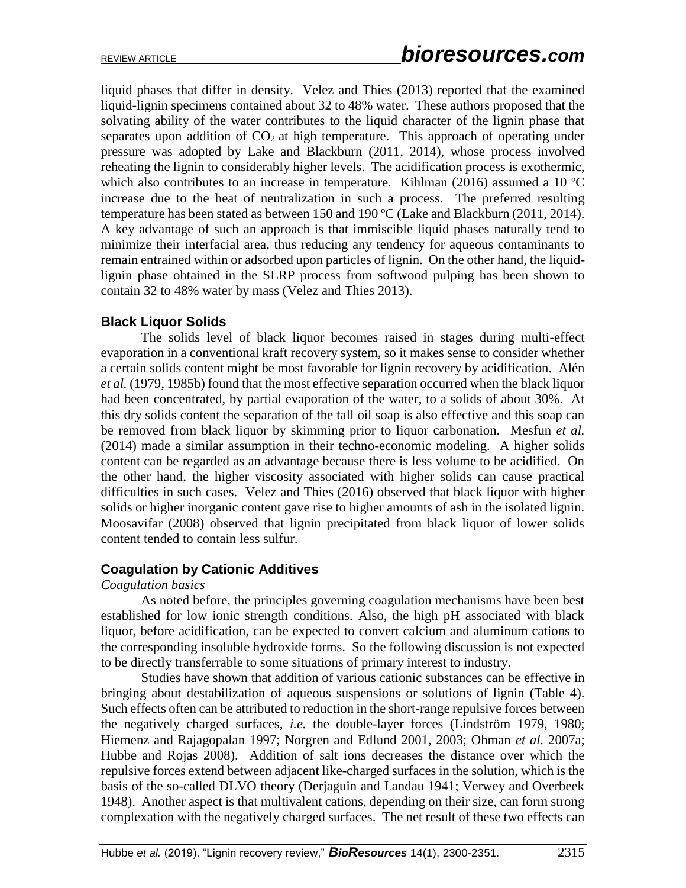liquid phases that differ in density. Velez and Thies (2013) reported that the examined liquid-lignin specimens contained about 32 to 48% water. These authors proposed that the solvating ability of the water contributes to the liquid character of the lignin phase that separates upon addition of  $CO<sub>2</sub>$  at high temperature. This approach of operating under pressure was adopted by Lake and Blackburn (2011, 2014), whose process involved reheating the lignin to considerably higher levels. The acidification process is exothermic, which also contributes to an increase in temperature. Kihlman (2016) assumed a 10 °C increase due to the heat of neutralization in such a process. The preferred resulting temperature has been stated as between 150 and 190 ºC (Lake and Blackburn (2011, 2014). A key advantage of such an approach is that immiscible liquid phases naturally tend to minimize their interfacial area, thus reducing any tendency for aqueous contaminants to remain entrained within or adsorbed upon particles of lignin. On the other hand, the liquidlignin phase obtained in the SLRP process from softwood pulping has been shown to contain 32 to 48% water by mass (Velez and Thies 2013).

# **Black Liquor Solids**

The solids level of black liquor becomes raised in stages during multi-effect evaporation in a conventional kraft recovery system, so it makes sense to consider whether a certain solids content might be most favorable for lignin recovery by acidification. Alén *et al.* (1979, 1985b) found that the most effective separation occurred when the black liquor had been concentrated, by partial evaporation of the water, to a solids of about 30%. At this dry solids content the separation of the tall oil soap is also effective and this soap can be removed from black liquor by skimming prior to liquor carbonation. Mesfun *et al.*  (2014) made a similar assumption in their techno-economic modeling. A higher solids content can be regarded as an advantage because there is less volume to be acidified. On the other hand, the higher viscosity associated with higher solids can cause practical difficulties in such cases. Velez and Thies (2016) observed that black liquor with higher solids or higher inorganic content gave rise to higher amounts of ash in the isolated lignin. Moosavifar (2008) observed that lignin precipitated from black liquor of lower solids content tended to contain less sulfur.

### **Coagulation by Cationic Additives**

#### *Coagulation basics*

As noted before, the principles governing coagulation mechanisms have been best established for low ionic strength conditions. Also, the high pH associated with black liquor, before acidification, can be expected to convert calcium and aluminum cations to the corresponding insoluble hydroxide forms. So the following discussion is not expected to be directly transferrable to some situations of primary interest to industry.

Studies have shown that addition of various cationic substances can be effective in bringing about destabilization of aqueous suspensions or solutions of lignin (Table 4). Such effects often can be attributed to reduction in the short-range repulsive forces between the negatively charged surfaces, *i.e.* the double-layer forces (Lindström 1979, 1980; Hiemenz and Rajagopalan 1997; Norgren and Edlund 2001, 2003; Ohman *et al.* 2007a; Hubbe and Rojas 2008). Addition of salt ions decreases the distance over which the repulsive forces extend between adjacent like-charged surfaces in the solution, which is the basis of the so-called DLVO theory (Derjaguin and Landau 1941; Verwey and Overbeek 1948). Another aspect is that multivalent cations, depending on their size, can form strong complexation with the negatively charged surfaces. The net result of these two effects can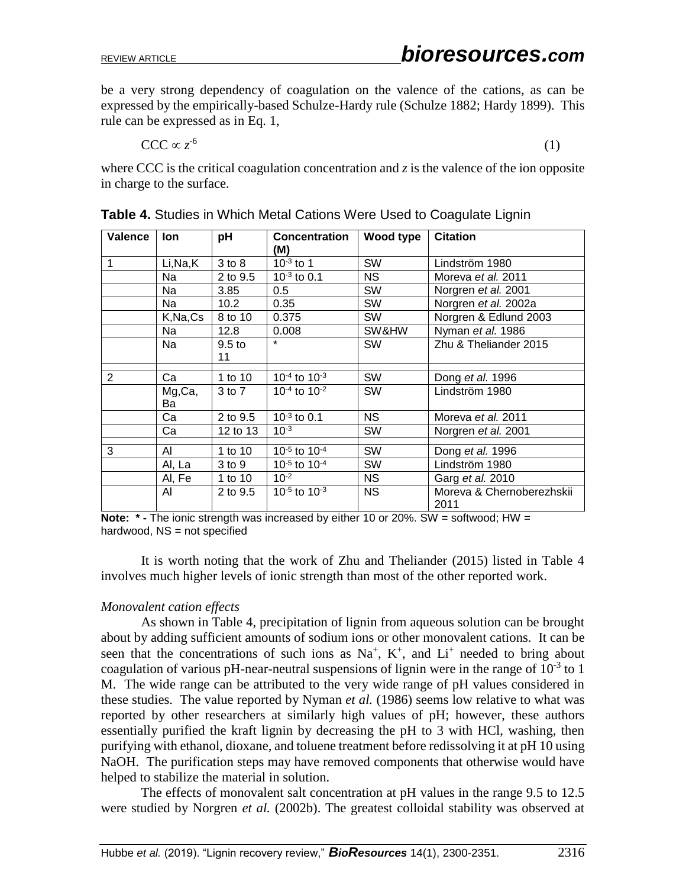be a very strong dependency of coagulation on the valence of the cations, as can be expressed by the empirically-based Schulze-Hardy rule (Schulze 1882; Hardy 1899). This rule can be expressed as in Eq. 1,

 $CCC \propto z^{-6}$ (1)

where CCC is the critical coagulation concentration and *z* is the valence of the ion opposite in charge to the surface.

| Valence | lon          | рH                | <b>Concentration</b>                 | Wood type | <b>Citation</b>                   |
|---------|--------------|-------------------|--------------------------------------|-----------|-----------------------------------|
| 1       | Li, Na, K    | 3 to 8            | (M)<br>$10^{-3}$ to 1                | <b>SW</b> | Lindström 1980                    |
|         | Na           | 2 to 9.5          | $10^{-3}$ to 0.1                     | NS.       | Moreva et al. 2011                |
|         | Na           | 3.85              | $0.5\,$                              | <b>SW</b> | Norgren et al. 2001               |
|         | Na           | 10.2              | 0.35                                 | <b>SW</b> | Norgren et al. 2002a              |
|         | K,Na,Cs      | 8 to 10           | 0.375                                | <b>SW</b> | Norgren & Edlund 2003             |
|         | Na.          | 12.8              | 0.008                                | SW&HW     | Nyman et al. 1986                 |
|         | Na           | 9.5 <sub>to</sub> | $\star$                              | <b>SW</b> | Zhu & Theliander 2015             |
|         |              | 11                |                                      |           |                                   |
| 2       | Ca           | 1 to 10           | $10^{-4}$ to $10^{-3}$               | SW        | Dong et al. 1996                  |
|         | Mg,Ca,<br>Ba | 3 to 7            | $10^{-4}$ to $10^{-2}$               | SW        | Lindström 1980                    |
|         | Ca           | 2 to 9.5          | $10^{-3}$ to 0.1                     | <b>NS</b> | Moreva et al. 2011                |
|         | Ca           | 12 to 13          | $10^{-3}$                            | <b>SW</b> | Norgren et al. 2001               |
| 3       | AI           | 1 to 10           | 10 <sup>-5</sup> to 10 <sup>-4</sup> | SW        | Dong et al. 1996                  |
|         | Al, La       | 3 to 9            | 10-5 to 10-4                         | <b>SW</b> | Lindström 1980                    |
|         | Al, Fe       | 1 to 10           | $10^{-2}$                            | <b>NS</b> | Garg et al. 2010                  |
|         | AI           | 2 to 9.5          | 10 $-5$ to 10 $-3$                   | <b>NS</b> | Moreva & Chernoberezhskii<br>2011 |

**Table 4.** Studies in Which Metal Cations Were Used to Coagulate Lignin

**Note: \*** - The ionic strength was increased by either 10 or 20%. SW = softwood: HW = hardwood, NS = not specified

It is worth noting that the work of Zhu and Theliander (2015) listed in Table 4 involves much higher levels of ionic strength than most of the other reported work.

### *Monovalent cation effects*

As shown in Table 4, precipitation of lignin from aqueous solution can be brought about by adding sufficient amounts of sodium ions or other monovalent cations. It can be seen that the concentrations of such ions as  $Na^+$ ,  $K^+$ , and  $Li^+$  needed to bring about coagulation of various pH-near-neutral suspensions of lignin were in the range of  $10^{-3}$  to 1 M. The wide range can be attributed to the very wide range of pH values considered in these studies. The value reported by Nyman *et al.* (1986) seems low relative to what was reported by other researchers at similarly high values of pH; however, these authors essentially purified the kraft lignin by decreasing the pH to 3 with HCl, washing, then purifying with ethanol, dioxane, and toluene treatment before redissolving it at pH 10 using NaOH. The purification steps may have removed components that otherwise would have helped to stabilize the material in solution.

The effects of monovalent salt concentration at pH values in the range 9.5 to 12.5 were studied by Norgren *et al.* (2002b). The greatest colloidal stability was observed at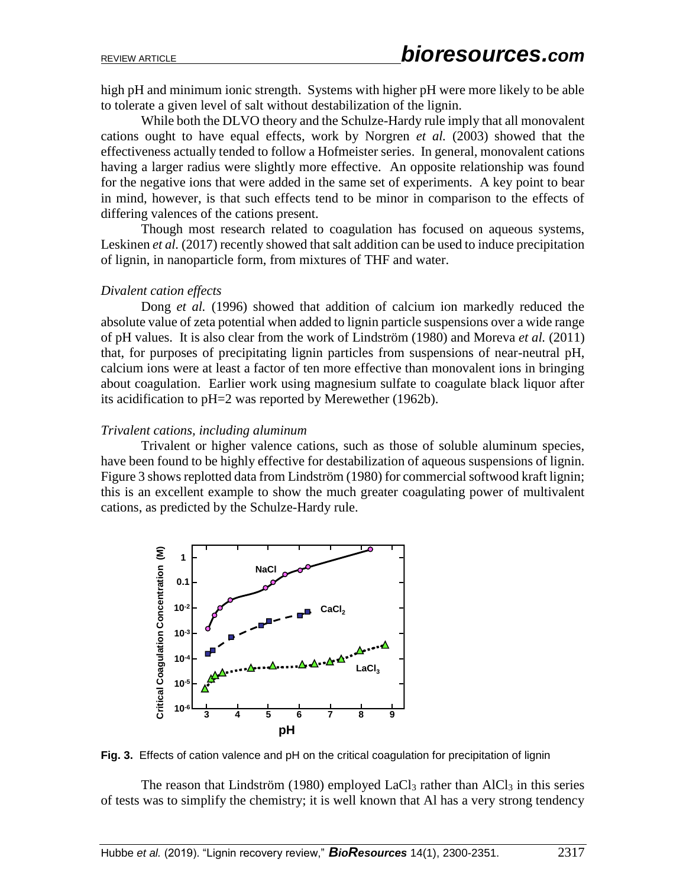high pH and minimum ionic strength. Systems with higher pH were more likely to be able to tolerate a given level of salt without destabilization of the lignin.

While both the DLVO theory and the Schulze-Hardy rule imply that all monovalent cations ought to have equal effects, work by Norgren *et al.* (2003) showed that the effectiveness actually tended to follow a Hofmeister series. In general, monovalent cations having a larger radius were slightly more effective. An opposite relationship was found for the negative ions that were added in the same set of experiments. A key point to bear in mind, however, is that such effects tend to be minor in comparison to the effects of differing valences of the cations present.

Though most research related to coagulation has focused on aqueous systems, Leskinen *et al.* (2017) recently showed that salt addition can be used to induce precipitation of lignin, in nanoparticle form, from mixtures of THF and water.

#### *Divalent cation effects*

Dong *et al.* (1996) showed that addition of calcium ion markedly reduced the absolute value of zeta potential when added to lignin particle suspensions over a wide range of pH values. It is also clear from the work of Lindström (1980) and Moreva *et al.* (2011) that, for purposes of precipitating lignin particles from suspensions of near-neutral pH, calcium ions were at least a factor of ten more effective than monovalent ions in bringing about coagulation. Earlier work using magnesium sulfate to coagulate black liquor after its acidification to pH=2 was reported by Merewether (1962b).

#### *Trivalent cations, including aluminum*

Trivalent or higher valence cations, such as those of soluble aluminum species, have been found to be highly effective for destabilization of aqueous suspensions of lignin. Figure 3 shows replotted data from Lindström (1980) for commercial softwood kraft lignin; this is an excellent example to show the much greater coagulating power of multivalent cations, as predicted by the Schulze-Hardy rule.



**Fig. 3.** Effects of cation valence and pH on the critical coagulation for precipitation of lignin

The reason that Lindström (1980) employed  $LaCl<sub>3</sub>$  rather than  $AlCl<sub>3</sub>$  in this series of tests was to simplify the chemistry; it is well known that Al has a very strong tendency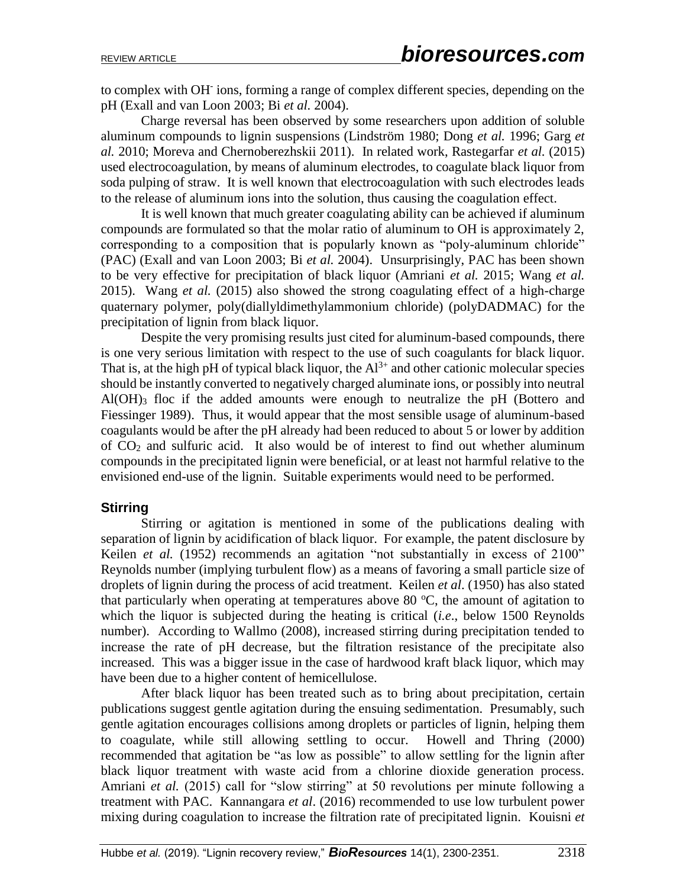to complex with OH-ions, forming a range of complex different species, depending on the pH (Exall and van Loon 2003; Bi *et al.* 2004).

Charge reversal has been observed by some researchers upon addition of soluble aluminum compounds to lignin suspensions (Lindström 1980; Dong *et al.* 1996; Garg *et al.* 2010; Moreva and Chernoberezhskii 2011). In related work, Rastegarfar *et al.* (2015) used electrocoagulation, by means of aluminum electrodes, to coagulate black liquor from soda pulping of straw. It is well known that electrocoagulation with such electrodes leads to the release of aluminum ions into the solution, thus causing the coagulation effect.

It is well known that much greater coagulating ability can be achieved if aluminum compounds are formulated so that the molar ratio of aluminum to OH is approximately 2, corresponding to a composition that is popularly known as "poly-aluminum chloride" (PAC) (Exall and van Loon 2003; Bi *et al.* 2004). Unsurprisingly, PAC has been shown to be very effective for precipitation of black liquor (Amriani *et al.* 2015; Wang *et al.*  2015). Wang *et al.* (2015) also showed the strong coagulating effect of a high-charge quaternary polymer, poly(diallyldimethylammonium chloride) (polyDADMAC) for the precipitation of lignin from black liquor.

Despite the very promising results just cited for aluminum-based compounds, there is one very serious limitation with respect to the use of such coagulants for black liquor. That is, at the high pH of typical black liquor, the  $Al^{3+}$  and other cationic molecular species should be instantly converted to negatively charged aluminate ions, or possibly into neutral  $Al(OH)$ <sub>3</sub> floc if the added amounts were enough to neutralize the pH (Bottero and Fiessinger 1989). Thus, it would appear that the most sensible usage of aluminum-based coagulants would be after the pH already had been reduced to about 5 or lower by addition of  $CO<sub>2</sub>$  and sulfuric acid. It also would be of interest to find out whether aluminum compounds in the precipitated lignin were beneficial, or at least not harmful relative to the envisioned end-use of the lignin. Suitable experiments would need to be performed.

### **Stirring**

Stirring or agitation is mentioned in some of the publications dealing with separation of lignin by acidification of black liquor. For example, the patent disclosure by Keilen *et al.* (1952) recommends an agitation "not substantially in excess of 2100" Reynolds number (implying turbulent flow) as a means of favoring a small particle size of droplets of lignin during the process of acid treatment. Keilen *et al*. (1950) has also stated that particularly when operating at temperatures above 80  $^{\circ}$ C, the amount of agitation to which the liquor is subjected during the heating is critical (*i.e*., below 1500 Reynolds number). According to Wallmo (2008), increased stirring during precipitation tended to increase the rate of pH decrease, but the filtration resistance of the precipitate also increased. This was a bigger issue in the case of hardwood kraft black liquor, which may have been due to a higher content of hemicellulose.

After black liquor has been treated such as to bring about precipitation, certain publications suggest gentle agitation during the ensuing sedimentation. Presumably, such gentle agitation encourages collisions among droplets or particles of lignin, helping them to coagulate, while still allowing settling to occur. Howell and Thring (2000) recommended that agitation be "as low as possible" to allow settling for the lignin after black liquor treatment with waste acid from a chlorine dioxide generation process. Amriani *et al.* (2015) call for "slow stirring" at 50 revolutions per minute following a treatment with PAC. Kannangara *et al*. (2016) recommended to use low turbulent power mixing during coagulation to increase the filtration rate of precipitated lignin. Kouisni *et*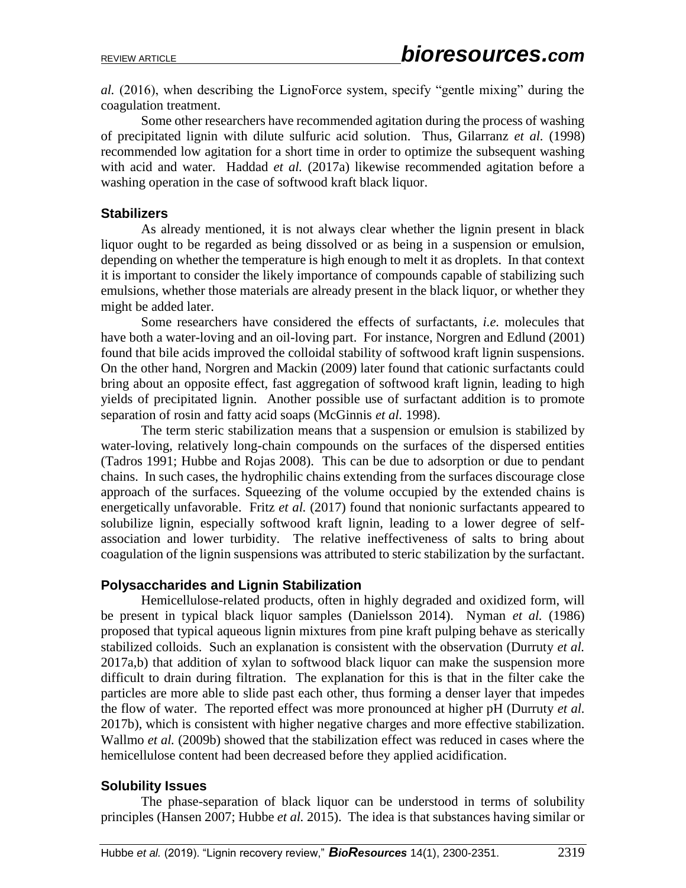*al.* (2016), when describing the LignoForce system, specify "gentle mixing" during the coagulation treatment.

Some other researchers have recommended agitation during the process of washing of precipitated lignin with dilute sulfuric acid solution. Thus, Gilarranz *et al.* (1998) recommended low agitation for a short time in order to optimize the subsequent washing with acid and water. Haddad *et al.* (2017a) likewise recommended agitation before a washing operation in the case of softwood kraft black liquor.

#### **Stabilizers**

As already mentioned, it is not always clear whether the lignin present in black liquor ought to be regarded as being dissolved or as being in a suspension or emulsion, depending on whether the temperature is high enough to melt it as droplets. In that context it is important to consider the likely importance of compounds capable of stabilizing such emulsions, whether those materials are already present in the black liquor, or whether they might be added later.

Some researchers have considered the effects of surfactants, *i.e.* molecules that have both a water-loving and an oil-loving part. For instance, Norgren and Edlund (2001) found that bile acids improved the colloidal stability of softwood kraft lignin suspensions. On the other hand, Norgren and Mackin (2009) later found that cationic surfactants could bring about an opposite effect, fast aggregation of softwood kraft lignin, leading to high yields of precipitated lignin. Another possible use of surfactant addition is to promote separation of rosin and fatty acid soaps (McGinnis *et al.* 1998).

The term steric stabilization means that a suspension or emulsion is stabilized by water-loving, relatively long-chain compounds on the surfaces of the dispersed entities (Tadros 1991; Hubbe and Rojas 2008). This can be due to adsorption or due to pendant chains. In such cases, the hydrophilic chains extending from the surfaces discourage close approach of the surfaces. Squeezing of the volume occupied by the extended chains is energetically unfavorable. Fritz *et al.* (2017) found that nonionic surfactants appeared to solubilize lignin, especially softwood kraft lignin, leading to a lower degree of selfassociation and lower turbidity. The relative ineffectiveness of salts to bring about coagulation of the lignin suspensions was attributed to steric stabilization by the surfactant.

### **Polysaccharides and Lignin Stabilization**

Hemicellulose-related products, often in highly degraded and oxidized form, will be present in typical black liquor samples (Danielsson 2014). Nyman *et al.* (1986) proposed that typical aqueous lignin mixtures from pine kraft pulping behave as sterically stabilized colloids. Such an explanation is consistent with the observation (Durruty *et al.* 2017a,b) that addition of xylan to softwood black liquor can make the suspension more difficult to drain during filtration. The explanation for this is that in the filter cake the particles are more able to slide past each other, thus forming a denser layer that impedes the flow of water. The reported effect was more pronounced at higher pH (Durruty *et al.* 2017b), which is consistent with higher negative charges and more effective stabilization. Wallmo *et al.* (2009b) showed that the stabilization effect was reduced in cases where the hemicellulose content had been decreased before they applied acidification.

### **Solubility Issues**

The phase-separation of black liquor can be understood in terms of solubility principles (Hansen 2007; Hubbe *et al.* 2015). The idea is that substances having similar or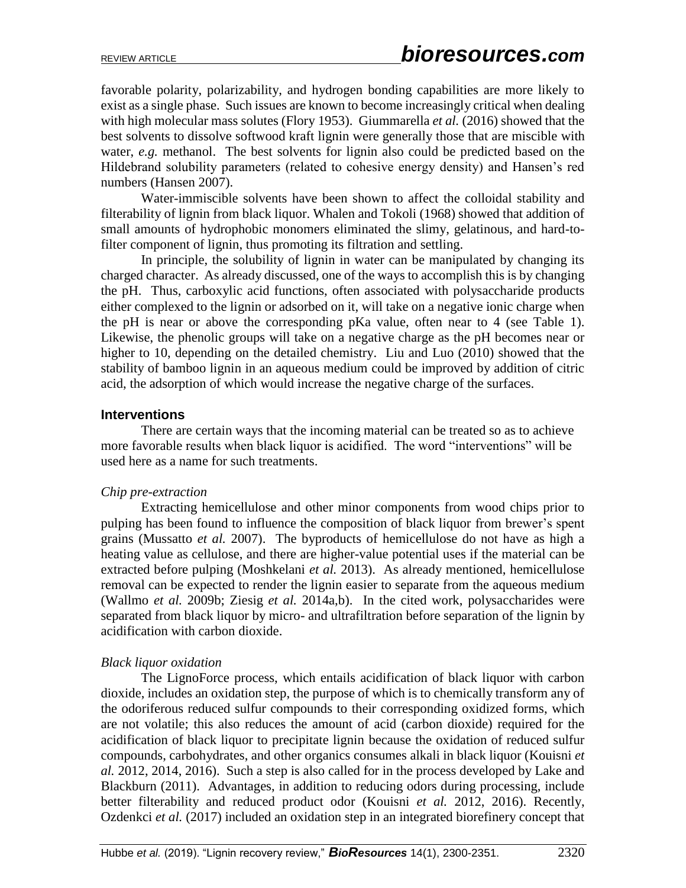favorable polarity, polarizability, and hydrogen bonding capabilities are more likely to exist as a single phase. Such issues are known to become increasingly critical when dealing with high molecular mass solutes (Flory 1953). Giummarella *et al.* (2016) showed that the best solvents to dissolve softwood kraft lignin were generally those that are miscible with water, *e.g.* methanol. The best solvents for lignin also could be predicted based on the Hildebrand solubility parameters (related to cohesive energy density) and Hansen's red numbers (Hansen 2007).

Water-immiscible solvents have been shown to affect the colloidal stability and filterability of lignin from black liquor. Whalen and Tokoli (1968) showed that addition of small amounts of hydrophobic monomers eliminated the slimy, gelatinous, and hard-tofilter component of lignin, thus promoting its filtration and settling.

In principle, the solubility of lignin in water can be manipulated by changing its charged character. As already discussed, one of the ways to accomplish this is by changing the pH. Thus, carboxylic acid functions, often associated with polysaccharide products either complexed to the lignin or adsorbed on it, will take on a negative ionic charge when the pH is near or above the corresponding pKa value, often near to 4 (see Table 1). Likewise, the phenolic groups will take on a negative charge as the pH becomes near or higher to 10, depending on the detailed chemistry. Liu and Luo (2010) showed that the stability of bamboo lignin in an aqueous medium could be improved by addition of citric acid, the adsorption of which would increase the negative charge of the surfaces.

#### **Interventions**

There are certain ways that the incoming material can be treated so as to achieve more favorable results when black liquor is acidified. The word "interventions" will be used here as a name for such treatments.

### *Chip pre-extraction*

Extracting hemicellulose and other minor components from wood chips prior to pulping has been found to influence the composition of black liquor from brewer's spent grains (Mussatto *et al.* 2007). The byproducts of hemicellulose do not have as high a heating value as cellulose, and there are higher-value potential uses if the material can be extracted before pulping (Moshkelani *et al.* 2013). As already mentioned, hemicellulose removal can be expected to render the lignin easier to separate from the aqueous medium (Wallmo *et al.* 2009b; Ziesig *et al.* 2014a,b). In the cited work, polysaccharides were separated from black liquor by micro- and ultrafiltration before separation of the lignin by acidification with carbon dioxide.

### *Black liquor oxidation*

The LignoForce process, which entails acidification of black liquor with carbon dioxide, includes an oxidation step, the purpose of which is to chemically transform any of the odoriferous reduced sulfur compounds to their corresponding oxidized forms, which are not volatile; this also reduces the amount of acid (carbon dioxide) required for the acidification of black liquor to precipitate lignin because the oxidation of reduced sulfur compounds, carbohydrates, and other organics consumes alkali in black liquor (Kouisni *et al.* 2012, 2014, 2016). Such a step is also called for in the process developed by Lake and Blackburn (2011). Advantages, in addition to reducing odors during processing, include better filterability and reduced product odor (Kouisni *et al.* 2012, 2016). Recently, Ozdenkci *et al.* (2017) included an oxidation step in an integrated biorefinery concept that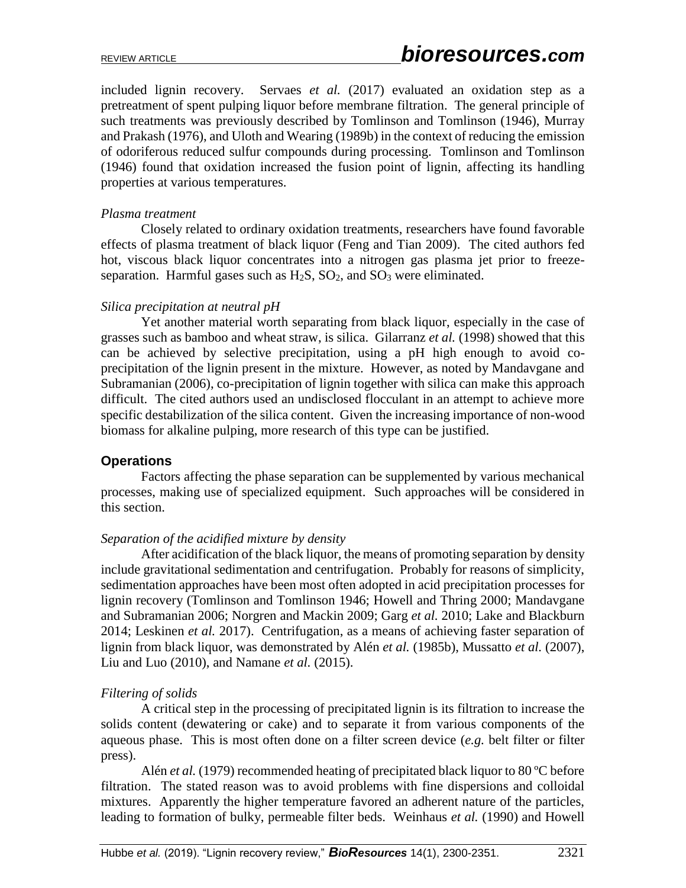included lignin recovery. Servaes *et al.* (2017) evaluated an oxidation step as a pretreatment of spent pulping liquor before membrane filtration. The general principle of such treatments was previously described by Tomlinson and Tomlinson (1946), Murray and Prakash (1976), and Uloth and Wearing (1989b) in the context of reducing the emission of odoriferous reduced sulfur compounds during processing. Tomlinson and Tomlinson (1946) found that oxidation increased the fusion point of lignin, affecting its handling properties at various temperatures.

#### *Plasma treatment*

Closely related to ordinary oxidation treatments, researchers have found favorable effects of plasma treatment of black liquor (Feng and Tian 2009). The cited authors fed hot, viscous black liquor concentrates into a nitrogen gas plasma jet prior to freezeseparation. Harmful gases such as  $H_2S$ ,  $SO_2$ , and  $SO_3$  were eliminated.

#### *Silica precipitation at neutral pH*

Yet another material worth separating from black liquor, especially in the case of grasses such as bamboo and wheat straw, is silica. Gilarranz *et al.* (1998) showed that this can be achieved by selective precipitation, using a pH high enough to avoid coprecipitation of the lignin present in the mixture. However, as noted by Mandavgane and Subramanian (2006), co-precipitation of lignin together with silica can make this approach difficult. The cited authors used an undisclosed flocculant in an attempt to achieve more specific destabilization of the silica content. Given the increasing importance of non-wood biomass for alkaline pulping, more research of this type can be justified.

#### **Operations**

Factors affecting the phase separation can be supplemented by various mechanical processes, making use of specialized equipment. Such approaches will be considered in this section.

#### *Separation of the acidified mixture by density*

After acidification of the black liquor, the means of promoting separation by density include gravitational sedimentation and centrifugation. Probably for reasons of simplicity, sedimentation approaches have been most often adopted in acid precipitation processes for lignin recovery (Tomlinson and Tomlinson 1946; Howell and Thring 2000; Mandavgane and Subramanian 2006; Norgren and Mackin 2009; Garg *et al.* 2010; Lake and Blackburn 2014; Leskinen *et al.* 2017). Centrifugation, as a means of achieving faster separation of lignin from black liquor, was demonstrated by Alén *et al.* (1985b), Mussatto *et al.* (2007), Liu and Luo (2010), and Namane *et al.* (2015).

#### *Filtering of solids*

A critical step in the processing of precipitated lignin is its filtration to increase the solids content (dewatering or cake) and to separate it from various components of the aqueous phase. This is most often done on a filter screen device (*e.g.* belt filter or filter press).

Alén *et al.* (1979) recommended heating of precipitated black liquor to 80 °C before filtration. The stated reason was to avoid problems with fine dispersions and colloidal mixtures. Apparently the higher temperature favored an adherent nature of the particles, leading to formation of bulky, permeable filter beds. Weinhaus *et al.* (1990) and Howell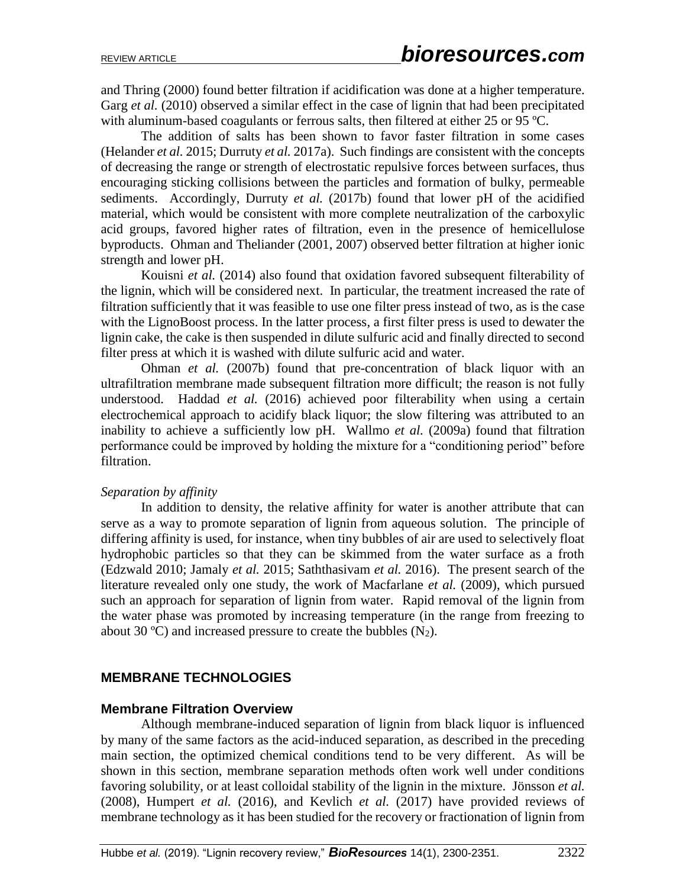and Thring (2000) found better filtration if acidification was done at a higher temperature. Garg *et al.* (2010) observed a similar effect in the case of lignin that had been precipitated with aluminum-based coagulants or ferrous salts, then filtered at either 25 or 95 ºC.

The addition of salts has been shown to favor faster filtration in some cases (Helander *et al.* 2015; Durruty *et al.* 2017a). Such findings are consistent with the concepts of decreasing the range or strength of electrostatic repulsive forces between surfaces, thus encouraging sticking collisions between the particles and formation of bulky, permeable sediments. Accordingly, Durruty *et al.* (2017b) found that lower pH of the acidified material, which would be consistent with more complete neutralization of the carboxylic acid groups, favored higher rates of filtration, even in the presence of hemicellulose byproducts. Ohman and Theliander (2001, 2007) observed better filtration at higher ionic strength and lower pH.

Kouisni *et al.* (2014) also found that oxidation favored subsequent filterability of the lignin, which will be considered next. In particular, the treatment increased the rate of filtration sufficiently that it was feasible to use one filter press instead of two, as is the case with the LignoBoost process. In the latter process, a first filter press is used to dewater the lignin cake, the cake is then suspended in dilute sulfuric acid and finally directed to second filter press at which it is washed with dilute sulfuric acid and water.

Ohman *et al.* (2007b) found that pre-concentration of black liquor with an ultrafiltration membrane made subsequent filtration more difficult; the reason is not fully understood. Haddad *et al.* (2016) achieved poor filterability when using a certain electrochemical approach to acidify black liquor; the slow filtering was attributed to an inability to achieve a sufficiently low pH. Wallmo *et al.* (2009a) found that filtration performance could be improved by holding the mixture for a "conditioning period" before filtration.

#### *Separation by affinity*

In addition to density, the relative affinity for water is another attribute that can serve as a way to promote separation of lignin from aqueous solution. The principle of differing affinity is used, for instance, when tiny bubbles of air are used to selectively float hydrophobic particles so that they can be skimmed from the water surface as a froth (Edzwald 2010; Jamaly *et al.* 2015; Saththasivam *et al.* 2016). The present search of the literature revealed only one study, the work of Macfarlane *et al.* (2009), which pursued such an approach for separation of lignin from water. Rapid removal of the lignin from the water phase was promoted by increasing temperature (in the range from freezing to about 30 °C) and increased pressure to create the bubbles  $(N_2)$ .

# **MEMBRANE TECHNOLOGIES**

#### **Membrane Filtration Overview**

Although membrane-induced separation of lignin from black liquor is influenced by many of the same factors as the acid-induced separation, as described in the preceding main section, the optimized chemical conditions tend to be very different. As will be shown in this section, membrane separation methods often work well under conditions favoring solubility, or at least colloidal stability of the lignin in the mixture. Jönsson *et al.*  (2008), Humpert *et al.* (2016), and Kevlich *et al.* (2017) have provided reviews of membrane technology as it has been studied for the recovery or fractionation of lignin from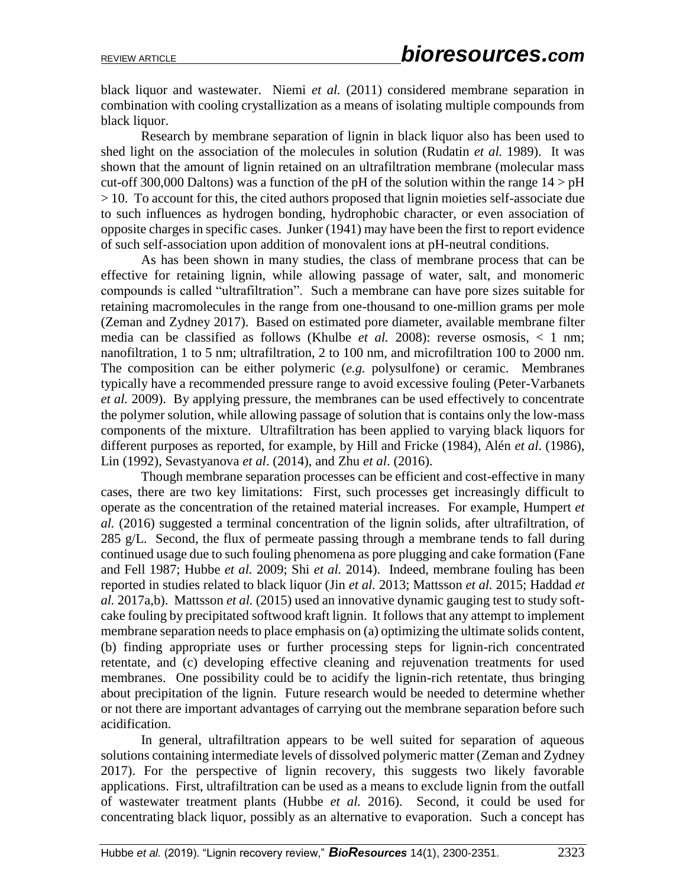black liquor and wastewater. Niemi *et al.* (2011) considered membrane separation in combination with cooling crystallization as a means of isolating multiple compounds from black liquor.

Research by membrane separation of lignin in black liquor also has been used to shed light on the association of the molecules in solution (Rudatin *et al.* 1989). It was shown that the amount of lignin retained on an ultrafiltration membrane (molecular mass cut-off 300,000 Daltons) was a function of the pH of the solution within the range  $14 > pH$ > 10. To account for this, the cited authors proposed that lignin moieties self-associate due to such influences as hydrogen bonding, hydrophobic character, or even association of opposite charges in specific cases. Junker (1941) may have been the first to report evidence of such self-association upon addition of monovalent ions at pH-neutral conditions.

As has been shown in many studies, the class of membrane process that can be effective for retaining lignin, while allowing passage of water, salt, and monomeric compounds is called "ultrafiltration". Such a membrane can have pore sizes suitable for retaining macromolecules in the range from one-thousand to one-million grams per mole (Zeman and Zydney 2017). Based on estimated pore diameter, available membrane filter media can be classified as follows (Khulbe *et al.* 2008): reverse osmosis, < 1 nm; nanofiltration, 1 to 5 nm; ultrafiltration, 2 to 100 nm, and microfiltration 100 to 2000 nm. The composition can be either polymeric (*e.g.* polysulfone) or ceramic. Membranes typically have a recommended pressure range to avoid excessive fouling (Peter-Varbanets *et al.* 2009). By applying pressure, the membranes can be used effectively to concentrate the polymer solution, while allowing passage of solution that is contains only the low-mass components of the mixture. Ultrafiltration has been applied to varying black liquors for different purposes as reported, for example, by Hill and Fricke (1984), Alén *et al*. (1986), Lin (1992), Sevastyanova *et al*. (2014), and Zhu *et al*. (2016).

Though membrane separation processes can be efficient and cost-effective in many cases, there are two key limitations: First, such processes get increasingly difficult to operate as the concentration of the retained material increases. For example, Humpert *et al.* (2016) suggested a terminal concentration of the lignin solids, after ultrafiltration, of 285 g/L. Second, the flux of permeate passing through a membrane tends to fall during continued usage due to such fouling phenomena as pore plugging and cake formation (Fane and Fell 1987; Hubbe *et al.* 2009; Shi *et al.* 2014). Indeed, membrane fouling has been reported in studies related to black liquor (Jin *et al.* 2013; Mattsson *et al.* 2015; Haddad *et al.* 2017a,b). Mattsson *et al.* (2015) used an innovative dynamic gauging test to study softcake fouling by precipitated softwood kraft lignin. It follows that any attempt to implement membrane separation needs to place emphasis on (a) optimizing the ultimate solids content, (b) finding appropriate uses or further processing steps for lignin-rich concentrated retentate, and (c) developing effective cleaning and rejuvenation treatments for used membranes. One possibility could be to acidify the lignin-rich retentate, thus bringing about precipitation of the lignin. Future research would be needed to determine whether or not there are important advantages of carrying out the membrane separation before such acidification.

In general, ultrafiltration appears to be well suited for separation of aqueous solutions containing intermediate levels of dissolved polymeric matter (Zeman and Zydney 2017). For the perspective of lignin recovery, this suggests two likely favorable applications. First, ultrafiltration can be used as a means to exclude lignin from the outfall of wastewater treatment plants (Hubbe *et al.* 2016). Second, it could be used for concentrating black liquor, possibly as an alternative to evaporation. Such a concept has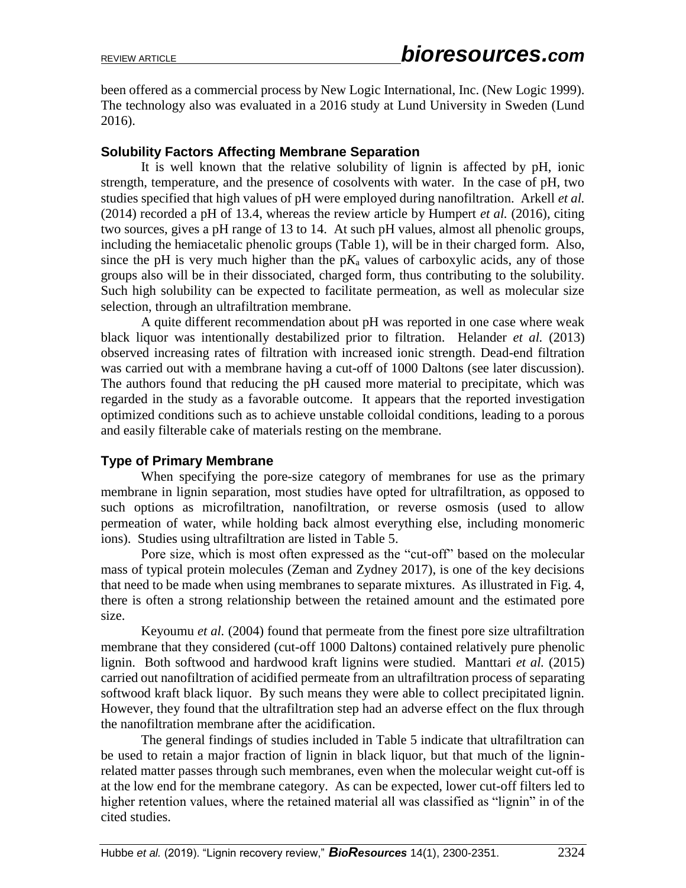been offered as a commercial process by New Logic International, Inc. (New Logic 1999). The technology also was evaluated in a 2016 study at Lund University in Sweden (Lund 2016).

### **Solubility Factors Affecting Membrane Separation**

It is well known that the relative solubility of lignin is affected by pH, ionic strength, temperature, and the presence of cosolvents with water. In the case of pH, two studies specified that high values of pH were employed during nanofiltration. Arkell *et al.*  (2014) recorded a pH of 13.4, whereas the review article by Humpert *et al.* (2016), citing two sources, gives a pH range of 13 to 14. At such pH values, almost all phenolic groups, including the hemiacetalic phenolic groups (Table 1), will be in their charged form. Also, since the pH is very much higher than the  $pK_a$  values of carboxylic acids, any of those groups also will be in their dissociated, charged form, thus contributing to the solubility. Such high solubility can be expected to facilitate permeation, as well as molecular size selection, through an ultrafiltration membrane.

A quite different recommendation about pH was reported in one case where weak black liquor was intentionally destabilized prior to filtration. Helander *et al.* (2013) observed increasing rates of filtration with increased ionic strength. Dead-end filtration was carried out with a membrane having a cut-off of 1000 Daltons (see later discussion). The authors found that reducing the pH caused more material to precipitate, which was regarded in the study as a favorable outcome. It appears that the reported investigation optimized conditions such as to achieve unstable colloidal conditions, leading to a porous and easily filterable cake of materials resting on the membrane.

### **Type of Primary Membrane**

When specifying the pore-size category of membranes for use as the primary membrane in lignin separation, most studies have opted for ultrafiltration, as opposed to such options as microfiltration, nanofiltration, or reverse osmosis (used to allow permeation of water, while holding back almost everything else, including monomeric ions). Studies using ultrafiltration are listed in Table 5.

Pore size, which is most often expressed as the "cut-off" based on the molecular mass of typical protein molecules (Zeman and Zydney 2017), is one of the key decisions that need to be made when using membranes to separate mixtures. As illustrated in Fig. 4, there is often a strong relationship between the retained amount and the estimated pore size.

Keyoumu *et al.* (2004) found that permeate from the finest pore size ultrafiltration membrane that they considered (cut-off 1000 Daltons) contained relatively pure phenolic lignin. Both softwood and hardwood kraft lignins were studied. Manttari *et al.* (2015) carried out nanofiltration of acidified permeate from an ultrafiltration process of separating softwood kraft black liquor. By such means they were able to collect precipitated lignin. However, they found that the ultrafiltration step had an adverse effect on the flux through the nanofiltration membrane after the acidification.

The general findings of studies included in Table 5 indicate that ultrafiltration can be used to retain a major fraction of lignin in black liquor, but that much of the ligninrelated matter passes through such membranes, even when the molecular weight cut-off is at the low end for the membrane category. As can be expected, lower cut-off filters led to higher retention values, where the retained material all was classified as "lignin" in of the cited studies.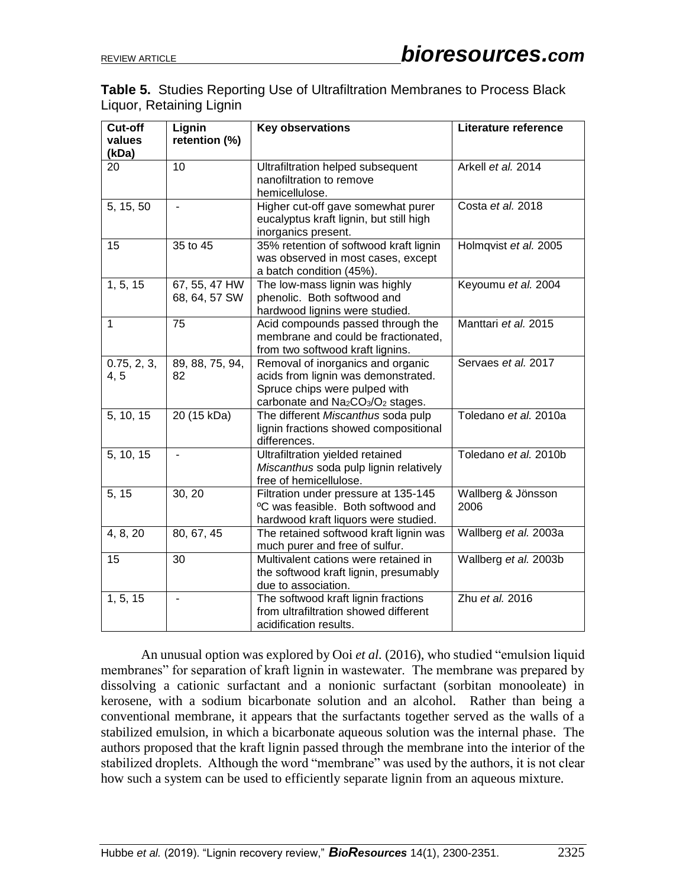|                          |  |  | <b>Table 5.</b> Studies Reporting Use of Ultrafiltration Membranes to Process Black |
|--------------------------|--|--|-------------------------------------------------------------------------------------|
| Liquor, Retaining Lignin |  |  |                                                                                     |

| Cut-off<br>values<br>(kDa) | Lignin<br>retention (%)        | <b>Key observations</b>                                                                                                                                                            | Literature reference       |
|----------------------------|--------------------------------|------------------------------------------------------------------------------------------------------------------------------------------------------------------------------------|----------------------------|
| 20                         | $\overline{10}$                | Ultrafiltration helped subsequent<br>nanofiltration to remove<br>hemicellulose.                                                                                                    | Arkell et al. 2014         |
| 5, 15, 50                  | $\overline{a}$                 | Higher cut-off gave somewhat purer<br>eucalyptus kraft lignin, but still high<br>inorganics present.                                                                               | Costa et al. 2018          |
| 15                         | 35 to $\overline{45}$          | 35% retention of softwood kraft lignin<br>was observed in most cases, except<br>a batch condition (45%).                                                                           | Holmqvist et al. 2005      |
| 1, 5, 15                   | 67, 55, 47 HW<br>68, 64, 57 SW | The low-mass lignin was highly<br>phenolic. Both softwood and<br>hardwood lignins were studied.                                                                                    | Keyoumu et al. 2004        |
| $\mathbf{1}$               | 75                             | Acid compounds passed through the<br>membrane and could be fractionated,<br>from two softwood kraft lignins.                                                                       | Manttari et al. 2015       |
| 0.75, 2, 3,<br>4, 5        | 89, 88, 75, 94,<br>82          | Removal of inorganics and organic<br>acids from lignin was demonstrated.<br>Spruce chips were pulped with<br>carbonate and Na <sub>2</sub> CO <sub>3</sub> /O <sub>2</sub> stages. | Servaes et al. 2017        |
| 5, 10, 15                  | 20 (15 kDa)                    | The different Miscanthus soda pulp<br>lignin fractions showed compositional<br>differences.                                                                                        | Toledano et al. 2010a      |
| 5, 10, 15                  |                                | Ultrafiltration yielded retained<br>Miscanthus soda pulp lignin relatively<br>free of hemicellulose.                                                                               | Toledano et al. 2010b      |
| 5, 15                      | 30, 20                         | Filtration under pressure at 135-145<br>°C was feasible. Both softwood and<br>hardwood kraft liquors were studied.                                                                 | Wallberg & Jönsson<br>2006 |
| 4, 8, 20                   | 80, 67, 45                     | The retained softwood kraft lignin was<br>much purer and free of sulfur.                                                                                                           | Wallberg et al. 2003a      |
| 15                         | 30                             | Multivalent cations were retained in<br>the softwood kraft lignin, presumably<br>due to association.                                                                               | Wallberg et al. 2003b      |
| 1, 5, 15                   |                                | The softwood kraft lignin fractions<br>from ultrafiltration showed different<br>acidification results.                                                                             | Zhu et al. 2016            |

An unusual option was explored by Ooi *et al.* (2016), who studied "emulsion liquid membranes" for separation of kraft lignin in wastewater. The membrane was prepared by dissolving a cationic surfactant and a nonionic surfactant (sorbitan monooleate) in kerosene, with a sodium bicarbonate solution and an alcohol. Rather than being a conventional membrane, it appears that the surfactants together served as the walls of a stabilized emulsion, in which a bicarbonate aqueous solution was the internal phase. The authors proposed that the kraft lignin passed through the membrane into the interior of the stabilized droplets. Although the word "membrane" was used by the authors, it is not clear how such a system can be used to efficiently separate lignin from an aqueous mixture.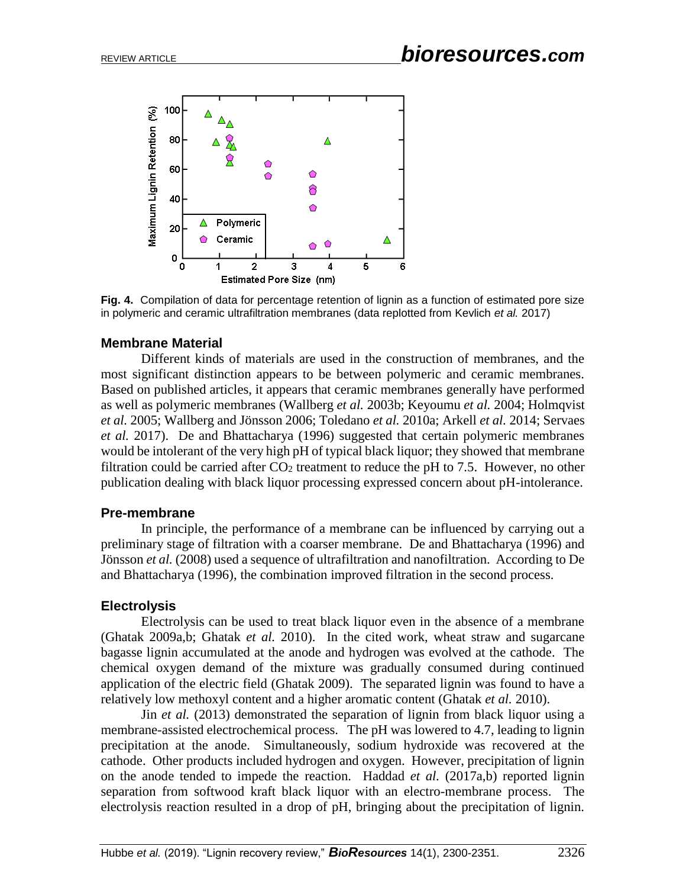

**Fig. 4.** Compilation of data for percentage retention of lignin as a function of estimated pore size in polymeric and ceramic ultrafiltration membranes (data replotted from Kevlich *et al.* 2017)

#### **Membrane Material**

Different kinds of materials are used in the construction of membranes, and the most significant distinction appears to be between polymeric and ceramic membranes. Based on published articles, it appears that ceramic membranes generally have performed as well as polymeric membranes (Wallberg *et al.* 2003b; Keyoumu *et al.* 2004; Holmqvist *et al.* 2005; Wallberg and Jönsson 2006; Toledano *et al.* 2010a; Arkell *et al.* 2014; Servaes *et al.* 2017). De and Bhattacharya (1996) suggested that certain polymeric membranes would be intolerant of the very high pH of typical black liquor; they showed that membrane filtration could be carried after  $CO<sub>2</sub>$  treatment to reduce the pH to 7.5. However, no other publication dealing with black liquor processing expressed concern about pH-intolerance.

### **Pre-membrane**

In principle, the performance of a membrane can be influenced by carrying out a preliminary stage of filtration with a coarser membrane. De and Bhattacharya (1996) and Jönsson *et al.* (2008) used a sequence of ultrafiltration and nanofiltration. According to De and Bhattacharya (1996), the combination improved filtration in the second process.

### **Electrolysis**

Electrolysis can be used to treat black liquor even in the absence of a membrane (Ghatak 2009a,b; Ghatak *et al.* 2010). In the cited work, wheat straw and sugarcane bagasse lignin accumulated at the anode and hydrogen was evolved at the cathode. The chemical oxygen demand of the mixture was gradually consumed during continued application of the electric field (Ghatak 2009). The separated lignin was found to have a relatively low methoxyl content and a higher aromatic content (Ghatak *et al.* 2010).

Jin *et al.* (2013) demonstrated the separation of lignin from black liquor using a membrane-assisted electrochemical process. The pH was lowered to 4.7, leading to lignin precipitation at the anode. Simultaneously, sodium hydroxide was recovered at the cathode. Other products included hydrogen and oxygen. However, precipitation of lignin on the anode tended to impede the reaction. Haddad *et al.* (2017a,b) reported lignin separation from softwood kraft black liquor with an electro-membrane process. The electrolysis reaction resulted in a drop of pH, bringing about the precipitation of lignin.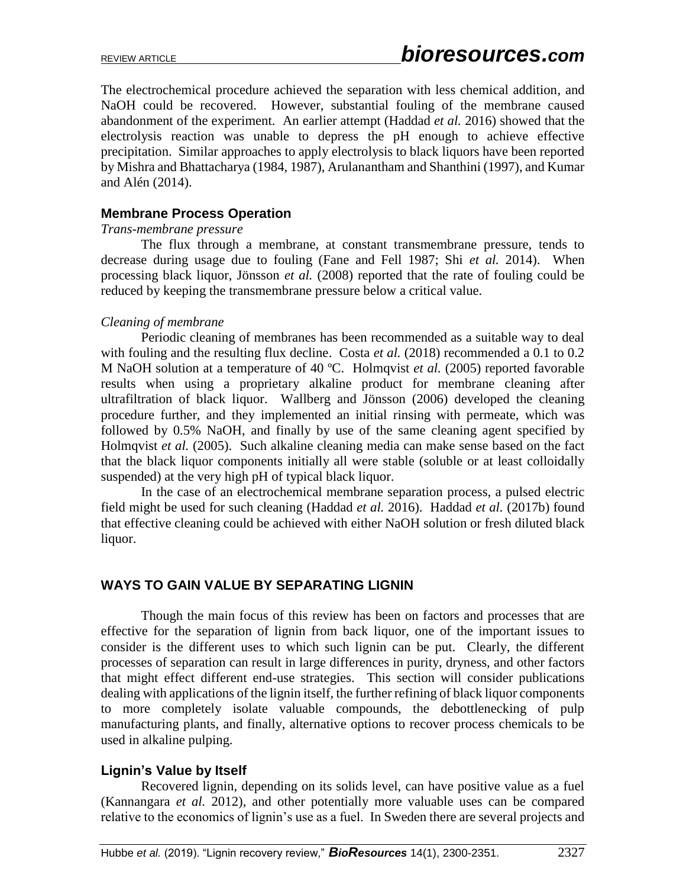The electrochemical procedure achieved the separation with less chemical addition, and NaOH could be recovered. However, substantial fouling of the membrane caused abandonment of the experiment. An earlier attempt (Haddad *et al.* 2016) showed that the electrolysis reaction was unable to depress the pH enough to achieve effective precipitation. Similar approaches to apply electrolysis to black liquors have been reported by Mishra and Bhattacharya (1984, 1987), Arulanantham and Shanthini (1997), and Kumar and Alén (2014).

#### **Membrane Process Operation**

#### *Trans-membrane pressure*

The flux through a membrane, at constant transmembrane pressure, tends to decrease during usage due to fouling (Fane and Fell 1987; Shi *et al.* 2014). When processing black liquor, Jönsson *et al.* (2008) reported that the rate of fouling could be reduced by keeping the transmembrane pressure below a critical value.

#### *Cleaning of membrane*

Periodic cleaning of membranes has been recommended as a suitable way to deal with fouling and the resulting flux decline. Costa *et al.* (2018) recommended a 0.1 to 0.2 M NaOH solution at a temperature of 40 ºC. Holmqvist *et al.* (2005) reported favorable results when using a proprietary alkaline product for membrane cleaning after ultrafiltration of black liquor. Wallberg and Jönsson (2006) developed the cleaning procedure further, and they implemented an initial rinsing with permeate, which was followed by 0.5% NaOH, and finally by use of the same cleaning agent specified by Holmqvist *et al.* (2005). Such alkaline cleaning media can make sense based on the fact that the black liquor components initially all were stable (soluble or at least colloidally suspended) at the very high pH of typical black liquor.

In the case of an electrochemical membrane separation process, a pulsed electric field might be used for such cleaning (Haddad *et al.* 2016). Haddad *et al.* (2017b) found that effective cleaning could be achieved with either NaOH solution or fresh diluted black liquor.

# **WAYS TO GAIN VALUE BY SEPARATING LIGNIN**

Though the main focus of this review has been on factors and processes that are effective for the separation of lignin from back liquor, one of the important issues to consider is the different uses to which such lignin can be put. Clearly, the different processes of separation can result in large differences in purity, dryness, and other factors that might effect different end-use strategies. This section will consider publications dealing with applications of the lignin itself, the further refining of black liquor components to more completely isolate valuable compounds, the debottlenecking of pulp manufacturing plants, and finally, alternative options to recover process chemicals to be used in alkaline pulping.

### **Lignin's Value by Itself**

Recovered lignin, depending on its solids level, can have positive value as a fuel (Kannangara *et al.* 2012), and other potentially more valuable uses can be compared relative to the economics of lignin's use as a fuel. In Sweden there are several projects and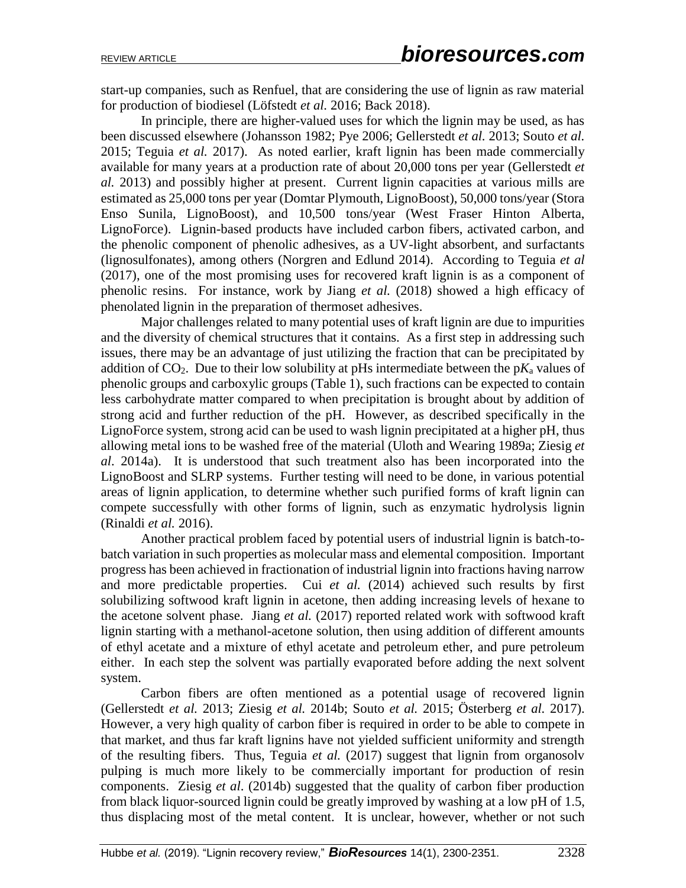start-up companies, such as Renfuel, that are considering the use of lignin as raw material for production of biodiesel (Löfstedt *et al.* 2016; Back 2018).

In principle, there are higher-valued uses for which the lignin may be used, as has been discussed elsewhere (Johansson 1982; Pye 2006; Gellerstedt *et al.* 2013; Souto *et al.*  2015; Teguia *et al.* 2017). As noted earlier, kraft lignin has been made commercially available for many years at a production rate of about 20,000 tons per year (Gellerstedt *et al.* 2013) and possibly higher at present. Current lignin capacities at various mills are estimated as 25,000 tons per year (Domtar Plymouth, LignoBoost), 50,000 tons/year (Stora Enso Sunila, LignoBoost), and 10,500 tons/year (West Fraser Hinton Alberta, LignoForce). Lignin-based products have included carbon fibers, activated carbon, and the phenolic component of phenolic adhesives, as a UV-light absorbent, and surfactants (lignosulfonates), among others (Norgren and Edlund 2014). According to Teguia *et al*  (2017), one of the most promising uses for recovered kraft lignin is as a component of phenolic resins. For instance, work by Jiang *et al.* (2018) showed a high efficacy of phenolated lignin in the preparation of thermoset adhesives.

Major challenges related to many potential uses of kraft lignin are due to impurities and the diversity of chemical structures that it contains. As a first step in addressing such issues, there may be an advantage of just utilizing the fraction that can be precipitated by addition of  $CO<sub>2</sub>$ . Due to their low solubility at pHs intermediate between the p $K<sub>a</sub>$  values of phenolic groups and carboxylic groups (Table 1), such fractions can be expected to contain less carbohydrate matter compared to when precipitation is brought about by addition of strong acid and further reduction of the pH. However, as described specifically in the LignoForce system, strong acid can be used to wash lignin precipitated at a higher pH, thus allowing metal ions to be washed free of the material (Uloth and Wearing 1989a; Ziesig *et al*. 2014a). It is understood that such treatment also has been incorporated into the LignoBoost and SLRP systems. Further testing will need to be done, in various potential areas of lignin application, to determine whether such purified forms of kraft lignin can compete successfully with other forms of lignin, such as enzymatic hydrolysis lignin (Rinaldi *et al.* 2016).

Another practical problem faced by potential users of industrial lignin is batch-tobatch variation in such properties as molecular mass and elemental composition. Important progress has been achieved in fractionation of industrial lignin into fractions having narrow and more predictable properties. Cui *et al.* (2014) achieved such results by first solubilizing softwood kraft lignin in acetone, then adding increasing levels of hexane to the acetone solvent phase. Jiang *et al.* (2017) reported related work with softwood kraft lignin starting with a methanol-acetone solution, then using addition of different amounts of ethyl acetate and a mixture of ethyl acetate and petroleum ether, and pure petroleum either. In each step the solvent was partially evaporated before adding the next solvent system.

Carbon fibers are often mentioned as a potential usage of recovered lignin (Gellerstedt *et al.* 2013; Ziesig *et al.* 2014b; Souto *et al.* 2015; Österberg *et al.* 2017). However, a very high quality of carbon fiber is required in order to be able to compete in that market, and thus far kraft lignins have not yielded sufficient uniformity and strength of the resulting fibers. Thus, Teguia *et al.* (2017) suggest that lignin from organosolv pulping is much more likely to be commercially important for production of resin components. Ziesig *et al*. (2014b) suggested that the quality of carbon fiber production from black liquor-sourced lignin could be greatly improved by washing at a low pH of 1.5, thus displacing most of the metal content. It is unclear, however, whether or not such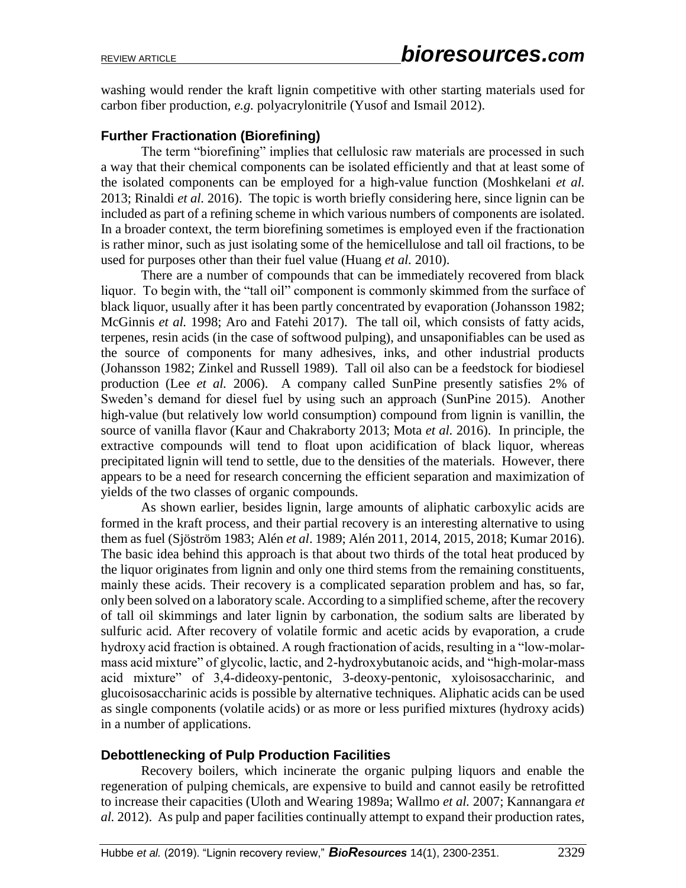washing would render the kraft lignin competitive with other starting materials used for carbon fiber production, *e.g.* polyacrylonitrile (Yusof and Ismail 2012).

# **Further Fractionation (Biorefining)**

The term "biorefining" implies that cellulosic raw materials are processed in such a way that their chemical components can be isolated efficiently and that at least some of the isolated components can be employed for a high-value function (Moshkelani *et al.*  2013; Rinaldi *et al.* 2016). The topic is worth briefly considering here, since lignin can be included as part of a refining scheme in which various numbers of components are isolated. In a broader context, the term biorefining sometimes is employed even if the fractionation is rather minor, such as just isolating some of the hemicellulose and tall oil fractions, to be used for purposes other than their fuel value (Huang *et al.* 2010).

There are a number of compounds that can be immediately recovered from black liquor. To begin with, the "tall oil" component is commonly skimmed from the surface of black liquor, usually after it has been partly concentrated by evaporation (Johansson 1982; McGinnis *et al.* 1998; Aro and Fatehi 2017). The tall oil, which consists of fatty acids, terpenes, resin acids (in the case of softwood pulping), and unsaponifiables can be used as the source of components for many adhesives, inks, and other industrial products (Johansson 1982; Zinkel and Russell 1989). Tall oil also can be a feedstock for biodiesel production (Lee *et al.* 2006). A company called SunPine presently satisfies 2% of Sweden's demand for diesel fuel by using such an approach (SunPine 2015). Another high-value (but relatively low world consumption) compound from lignin is vanillin, the source of vanilla flavor (Kaur and Chakraborty 2013; Mota *et al.* 2016). In principle, the extractive compounds will tend to float upon acidification of black liquor, whereas precipitated lignin will tend to settle, due to the densities of the materials. However, there appears to be a need for research concerning the efficient separation and maximization of yields of the two classes of organic compounds.

As shown earlier, besides lignin, large amounts of aliphatic carboxylic acids are formed in the kraft process, and their partial recovery is an interesting alternative to using them as fuel (Sjöström 1983; Alén *et al*. 1989; Alén 2011, 2014, 2015, 2018; Kumar 2016). The basic idea behind this approach is that about two thirds of the total heat produced by the liquor originates from lignin and only one third stems from the remaining constituents, mainly these acids. Their recovery is a complicated separation problem and has, so far, only been solved on a laboratory scale. According to a simplified scheme, after the recovery of tall oil skimmings and later lignin by carbonation, the sodium salts are liberated by sulfuric acid. After recovery of volatile formic and acetic acids by evaporation, a crude hydroxy acid fraction is obtained. A rough fractionation of acids, resulting in a "low-molarmass acid mixture" of glycolic, lactic, and 2-hydroxybutanoic acids, and "high-molar-mass acid mixture" of 3,4-dideoxy-pentonic, 3-deoxy-pentonic, xyloisosaccharinic, and glucoisosaccharinic acids is possible by alternative techniques. Aliphatic acids can be used as single components (volatile acids) or as more or less purified mixtures (hydroxy acids) in a number of applications.

### **Debottlenecking of Pulp Production Facilities**

Recovery boilers, which incinerate the organic pulping liquors and enable the regeneration of pulping chemicals, are expensive to build and cannot easily be retrofitted to increase their capacities (Uloth and Wearing 1989a; Wallmo *et al.* 2007; Kannangara *et al.* 2012). As pulp and paper facilities continually attempt to expand their production rates,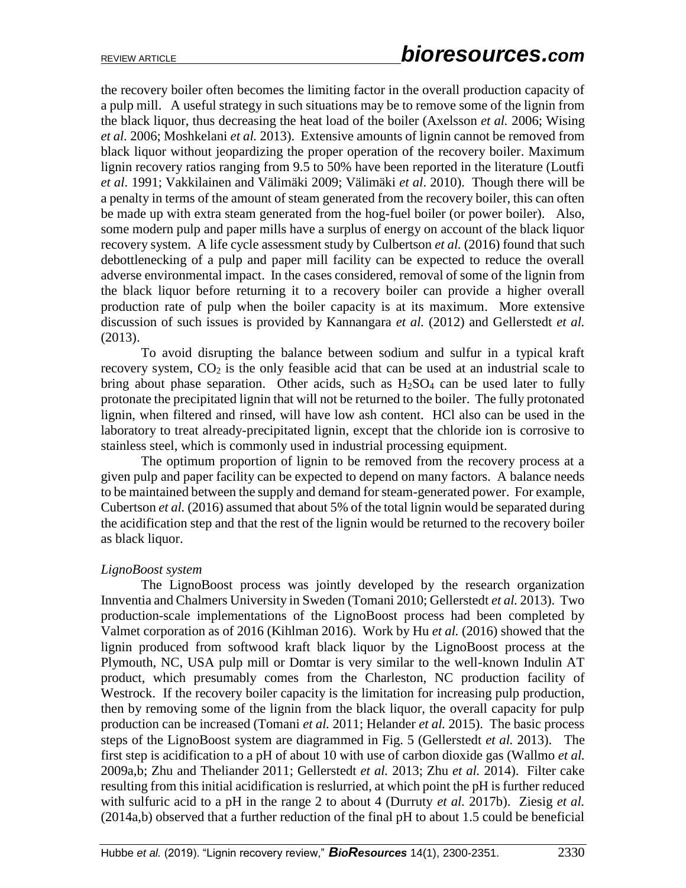the recovery boiler often becomes the limiting factor in the overall production capacity of a pulp mill. A useful strategy in such situations may be to remove some of the lignin from the black liquor, thus decreasing the heat load of the boiler (Axelsson *et al.* 2006; Wising *et al.* 2006; Moshkelani *et al.* 2013). Extensive amounts of lignin cannot be removed from black liquor without jeopardizing the proper operation of the recovery boiler. Maximum lignin recovery ratios ranging from 9.5 to 50% have been reported in the literature (Loutfi *et al*. 1991; Vakkilainen and Välimäki 2009; Välimäki *et al*. 2010). Though there will be a penalty in terms of the amount of steam generated from the recovery boiler, this can often be made up with extra steam generated from the hog-fuel boiler (or power boiler). Also, some modern pulp and paper mills have a surplus of energy on account of the black liquor recovery system. A life cycle assessment study by Culbertson *et al.* (2016) found that such debottlenecking of a pulp and paper mill facility can be expected to reduce the overall adverse environmental impact. In the cases considered, removal of some of the lignin from the black liquor before returning it to a recovery boiler can provide a higher overall production rate of pulp when the boiler capacity is at its maximum. More extensive discussion of such issues is provided by Kannangara *et al.* (2012) and Gellerstedt *et al.* (2013).

To avoid disrupting the balance between sodium and sulfur in a typical kraft recovery system,  $CO<sub>2</sub>$  is the only feasible acid that can be used at an industrial scale to bring about phase separation. Other acids, such as  $H<sub>2</sub>SO<sub>4</sub>$  can be used later to fully protonate the precipitated lignin that will not be returned to the boiler. The fully protonated lignin, when filtered and rinsed, will have low ash content. HCl also can be used in the laboratory to treat already-precipitated lignin, except that the chloride ion is corrosive to stainless steel, which is commonly used in industrial processing equipment.

The optimum proportion of lignin to be removed from the recovery process at a given pulp and paper facility can be expected to depend on many factors. A balance needs to be maintained between the supply and demand for steam-generated power. For example, Cubertson *et al.* (2016) assumed that about 5% of the total lignin would be separated during the acidification step and that the rest of the lignin would be returned to the recovery boiler as black liquor.

#### *LignoBoost system*

The LignoBoost process was jointly developed by the research organization Innventia and Chalmers University in Sweden (Tomani 2010; Gellerstedt *et al.* 2013). Two production-scale implementations of the LignoBoost process had been completed by Valmet corporation as of 2016 (Kihlman 2016). Work by Hu *et al.* (2016) showed that the lignin produced from softwood kraft black liquor by the LignoBoost process at the Plymouth, NC, USA pulp mill or Domtar is very similar to the well-known Indulin AT product, which presumably comes from the Charleston, NC production facility of Westrock. If the recovery boiler capacity is the limitation for increasing pulp production, then by removing some of the lignin from the black liquor, the overall capacity for pulp production can be increased (Tomani *et al.* 2011; Helander *et al.* 2015). The basic process steps of the LignoBoost system are diagrammed in Fig. 5 (Gellerstedt *et al.* 2013). The first step is acidification to a pH of about 10 with use of carbon dioxide gas (Wallmo *et al.*  2009a,b; Zhu and Theliander 2011; Gellerstedt *et al.* 2013; Zhu *et al.* 2014). Filter cake resulting from this initial acidification is reslurried, at which point the pH is further reduced with sulfuric acid to a pH in the range 2 to about 4 (Durruty *et al.* 2017b). Ziesig *et al.*  (2014a,b) observed that a further reduction of the final pH to about 1.5 could be beneficial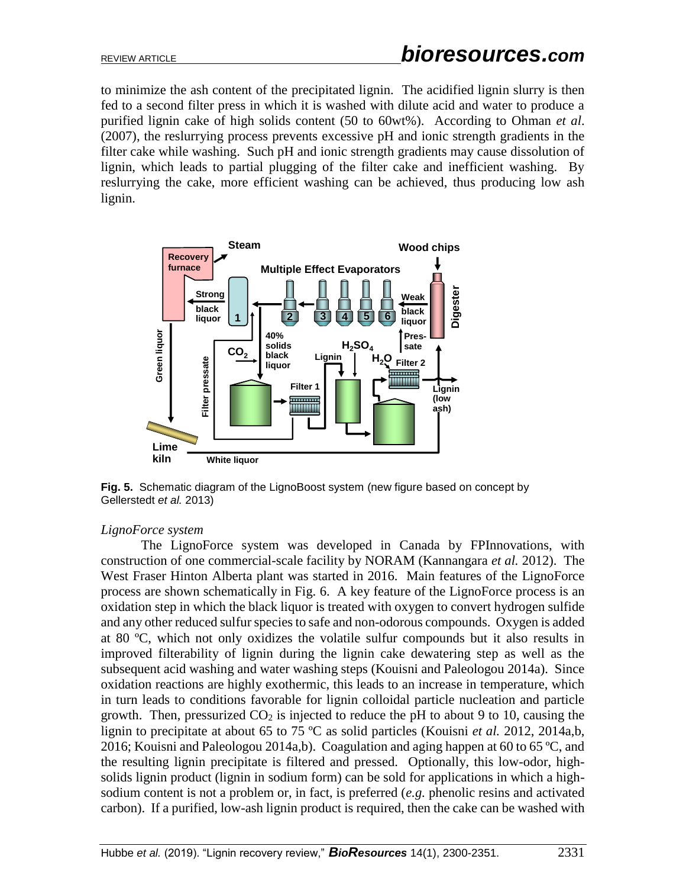to minimize the ash content of the precipitated lignin. The acidified lignin slurry is then fed to a second filter press in which it is washed with dilute acid and water to produce a purified lignin cake of high solids content (50 to 60wt%). According to Ohman *et al*. (2007), the reslurrying process prevents excessive pH and ionic strength gradients in the filter cake while washing. Such pH and ionic strength gradients may cause dissolution of lignin, which leads to partial plugging of the filter cake and inefficient washing. By reslurrying the cake, more efficient washing can be achieved, thus producing low ash lignin.



**Fig. 5.** Schematic diagram of the LignoBoost system (new figure based on concept by Gellerstedt *et al.* 2013)

#### *LignoForce system*

The LignoForce system was developed in Canada by FPInnovations, with construction of one commercial-scale facility by NORAM (Kannangara *et al.* 2012). The West Fraser Hinton Alberta plant was started in 2016. Main features of the LignoForce process are shown schematically in Fig. 6. A key feature of the LignoForce process is an oxidation step in which the black liquor is treated with oxygen to convert hydrogen sulfide and any other reduced sulfur species to safe and non-odorous compounds. Oxygen is added at 80 ºC, which not only oxidizes the volatile sulfur compounds but it also results in improved filterability of lignin during the lignin cake dewatering step as well as the subsequent acid washing and water washing steps (Kouisni and Paleologou 2014a). Since oxidation reactions are highly exothermic, this leads to an increase in temperature, which in turn leads to conditions favorable for lignin colloidal particle nucleation and particle growth. Then, pressurized  $CO<sub>2</sub>$  is injected to reduce the pH to about 9 to 10, causing the lignin to precipitate at about 65 to 75 ºC as solid particles (Kouisni *et al.* 2012, 2014a,b, 2016; Kouisni and Paleologou 2014a,b). Coagulation and aging happen at 60 to 65 ºC, and the resulting lignin precipitate is filtered and pressed. Optionally, this low-odor, highsolids lignin product (lignin in sodium form) can be sold for applications in which a highsodium content is not a problem or, in fact, is preferred (*e.g.* phenolic resins and activated carbon). If a purified, low-ash lignin product is required, then the cake can be washed with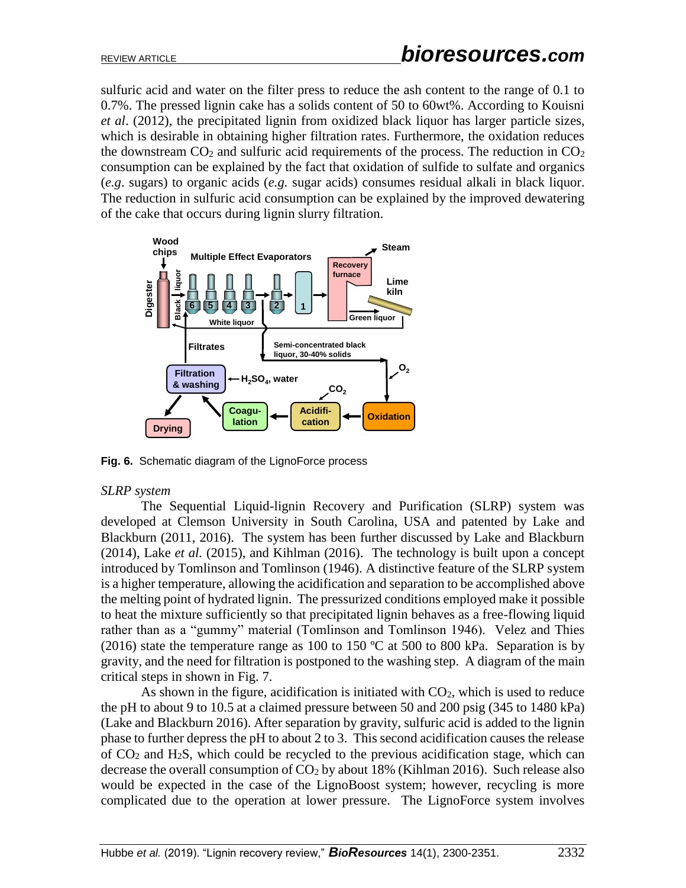sulfuric acid and water on the filter press to reduce the ash content to the range of 0.1 to 0.7%. The pressed lignin cake has a solids content of 50 to 60wt%. According to Kouisni *et al*. (2012), the precipitated lignin from oxidized black liquor has larger particle sizes, which is desirable in obtaining higher filtration rates. Furthermore, the oxidation reduces the downstream  $CO<sub>2</sub>$  and sulfuric acid requirements of the process. The reduction in  $CO<sub>2</sub>$ consumption can be explained by the fact that oxidation of sulfide to sulfate and organics (*e.g*. sugars) to organic acids (*e.g.* sugar acids) consumes residual alkali in black liquor. The reduction in sulfuric acid consumption can be explained by the improved dewatering of the cake that occurs during lignin slurry filtration.



**Fig. 6.** Schematic diagram of the LignoForce process

#### *SLRP system*

The Sequential Liquid-lignin Recovery and Purification (SLRP) system was developed at Clemson University in South Carolina, USA and patented by Lake and Blackburn (2011, 2016). The system has been further discussed by Lake and Blackburn (2014), Lake *et al.* (2015), and Kihlman (2016). The technology is built upon a concept introduced by Tomlinson and Tomlinson (1946). A distinctive feature of the SLRP system is a higher temperature, allowing the acidification and separation to be accomplished above the melting point of hydrated lignin. The pressurized conditions employed make it possible to heat the mixture sufficiently so that precipitated lignin behaves as a free-flowing liquid rather than as a "gummy" material (Tomlinson and Tomlinson 1946). Velez and Thies (2016) state the temperature range as 100 to 150  $^{\circ}$ C at 500 to 800 kPa. Separation is by gravity, and the need for filtration is postponed to the washing step. A diagram of the main critical steps in shown in Fig. 7.

As shown in the figure, acidification is initiated with  $CO<sub>2</sub>$ , which is used to reduce the pH to about 9 to 10.5 at a claimed pressure between 50 and 200 psig (345 to 1480 kPa) (Lake and Blackburn 2016). After separation by gravity, sulfuric acid is added to the lignin phase to further depress the pH to about 2 to 3. This second acidification causes the release of  $CO<sub>2</sub>$  and H<sub>2</sub>S, which could be recycled to the previous acidification stage, which can decrease the overall consumption of  $CO<sub>2</sub>$  by about 18% (Kihlman 2016). Such release also would be expected in the case of the LignoBoost system; however, recycling is more complicated due to the operation at lower pressure. The LignoForce system involves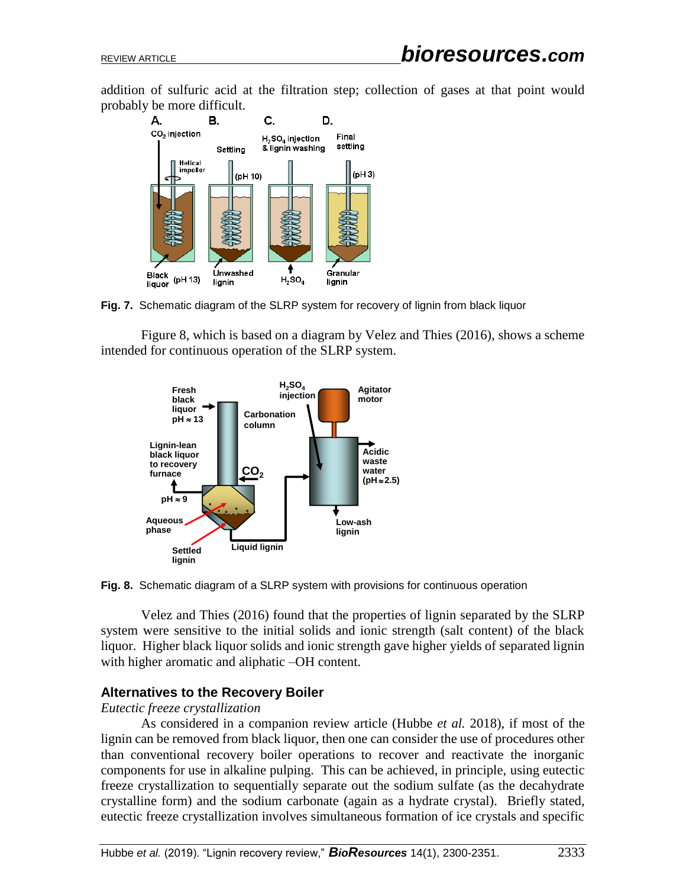addition of sulfuric acid at the filtration step; collection of gases at that point would probably be more difficult.



**Fig. 7.** Schematic diagram of the SLRP system for recovery of lignin from black liquor

Figure 8, which is based on a diagram by Velez and Thies (2016), shows a scheme intended for continuous operation of the SLRP system.





Velez and Thies (2016) found that the properties of lignin separated by the SLRP system were sensitive to the initial solids and ionic strength (salt content) of the black liquor. Higher black liquor solids and ionic strength gave higher yields of separated lignin with higher aromatic and aliphatic –OH content.

### **Alternatives to the Recovery Boiler**

#### *Eutectic freeze crystallization*

As considered in a companion review article (Hubbe *et al.* 2018), if most of the lignin can be removed from black liquor, then one can consider the use of procedures other than conventional recovery boiler operations to recover and reactivate the inorganic components for use in alkaline pulping. This can be achieved, in principle, using eutectic freeze crystallization to sequentially separate out the sodium sulfate (as the decahydrate crystalline form) and the sodium carbonate (again as a hydrate crystal). Briefly stated,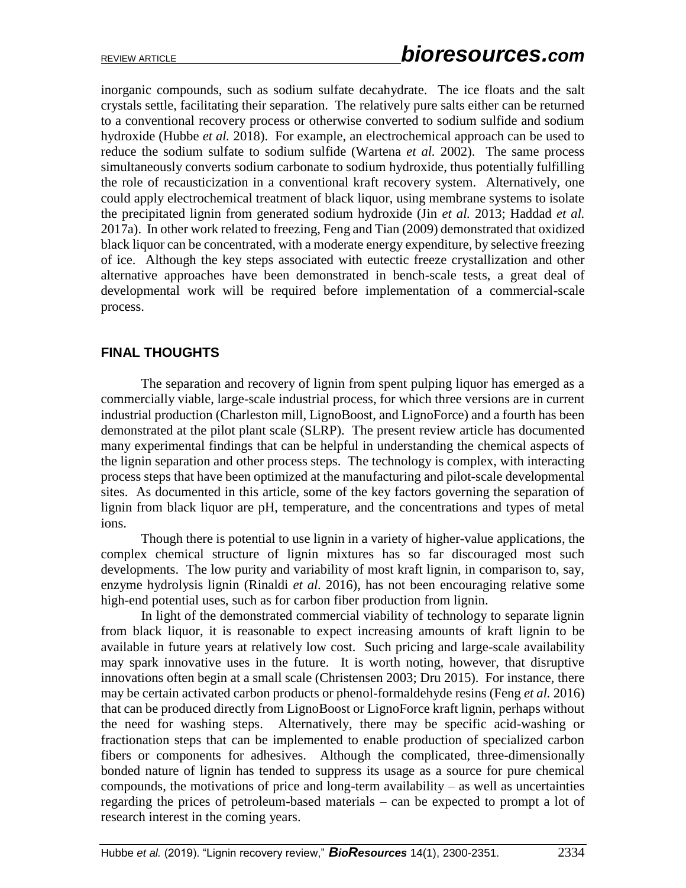inorganic compounds, such as sodium sulfate decahydrate. The ice floats and the salt crystals settle, facilitating their separation. The relatively pure salts either can be returned to a conventional recovery process or otherwise converted to sodium sulfide and sodium hydroxide (Hubbe *et al.* 2018). For example, an electrochemical approach can be used to reduce the sodium sulfate to sodium sulfide (Wartena *et al.* 2002). The same process simultaneously converts sodium carbonate to sodium hydroxide, thus potentially fulfilling the role of recausticization in a conventional kraft recovery system. Alternatively, one could apply electrochemical treatment of black liquor, using membrane systems to isolate the precipitated lignin from generated sodium hydroxide (Jin *et al.* 2013; Haddad *et al.*  2017a). In other work related to freezing, Feng and Tian (2009) demonstrated that oxidized black liquor can be concentrated, with a moderate energy expenditure, by selective freezing of ice. Although the key steps associated with eutectic freeze crystallization and other alternative approaches have been demonstrated in bench-scale tests, a great deal of developmental work will be required before implementation of a commercial-scale process.

# **FINAL THOUGHTS**

The separation and recovery of lignin from spent pulping liquor has emerged as a commercially viable, large-scale industrial process, for which three versions are in current industrial production (Charleston mill, LignoBoost, and LignoForce) and a fourth has been demonstrated at the pilot plant scale (SLRP). The present review article has documented many experimental findings that can be helpful in understanding the chemical aspects of the lignin separation and other process steps. The technology is complex, with interacting process steps that have been optimized at the manufacturing and pilot-scale developmental sites. As documented in this article, some of the key factors governing the separation of lignin from black liquor are pH, temperature, and the concentrations and types of metal ions.

Though there is potential to use lignin in a variety of higher-value applications, the complex chemical structure of lignin mixtures has so far discouraged most such developments. The low purity and variability of most kraft lignin, in comparison to, say, enzyme hydrolysis lignin (Rinaldi *et al.* 2016), has not been encouraging relative some high-end potential uses, such as for carbon fiber production from lignin.

In light of the demonstrated commercial viability of technology to separate lignin from black liquor, it is reasonable to expect increasing amounts of kraft lignin to be available in future years at relatively low cost. Such pricing and large-scale availability may spark innovative uses in the future. It is worth noting, however, that disruptive innovations often begin at a small scale (Christensen 2003; Dru 2015). For instance, there may be certain activated carbon products or phenol-formaldehyde resins (Feng *et al.* 2016) that can be produced directly from LignoBoost or LignoForce kraft lignin, perhaps without the need for washing steps. Alternatively, there may be specific acid-washing or fractionation steps that can be implemented to enable production of specialized carbon fibers or components for adhesives. Although the complicated, three-dimensionally bonded nature of lignin has tended to suppress its usage as a source for pure chemical compounds, the motivations of price and long-term availability – as well as uncertainties regarding the prices of petroleum-based materials – can be expected to prompt a lot of research interest in the coming years.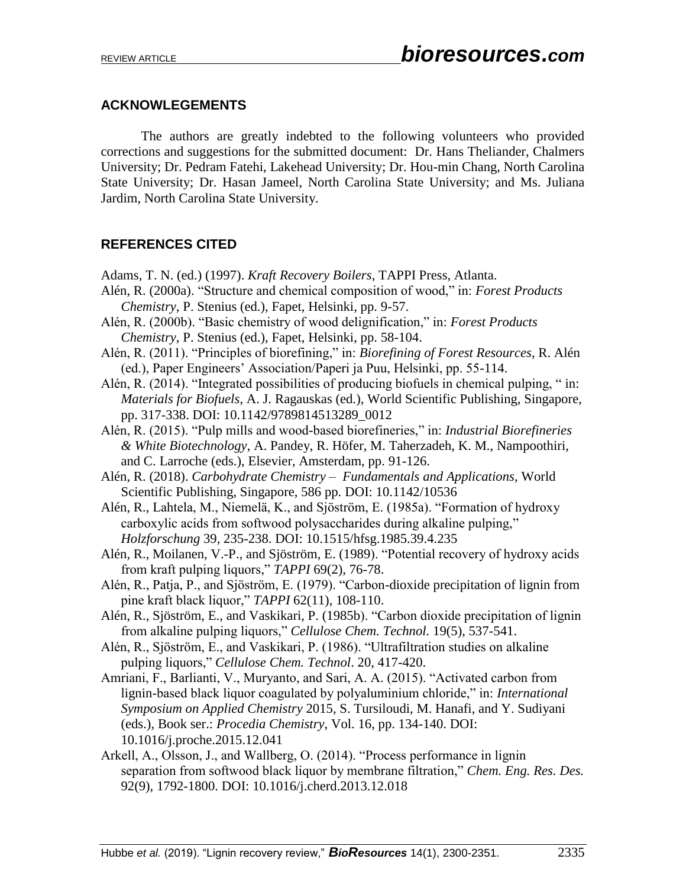#### **ACKNOWLEGEMENTS**

The authors are greatly indebted to the following volunteers who provided corrections and suggestions for the submitted document: Dr. Hans Theliander, Chalmers University; Dr. Pedram Fatehi, Lakehead University; Dr. Hou-min Chang, North Carolina State University; Dr. Hasan Jameel, North Carolina State University; and Ms. Juliana Jardim, North Carolina State University.

# **REFERENCES CITED**

- Adams, T. N. (ed.) (1997). *Kraft Recovery Boilers*, TAPPI Press, Atlanta.
- Alén, R. (2000a). "Structure and chemical composition of wood," in: *Forest Products Chemistry*, P. Stenius (ed.), Fapet, Helsinki, pp. 9-57.
- Alén, R. (2000b). "Basic chemistry of wood delignification," in: *Forest Products Chemistry*, P. Stenius (ed.), Fapet, Helsinki, pp. 58-104.
- Alén, R. (2011). "Principles of biorefining," in: *Biorefining of Forest Resources*, R. Alén (ed.), Paper Engineers' Association/Paperi ja Puu, Helsinki, pp. 55-114.
- Alén, R. (2014). "Integrated possibilities of producing biofuels in chemical pulping, " in: *Materials for Biofuels*, A. J. Ragauskas (ed.), World Scientific Publishing, Singapore, pp. 317-338. DOI: 10.1142/9789814513289\_0012
- Alén, R. (2015). "Pulp mills and wood-based biorefineries," in: *Industrial Biorefineries & White Biotechnology*, A. Pandey, R. Höfer, M. Taherzadeh, K. M., Nampoothiri, and C. Larroche (eds.), Elsevier, Amsterdam, pp. 91-126.
- Alén, R. (2018). *Carbohydrate Chemistry Fundamentals and Applications*, World Scientific Publishing, Singapore, 586 pp. DOI: 10.1142/10536
- Alén, R., Lahtela, M., Niemelä, K., and Sjöström, E. (1985a). "Formation of hydroxy carboxylic acids from softwood polysaccharides during alkaline pulping," *Holzforschung* 39, 235-238. DOI: 10.1515/hfsg.1985.39.4.235
- Alén, R., Moilanen, V.-P., and Sjöström, E. (1989). "Potential recovery of hydroxy acids from kraft pulping liquors," *TAPPI* 69(2), 76-78.
- Alén, R., Patja, P., and Sjöström, E. (1979). "Carbon-dioxide precipitation of lignin from pine kraft black liquor," *TAPPI* 62(11), 108-110.
- Alén, R., Sjöström, E., and Vaskikari, P. (1985b). "Carbon dioxide precipitation of lignin from alkaline pulping liquors," *Cellulose Chem. Technol.* 19(5), 537-541.
- Alén, R., Sjöström, E., and Vaskikari, P. (1986). "Ultrafiltration studies on alkaline pulping liquors," *Cellulose Chem. Technol*. 20, 417-420.
- Amriani, F., Barlianti, V., Muryanto, and Sari, A. A. (2015). "Activated carbon from lignin-based black liquor coagulated by polyaluminium chloride," in: *International Symposium on Applied Chemistry* 2015, S. Tursiloudi, M. Hanafi, and Y. Sudiyani (eds.), Book ser.: *Procedia Chemistry*, Vol. 16, pp. 134-140. DOI: 10.1016/j.proche.2015.12.041
- Arkell, A., Olsson, J., and Wallberg, O. (2014). "Process performance in lignin separation from softwood black liquor by membrane filtration," *Chem. Eng. Res. Des.*  92(9), 1792-1800. DOI: 10.1016/j.cherd.2013.12.018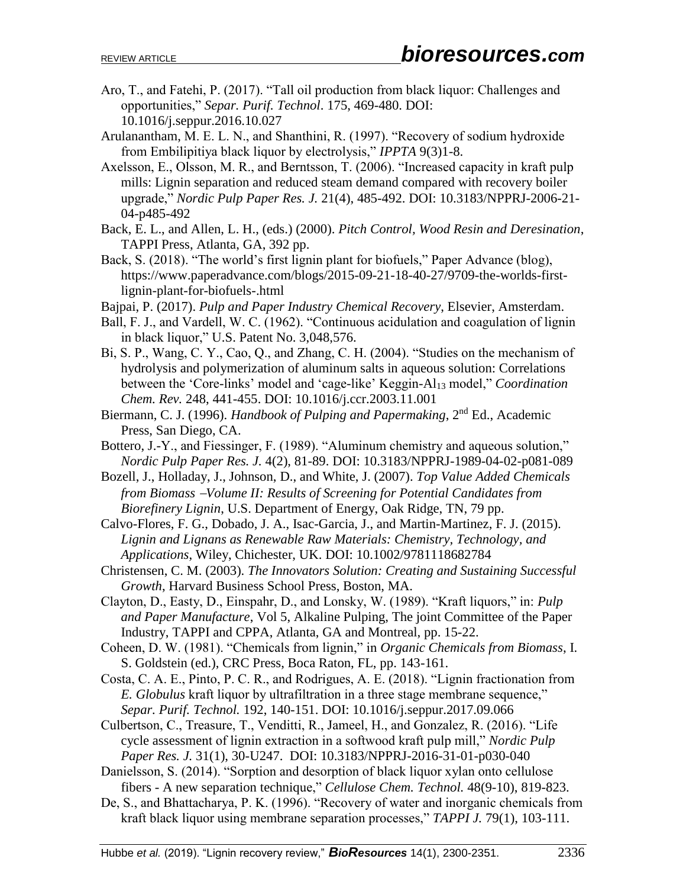- Aro, T., and Fatehi, P. (2017). "Tall oil production from black liquor: Challenges and opportunities," *Separ. Purif. Technol*. 175, 469-480. DOI: 10.1016/j.seppur.2016.10.027
- Arulanantham, M. E. L. N., and Shanthini, R. (1997). "Recovery of sodium hydroxide from Embilipitiya black liquor by electrolysis," *IPPTA* 9(3)1-8.
- Axelsson, E., Olsson, M. R., and Berntsson, T. (2006). "Increased capacity in kraft pulp mills: Lignin separation and reduced steam demand compared with recovery boiler upgrade," *Nordic Pulp Paper Res. J.* 21(4), 485-492. DOI: 10.3183/NPPRJ-2006-21- 04-p485-492
- Back, E. L., and Allen, L. H., (eds.) (2000). *Pitch Control, Wood Resin and Deresination*, TAPPI Press, Atlanta, GA, 392 pp.
- Back, S. (2018). "The world's first lignin plant for biofuels," Paper Advance (blog), https://www.paperadvance.com/blogs/2015-09-21-18-40-27/9709-the-worlds-firstlignin-plant-for-biofuels-.html
- Bajpai, P. (2017). *Pulp and Paper Industry Chemical Recovery*, Elsevier, Amsterdam.
- Ball, F. J., and Vardell, W. C. (1962). "Continuous acidulation and coagulation of lignin in black liquor," U.S. Patent No. 3,048,576.
- Bi, S. P., Wang, C. Y., Cao, Q., and Zhang, C. H. (2004). "Studies on the mechanism of hydrolysis and polymerization of aluminum salts in aqueous solution: Correlations between the 'Core-links' model and 'cage-like' Keggin-Al<sub>13</sub> model," *Coordination Chem. Rev.* 248, 441-455. DOI: 10.1016/j.ccr.2003.11.001
- Biermann, C. J. (1996). *Handbook of Pulping and Papermaking*, 2nd Ed., Academic Press, San Diego, CA.
- Bottero, J.-Y., and Fiessinger, F. (1989). "Aluminum chemistry and aqueous solution," *Nordic Pulp Paper Res. J.* 4(2), 81-89. DOI: 10.3183/NPPRJ-1989-04-02-p081-089
- Bozell, J., Holladay, J., Johnson, D., and White, J. (2007). *Top Value Added Chemicals from Biomass Volume II: Results of Screening for Potential Candidates from Biorefinery Lignin*, U.S. Department of Energy, Oak Ridge, TN, 79 pp.
- Calvo-Flores, F. G., Dobado, J. A., Isac-Garcia, J., and Martin-Martinez, F. J. (2015). *Lignin and Lignans as Renewable Raw Materials: Chemistry, Technology, and Applications*, Wiley, Chichester, UK. DOI: 10.1002/9781118682784
- Christensen, C. M. (2003). *The Innovators Solution: Creating and Sustaining Successful Growth*, Harvard Business School Press, Boston, MA.
- Clayton, D., Easty, D., Einspahr, D., and Lonsky, W. (1989). "Kraft liquors," in: *Pulp and Paper Manufacture*, Vol 5, Alkaline Pulping, The joint Committee of the Paper Industry, TAPPI and CPPA, Atlanta, GA and Montreal, pp. 15-22.
- Coheen, D. W. (1981). "Chemicals from lignin," in *Organic Chemicals from Biomass*, I. S. Goldstein (ed.), CRC Press, Boca Raton, FL, pp. 143-161.
- Costa, C. A. E., Pinto, P. C. R., and Rodrigues, A. E. (2018). "Lignin fractionation from *E. Globulus* kraft liquor by ultrafiltration in a three stage membrane sequence," *Separ. Purif. Technol.* 192, 140-151. DOI: 10.1016/j.seppur.2017.09.066
- Culbertson, C., Treasure, T., Venditti, R., Jameel, H., and Gonzalez, R. (2016). "Life cycle assessment of lignin extraction in a softwood kraft pulp mill," *Nordic Pulp Paper Res. J.* 31(1), 30-U247. DOI: 10.3183/NPPRJ-2016-31-01-p030-040
- Danielsson, S. (2014). "Sorption and desorption of black liquor xylan onto cellulose fibers - A new separation technique," *Cellulose Chem. Technol.* 48(9-10), 819-823.
- De, S., and Bhattacharya, P. K. (1996). "Recovery of water and inorganic chemicals from kraft black liquor using membrane separation processes," *TAPPI J.* 79(1), 103-111.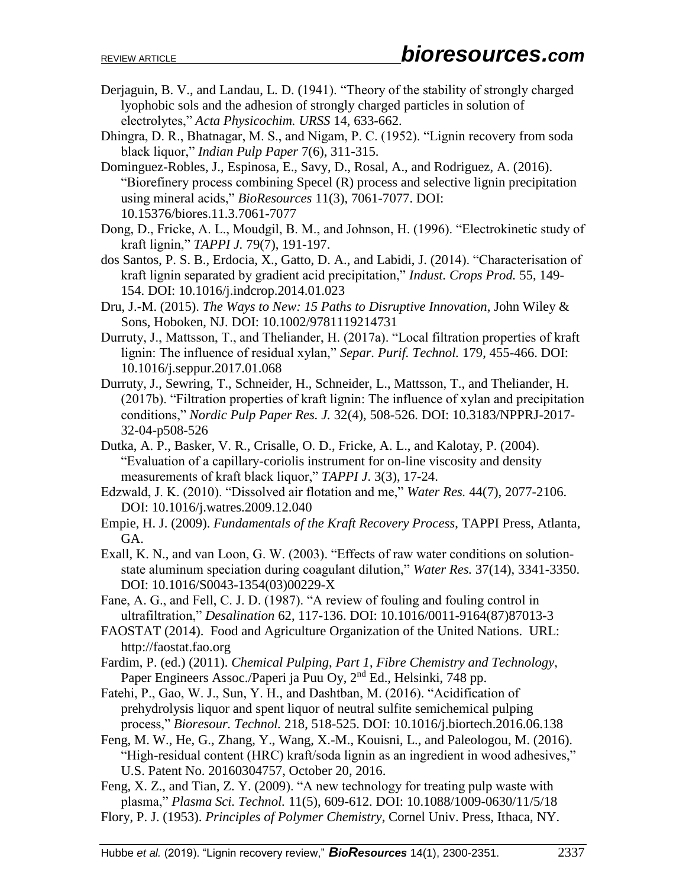- Derjaguin, B. V., and Landau, L. D. (1941). "Theory of the stability of strongly charged lyophobic sols and the adhesion of strongly charged particles in solution of electrolytes," *Acta Physicochim. URSS* 14, 633-662.
- Dhingra, D. R., Bhatnagar, M. S., and Nigam, P. C. (1952). "Lignin recovery from soda black liquor," *Indian Pulp Paper* 7(6), 311-315.
- Dominguez-Robles, J., Espinosa, E., Savy, D., Rosal, A., and Rodriguez, A. (2016). "Biorefinery process combining Specel (R) process and selective lignin precipitation using mineral acids," *BioResources* 11(3), 7061-7077. DOI: 10.15376/biores.11.3.7061-7077
- Dong, D., Fricke, A. L., Moudgil, B. M., and Johnson, H. (1996). "Electrokinetic study of kraft lignin," *TAPPI J.* 79(7), 191-197.
- dos Santos, P. S. B., Erdocia, X., Gatto, D. A., and Labidi, J. (2014). "Characterisation of kraft lignin separated by gradient acid precipitation," *Indust. Crops Prod.* 55, 149- 154. DOI: 10.1016/j.indcrop.2014.01.023
- Dru, J.-M. (2015). *The Ways to New: 15 Paths to Disruptive Innovation*, John Wiley & Sons, Hoboken, NJ. DOI: 10.1002/9781119214731
- Durruty, J., Mattsson, T., and Theliander, H. (2017a). "Local filtration properties of kraft lignin: The influence of residual xylan," *Separ. Purif. Technol.* 179, 455-466. DOI: 10.1016/j.seppur.2017.01.068
- Durruty, J., Sewring, T., Schneider, H., Schneider, L., Mattsson, T., and Theliander, H. (2017b). "Filtration properties of kraft lignin: The influence of xylan and precipitation conditions," *Nordic Pulp Paper Res. J.* 32(4), 508-526. DOI: 10.3183/NPPRJ-2017- 32-04-p508-526
- Dutka, A. P., Basker, V. R., Crisalle, O. D., Fricke, A. L., and Kalotay, P. (2004). "Evaluation of a capillary-coriolis instrument for on-line viscosity and density measurements of kraft black liquor," *TAPPI J*. 3(3), 17-24.
- Edzwald, J. K. (2010). "Dissolved air flotation and me," *Water Res.* 44(7), 2077-2106. DOI: 10.1016/j.watres.2009.12.040
- Empie, H. J. (2009). *Fundamentals of the Kraft Recovery Process*, TAPPI Press, Atlanta, GA.
- Exall, K. N., and van Loon, G. W. (2003). "Effects of raw water conditions on solutionstate aluminum speciation during coagulant dilution," *Water Res.* 37(14), 3341-3350. DOI: 10.1016/S0043-1354(03)00229-X
- Fane, A. G., and Fell, C. J. D. (1987). "A review of fouling and fouling control in ultrafiltration," *Desalination* 62, 117-136. DOI: 10.1016/0011-9164(87)87013-3
- FAOSTAT (2014). Food and Agriculture Organization of the United Nations. URL: http://faostat.fao.org
- Fardim, P. (ed.) (2011). *Chemical Pulping*, *Part 1*, *Fibre Chemistry and Technology*, Paper Engineers Assoc./Paperi ja Puu Oy, 2nd Ed., Helsinki, 748 pp.
- Fatehi, P., Gao, W. J., Sun, Y. H., and Dashtban, M. (2016). "Acidification of prehydrolysis liquor and spent liquor of neutral sulfite semichemical pulping process," *Bioresour. Technol.* 218, 518-525. DOI: 10.1016/j.biortech.2016.06.138
- Feng, M. W., He, G., Zhang, Y., Wang, X.-M., Kouisni, L., and Paleologou, M. (2016). "High-residual content (HRC) kraft/soda lignin as an ingredient in wood adhesives," U.S. Patent No. 20160304757, October 20, 2016.
- Feng, X. Z., and Tian, Z. Y. (2009). "A new technology for treating pulp waste with plasma," *Plasma Sci. Technol.* 11(5), 609-612. DOI: 10.1088/1009-0630/11/5/18
- Flory, P. J. (1953). *Principles of Polymer Chemistry*, Cornel Univ. Press, Ithaca, NY.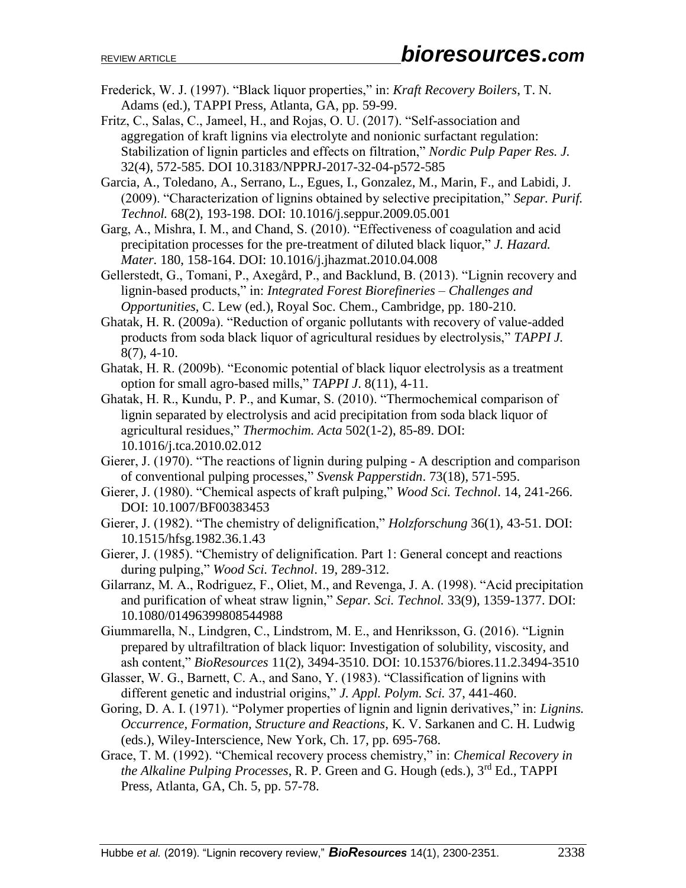- Frederick, W. J. (1997). "Black liquor properties," in: *Kraft Recovery Boilers*, T. N. Adams (ed.), TAPPI Press, Atlanta, GA, pp. 59-99.
- Fritz, C., Salas, C., Jameel, H., and Rojas, O. U. (2017). "Self-association and aggregation of kraft lignins via electrolyte and nonionic surfactant regulation: Stabilization of lignin particles and effects on filtration," *Nordic Pulp Paper Res. J.* 32(4), 572-585. DOI 10.3183/NPPRJ-2017-32-04-p572-585
- Garcia, A., Toledano, A., Serrano, L., Egues, I., Gonzalez, M., Marin, F., and Labidi, J. (2009). "Characterization of lignins obtained by selective precipitation," *Separ. Purif. Technol.* 68(2), 193-198. DOI: 10.1016/j.seppur.2009.05.001
- Garg, A., Mishra, I. M., and Chand, S. (2010). "Effectiveness of coagulation and acid precipitation processes for the pre-treatment of diluted black liquor," *J. Hazard. Mater.* 180, 158-164. DOI: 10.1016/j.jhazmat.2010.04.008
- Gellerstedt, G., Tomani, P., Axegård, P., and Backlund, B. (2013). "Lignin recovery and lignin-based products," in: *Integrated Forest Biorefineries – Challenges and Opportunities*, C. Lew (ed.), Royal Soc. Chem., Cambridge, pp. 180-210.
- Ghatak, H. R. (2009a). "Reduction of organic pollutants with recovery of value-added products from soda black liquor of agricultural residues by electrolysis," *TAPPI J.*  8(7), 4-10.
- Ghatak, H. R. (2009b). "Economic potential of black liquor electrolysis as a treatment option for small agro-based mills," *TAPPI J*. 8(11), 4-11.
- Ghatak, H. R., Kundu, P. P., and Kumar, S. (2010). "Thermochemical comparison of lignin separated by electrolysis and acid precipitation from soda black liquor of agricultural residues," *Thermochim. Acta* 502(1-2), 85-89. DOI: 10.1016/j.tca.2010.02.012
- Gierer, J. (1970). "The reactions of lignin during pulping A description and comparison of conventional pulping processes," *Svensk Papperstidn*. 73(18), 571-595.
- Gierer, J. (1980). "Chemical aspects of kraft pulping," *Wood Sci. Technol*. 14, 241-266. DOI: 10.1007/BF00383453
- Gierer, J. (1982). "The chemistry of delignification," *Holzforschung* 36(1), 43-51. DOI: 10.1515/hfsg.1982.36.1.43
- Gierer, J. (1985). "Chemistry of delignification. Part 1: General concept and reactions during pulping," *Wood Sci. Technol*. 19, 289-312.
- Gilarranz, M. A., Rodriguez, F., Oliet, M., and Revenga, J. A. (1998). "Acid precipitation and purification of wheat straw lignin," *Separ. Sci. Technol.* 33(9), 1359-1377. DOI: 10.1080/01496399808544988
- Giummarella, N., Lindgren, C., Lindstrom, M. E., and Henriksson, G. (2016). "Lignin prepared by ultrafiltration of black liquor: Investigation of solubility, viscosity, and ash content," *BioResources* 11(2), 3494-3510. DOI: 10.15376/biores.11.2.3494-3510
- Glasser, W. G., Barnett, C. A., and Sano, Y. (1983). "Classification of lignins with different genetic and industrial origins," *J. Appl. Polym. Sci.* 37, 441-460.
- Goring, D. A. I. (1971). "Polymer properties of lignin and lignin derivatives," in: *Lignins. Occurrence, Formation, Structure and Reactions*, K. V. Sarkanen and C. H. Ludwig (eds.), Wiley-Interscience, New York, Ch. 17, pp. 695-768.
- Grace, T. M. (1992). "Chemical recovery process chemistry," in: *Chemical Recovery in the Alkaline Pulping Processes*, R. P. Green and G. Hough (eds.), 3rd Ed., TAPPI Press, Atlanta, GA, Ch. 5, pp. 57-78.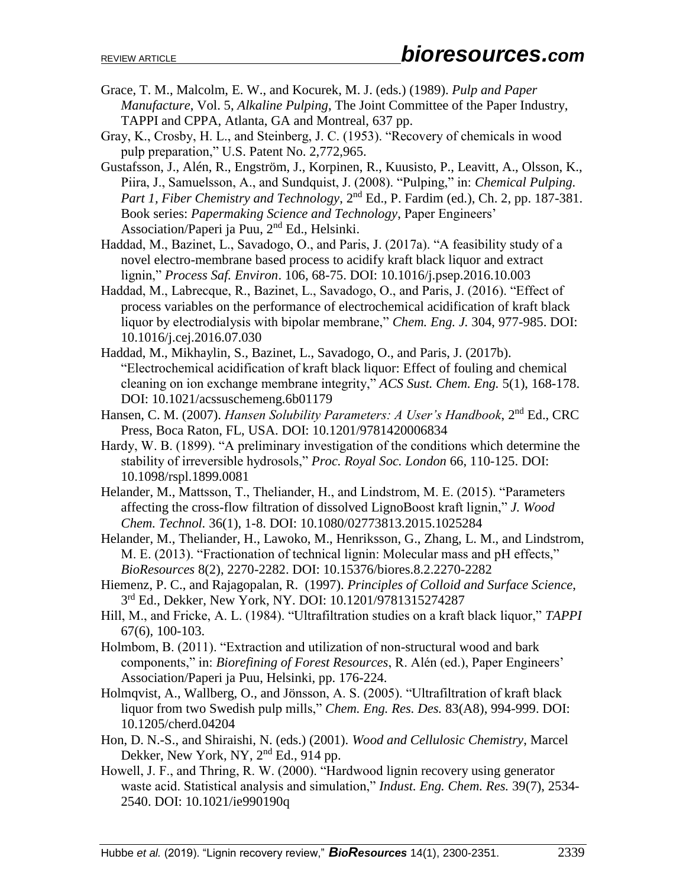- Grace, T. M., Malcolm, E. W., and Kocurek, M. J. (eds.) (1989). *Pulp and Paper Manufacture*, Vol. 5, *Alkaline Pulping*, The Joint Committee of the Paper Industry, TAPPI and CPPA, Atlanta, GA and Montreal, 637 pp.
- Gray, K., Crosby, H. L., and Steinberg, J. C. (1953). "Recovery of chemicals in wood pulp preparation," U.S. Patent No. 2,772,965.
- Gustafsson, J., Alén, R., Engström, J., Korpinen, R., Kuusisto, P., Leavitt, A., Olsson, K., Piira, J., Samuelsson, A., and Sundquist, J. (2008). "Pulping," in: *Chemical Pulping. Part 1, Fiber Chemistry and Technology*, 2<sup>nd</sup> Ed., P. Fardim (ed.), Ch. 2, pp. 187-381. Book series: *Papermaking Science and Technology*, Paper Engineers' Association/Paperi ja Puu, 2nd Ed., Helsinki.
- Haddad, M., Bazinet, L., Savadogo, O., and Paris, J. (2017a). "A feasibility study of a novel electro-membrane based process to acidify kraft black liquor and extract lignin," *Process Saf. Environ*. 106, 68-75. DOI: 10.1016/j.psep.2016.10.003
- Haddad, M., Labrecque, R., Bazinet, L., Savadogo, O., and Paris, J. (2016). "Effect of process variables on the performance of electrochemical acidification of kraft black liquor by electrodialysis with bipolar membrane," *Chem. Eng. J.* 304, 977-985. DOI: 10.1016/j.cej.2016.07.030
- Haddad, M., Mikhaylin, S., Bazinet, L., Savadogo, O., and Paris, J. (2017b). "Electrochemical acidification of kraft black liquor: Effect of fouling and chemical cleaning on ion exchange membrane integrity," *ACS Sust. Chem. Eng.* 5(1), 168-178. DOI: 10.1021/acssuschemeng.6b01179
- Hansen, C. M. (2007). *Hansen Solubility Parameters: A User's Handbook*, 2nd Ed., CRC Press, Boca Raton, FL, USA. DOI: 10.1201/9781420006834
- Hardy, W. B. (1899). "A preliminary investigation of the conditions which determine the stability of irreversible hydrosols," *Proc. Royal Soc. London* 66, 110-125. DOI: 10.1098/rspl.1899.0081
- Helander, M., Mattsson, T., Theliander, H., and Lindstrom, M. E. (2015). "Parameters affecting the cross-flow filtration of dissolved LignoBoost kraft lignin," *J. Wood Chem. Technol.* 36(1), 1-8. DOI: 10.1080/02773813.2015.1025284
- Helander, M., Theliander, H., Lawoko, M., Henriksson, G., Zhang, L. M., and Lindstrom, M. E. (2013). "Fractionation of technical lignin: Molecular mass and pH effects," *BioResources* 8(2), 2270-2282. DOI: 10.15376/biores.8.2.2270-2282
- Hiemenz, P. C., and Rajagopalan, R. (1997). *Principles of Colloid and Surface Science*, 3 rd Ed., Dekker, New York, NY. DOI: 10.1201/9781315274287
- Hill, M., and Fricke, A. L. (1984). "Ultrafiltration studies on a kraft black liquor," *TAPPI* 67(6), 100-103.
- Holmbom, B. (2011). "Extraction and utilization of non-structural wood and bark components," in: *Biorefining of Forest Resources*, R. Alén (ed.), Paper Engineers' Association/Paperi ja Puu, Helsinki, pp. 176-224.
- Holmqvist, A., Wallberg, O., and Jönsson, A. S. (2005). "Ultrafiltration of kraft black liquor from two Swedish pulp mills," *Chem. Eng. Res. Des.* 83(A8), 994-999. DOI: 10.1205/cherd.04204
- Hon, D. N.-S., and Shiraishi, N. (eds.) (2001). *Wood and Cellulosic Chemistry*, Marcel Dekker, New York, NY, 2<sup>nd</sup> Ed., 914 pp.
- Howell, J. F., and Thring, R. W. (2000). "Hardwood lignin recovery using generator waste acid. Statistical analysis and simulation," *Indust. Eng. Chem. Res.* 39(7), 2534- 2540. DOI: 10.1021/ie990190q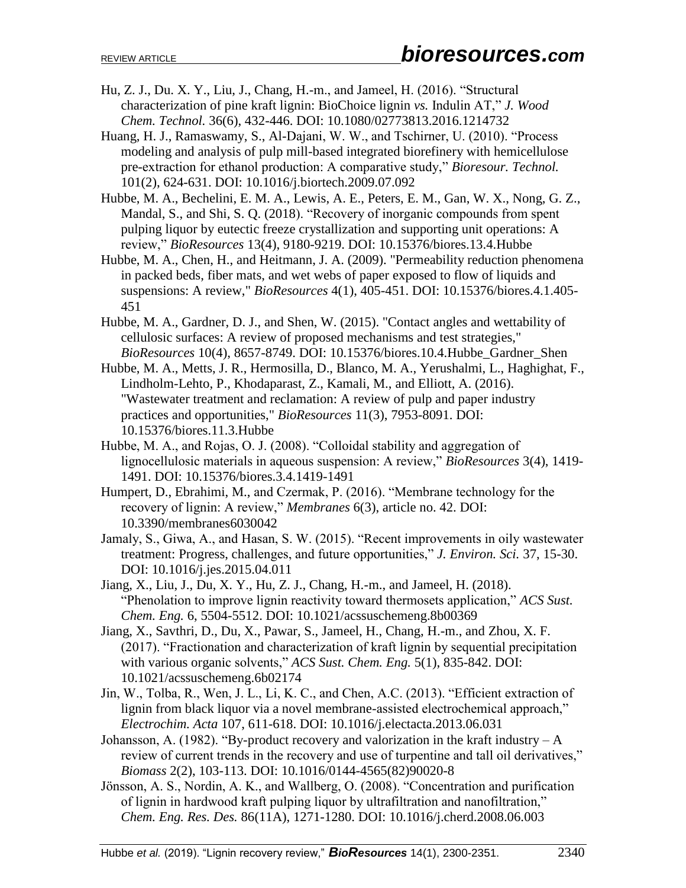- Hu, Z. J., Du. X. Y., Liu, J., Chang, H.-m., and Jameel, H. (2016). "Structural characterization of pine kraft lignin: BioChoice lignin *vs.* Indulin AT," *J. Wood Chem. Technol.* 36(6), 432-446. DOI: 10.1080/02773813.2016.1214732
- Huang, H. J., Ramaswamy, S., Al-Dajani, W. W., and Tschirner, U. (2010). "Process modeling and analysis of pulp mill-based integrated biorefinery with hemicellulose pre-extraction for ethanol production: A comparative study," *Bioresour. Technol.*  101(2), 624-631. DOI: 10.1016/j.biortech.2009.07.092
- Hubbe, M. A., Bechelini, E. M. A., Lewis, A. E., Peters, E. M., Gan, W. X., Nong, G. Z., Mandal, S., and Shi, S. Q. (2018). "Recovery of inorganic compounds from spent pulping liquor by eutectic freeze crystallization and supporting unit operations: A review," *BioResources* 13(4), 9180-9219. DOI: 10.15376/biores.13.4.Hubbe
- Hubbe, M. A., Chen, H., and Heitmann, J. A. (2009). "Permeability reduction phenomena in packed beds, fiber mats, and wet webs of paper exposed to flow of liquids and suspensions: A review," *BioResources* 4(1), 405-451. DOI: 10.15376/biores.4.1.405- 451
- Hubbe, M. A., Gardner, D. J., and Shen, W. (2015). "Contact angles and wettability of cellulosic surfaces: A review of proposed mechanisms and test strategies," *BioResources* 10(4), 8657-8749. DOI: 10.15376/biores.10.4.Hubbe\_Gardner\_Shen
- Hubbe, M. A., Metts, J. R., Hermosilla, D., Blanco, M. A., Yerushalmi, L., Haghighat, F., Lindholm-Lehto, P., Khodaparast, Z., Kamali, M., and Elliott, A. (2016). "Wastewater treatment and reclamation: A review of pulp and paper industry practices and opportunities," *BioResources* 11(3), 7953-8091. DOI: 10.15376/biores.11.3.Hubbe
- Hubbe, M. A., and Rojas, O. J. (2008). "Colloidal stability and aggregation of lignocellulosic materials in aqueous suspension: A review," *BioResources* 3(4), 1419- 1491. DOI: 10.15376/biores.3.4.1419-1491
- Humpert, D., Ebrahimi, M., and Czermak, P. (2016). "Membrane technology for the recovery of lignin: A review," *Membranes* 6(3), article no. 42. DOI: 10.3390/membranes6030042
- Jamaly, S., Giwa, A., and Hasan, S. W. (2015). "Recent improvements in oily wastewater treatment: Progress, challenges, and future opportunities," *J. Environ. Sci.* 37, 15-30. DOI: 10.1016/j.jes.2015.04.011
- Jiang, X., Liu, J., Du, X. Y., Hu, Z. J., Chang, H.-m., and Jameel, H. (2018). "Phenolation to improve lignin reactivity toward thermosets application," *ACS Sust. Chem. Eng.* 6, 5504-5512. DOI: 10.1021/acssuschemeng.8b00369
- Jiang, X., Savthri, D., Du, X., Pawar, S., Jameel, H., Chang, H.-m., and Zhou, X. F. (2017). "Fractionation and characterization of kraft lignin by sequential precipitation with various organic solvents," *ACS Sust. Chem. Eng.* 5(1), 835-842. DOI: 10.1021/acssuschemeng.6b02174
- Jin, W., Tolba, R., Wen, J. L., Li, K. C., and Chen, A.C. (2013). "Efficient extraction of lignin from black liquor via a novel membrane-assisted electrochemical approach," *Electrochim. Acta* 107, 611-618. DOI: 10.1016/j.electacta.2013.06.031
- Johansson, A. (1982). "By-product recovery and valorization in the kraft industry  $-A$ review of current trends in the recovery and use of turpentine and tall oil derivatives," *Biomass* 2(2), 103-113. DOI: 10.1016/0144-4565(82)90020-8
- Jönsson, A. S., Nordin, A. K., and Wallberg, O. (2008). "Concentration and purification of lignin in hardwood kraft pulping liquor by ultrafiltration and nanofiltration," *Chem. Eng. Res. Des.* 86(11A), 1271-1280. DOI: 10.1016/j.cherd.2008.06.003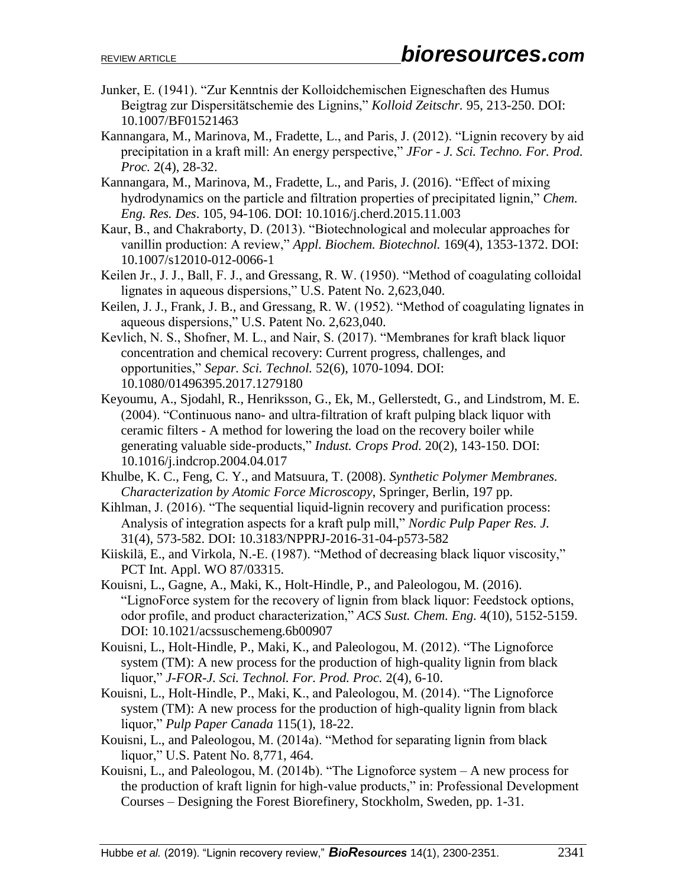- Junker, E. (1941). "Zur Kenntnis der Kolloidchemischen Eigneschaften des Humus Beigtrag zur Dispersitätschemie des Lignins," *Kolloid Zeitschr.* 95, 213-250. DOI: 10.1007/BF01521463
- Kannangara, M., Marinova, M., Fradette, L., and Paris, J. (2012). "Lignin recovery by aid precipitation in a kraft mill: An energy perspective," *JFor - J. Sci. Techno. For. Prod. Proc.* 2(4), 28-32.
- Kannangara, M., Marinova, M., Fradette, L., and Paris, J. (2016). "Effect of mixing hydrodynamics on the particle and filtration properties of precipitated lignin," *Chem. Eng. Res. Des*. 105, 94-106. DOI: 10.1016/j.cherd.2015.11.003
- Kaur, B., and Chakraborty, D. (2013). "Biotechnological and molecular approaches for vanillin production: A review," *Appl. Biochem. Biotechnol.* 169(4), 1353-1372. DOI: 10.1007/s12010-012-0066-1
- Keilen Jr., J. J., Ball, F. J., and Gressang, R. W. (1950). "Method of coagulating colloidal lignates in aqueous dispersions," U.S. Patent No. 2,623,040.
- Keilen, J. J., Frank, J. B., and Gressang, R. W. (1952). "Method of coagulating lignates in aqueous dispersions," U.S. Patent No. 2,623,040.
- Kevlich, N. S., Shofner, M. L., and Nair, S. (2017). "Membranes for kraft black liquor concentration and chemical recovery: Current progress, challenges, and opportunities," *Separ. Sci. Technol.* 52(6), 1070-1094. DOI: 10.1080/01496395.2017.1279180
- Keyoumu, A., Sjodahl, R., Henriksson, G., Ek, M., Gellerstedt, G., and Lindstrom, M. E. (2004). "Continuous nano- and ultra-filtration of kraft pulping black liquor with ceramic filters - A method for lowering the load on the recovery boiler while generating valuable side-products," *Indust. Crops Prod.* 20(2), 143-150. DOI: 10.1016/j.indcrop.2004.04.017
- Khulbe, K. C., Feng, C. Y., and Matsuura, T. (2008). *Synthetic Polymer Membranes. Characterization by Atomic Force Microscopy*, Springer, Berlin, 197 pp.
- Kihlman, J. (2016). "The sequential liquid-lignin recovery and purification process: Analysis of integration aspects for a kraft pulp mill," *Nordic Pulp Paper Res. J.*  31(4), 573-582. DOI: 10.3183/NPPRJ-2016-31-04-p573-582
- Kiiskilä, E., and Virkola, N.-E. (1987). "Method of decreasing black liquor viscosity," PCT Int. Appl. WO 87/03315.
- Kouisni, L., Gagne, A., Maki, K., Holt-Hindle, P., and Paleologou, M. (2016). "LignoForce system for the recovery of lignin from black liquor: Feedstock options, odor profile, and product characterization," *ACS Sust. Chem. Eng.* 4(10), 5152-5159. DOI: 10.1021/acssuschemeng.6b00907
- Kouisni, L., Holt-Hindle, P., Maki, K., and Paleologou, M. (2012). "The Lignoforce system (TM): A new process for the production of high-quality lignin from black liquor," *J-FOR-J. Sci. Technol. For. Prod. Proc.* 2(4), 6-10.
- Kouisni, L., Holt-Hindle, P., Maki, K., and Paleologou, M. (2014). "The Lignoforce system (TM): A new process for the production of high-quality lignin from black liquor," *Pulp Paper Canada* 115(1), 18-22.
- Kouisni, L., and Paleologou, M. (2014a). "Method for separating lignin from black liquor," U.S. Patent No. 8,771, 464.
- Kouisni, L., and Paleologou, M. (2014b). "The Lignoforce system A new process for the production of kraft lignin for high-value products," in: Professional Development Courses – Designing the Forest Biorefinery, Stockholm, Sweden, pp. 1-31.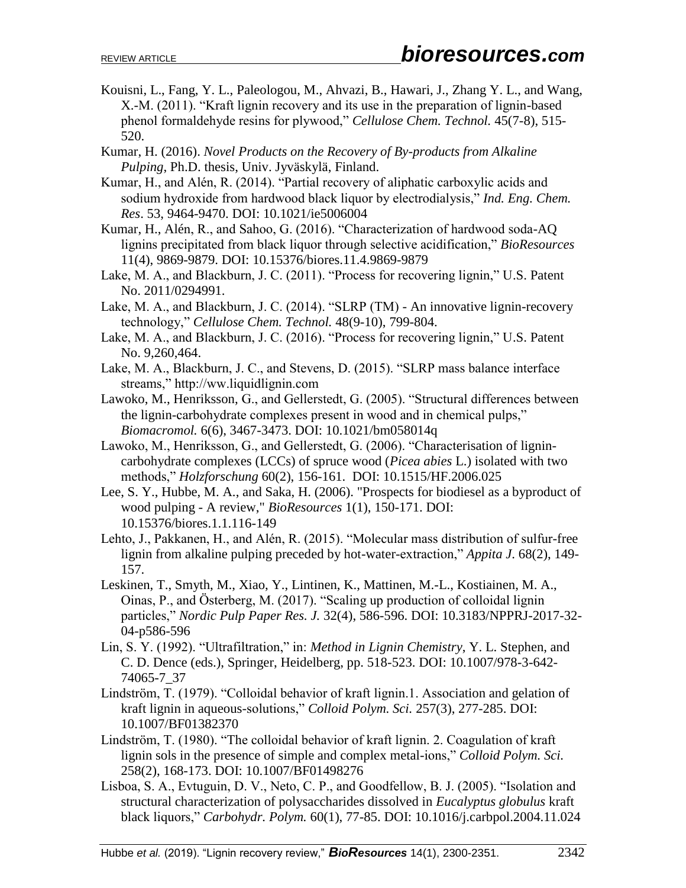- Kouisni, L., Fang, Y. L., Paleologou, M., Ahvazi, B., Hawari, J., Zhang Y. L., and Wang, X.-M. (2011). "Kraft lignin recovery and its use in the preparation of lignin-based phenol formaldehyde resins for plywood," *Cellulose Chem. Technol.* 45(7-8), 515- 520.
- Kumar, H. (2016). *Novel Products on the Recovery of By-products from Alkaline Pulping*, Ph.D. thesis, Univ. Jyväskylä, Finland.
- Kumar, H., and Alén, R. (2014). "Partial recovery of aliphatic carboxylic acids and sodium hydroxide from hardwood black liquor by electrodialysis," *Ind. Eng. Chem. Res*. 53, 9464-9470. DOI: 10.1021/ie5006004
- Kumar, H., Alén, R., and Sahoo, G. (2016). "Characterization of hardwood soda-AQ lignins precipitated from black liquor through selective acidification," *BioResources*  11(4), 9869-9879. DOI: 10.15376/biores.11.4.9869-9879
- Lake, M. A., and Blackburn, J. C. (2011). "Process for recovering lignin," U.S. Patent No. 2011/0294991.
- Lake, M. A., and Blackburn, J. C. (2014). "SLRP (TM) An innovative lignin-recovery technology," *Cellulose Chem. Technol.* 48(9-10), 799-804.
- Lake, M. A., and Blackburn, J. C. (2016). "Process for recovering lignin," U.S. Patent No. 9,260,464.
- Lake, M. A., Blackburn, J. C., and Stevens, D. (2015). "SLRP mass balance interface streams," http://ww.liquidlignin.com
- Lawoko, M., Henriksson, G., and Gellerstedt, G. (2005). "Structural differences between the lignin-carbohydrate complexes present in wood and in chemical pulps," *Biomacromol.* 6(6), 3467-3473. DOI: 10.1021/bm058014q
- Lawoko, M., Henriksson, G., and Gellerstedt, G. (2006). "Characterisation of lignincarbohydrate complexes (LCCs) of spruce wood (*Picea abies* L.) isolated with two methods," *Holzforschung* 60(2), 156-161. DOI: 10.1515/HF.2006.025
- Lee, S. Y., Hubbe, M. A., and Saka, H. (2006). "Prospects for biodiesel as a byproduct of wood pulping - A review," *BioResources* 1(1), 150-171. DOI: 10.15376/biores.1.1.116-149
- Lehto, J., Pakkanen, H., and Alén, R. (2015). "Molecular mass distribution of sulfur-free lignin from alkaline pulping preceded by hot-water-extraction," *Appita J*. 68(2), 149- 157.
- Leskinen, T., Smyth, M., Xiao, Y., Lintinen, K., Mattinen, M.-L., Kostiainen, M. A., Oinas, P., and Österberg, M. (2017). "Scaling up production of colloidal lignin particles," *Nordic Pulp Paper Res. J.* 32(4), 586-596. DOI: 10.3183/NPPRJ-2017-32- 04-p586-596
- Lin, S. Y. (1992). "Ultrafiltration," in: *Method in Lignin Chemistry*, Y. L. Stephen, and C. D. Dence (eds.), Springer, Heidelberg, pp. 518-523. DOI: 10.1007/978-3-642- 74065-7\_37
- Lindström, T. (1979). "Colloidal behavior of kraft lignin.1. Association and gelation of kraft lignin in aqueous-solutions," *Colloid Polym. Sci.* 257(3), 277-285. DOI: 10.1007/BF01382370
- Lindström, T. (1980). "The colloidal behavior of kraft lignin. 2. Coagulation of kraft lignin sols in the presence of simple and complex metal-ions," *Colloid Polym. Sci.*  258(2), 168-173. DOI: 10.1007/BF01498276
- Lisboa, S. A., Evtuguin, D. V., Neto, C. P., and Goodfellow, B. J. (2005). "Isolation and structural characterization of polysaccharides dissolved in *Eucalyptus globulus* kraft black liquors," *Carbohydr. Polym.* 60(1), 77-85. DOI: 10.1016/j.carbpol.2004.11.024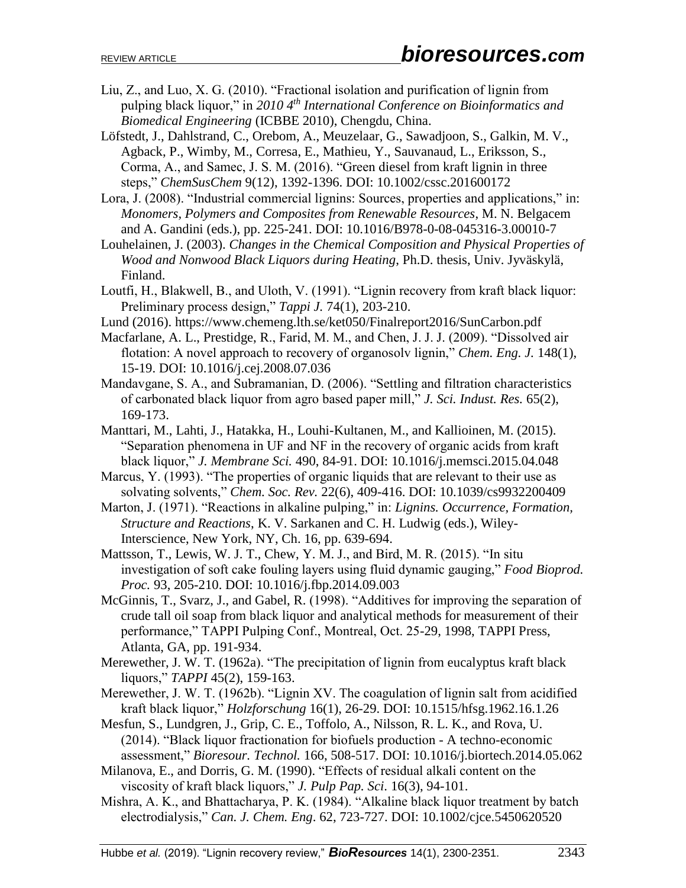- Liu, Z., and Luo, X. G. (2010). "Fractional isolation and purification of lignin from pulping black liquor," in *2010 4th International Conference on Bioinformatics and Biomedical Engineering* (ICBBE 2010), Chengdu, China.
- Löfstedt, J., Dahlstrand, C., Orebom, A., Meuzelaar, G., Sawadjoon, S., Galkin, M. V., Agback, P., Wimby, M., Corresa, E., Mathieu, Y., Sauvanaud, L., Eriksson, S., Corma, A., and Samec, J. S. M. (2016). "Green diesel from kraft lignin in three steps," *ChemSusChem* 9(12), 1392-1396. DOI: 10.1002/cssc.201600172
- Lora, J. (2008). "Industrial commercial lignins: Sources, properties and applications," in: *Monomers, Polymers and Composites from Renewable Resources*, M. N. Belgacem and A. Gandini (eds.), pp. 225-241. DOI: 10.1016/B978-0-08-045316-3.00010-7
- Louhelainen, J. (2003). *Changes in the Chemical Composition and Physical Properties of Wood and Nonwood Black Liquors during Heating*, Ph.D. thesis, Univ. Jyväskylä, Finland.
- Loutfi, H., Blakwell, B., and Uloth, V. (1991). "Lignin recovery from kraft black liquor: Preliminary process design," *Tappi J.* 74(1), 203-210.
- Lund (2016). https://www.chemeng.lth.se/ket050/Finalreport2016/SunCarbon.pdf
- Macfarlane, A. L., Prestidge, R., Farid, M. M., and Chen, J. J. J. (2009). "Dissolved air flotation: A novel approach to recovery of organosolv lignin," *Chem. Eng. J.* 148(1), 15-19. DOI: 10.1016/j.cej.2008.07.036
- Mandavgane, S. A., and Subramanian, D. (2006). "Settling and filtration characteristics of carbonated black liquor from agro based paper mill," *J. Sci. Indust. Res.* 65(2), 169-173.
- Manttari, M., Lahti, J., Hatakka, H., Louhi-Kultanen, M., and Kallioinen, M. (2015). "Separation phenomena in UF and NF in the recovery of organic acids from kraft black liquor," *J. Membrane Sci.* 490, 84-91. DOI: 10.1016/j.memsci.2015.04.048
- Marcus, Y. (1993). "The properties of organic liquids that are relevant to their use as solvating solvents," *Chem. Soc. Rev.* 22(6), 409-416. DOI: 10.1039/cs9932200409
- Marton, J. (1971). "Reactions in alkaline pulping," in: *Lignins. Occurrence, Formation, Structure and Reactions*, K. V. Sarkanen and C. H. Ludwig (eds.), Wiley-Interscience, New York, NY, Ch. 16, pp. 639-694.
- Mattsson, T., Lewis, W. J. T., Chew, Y. M. J., and Bird, M. R. (2015). "In situ investigation of soft cake fouling layers using fluid dynamic gauging," *Food Bioprod. Proc.* 93, 205-210. DOI: 10.1016/j.fbp.2014.09.003
- McGinnis, T., Svarz, J., and Gabel, R. (1998). "Additives for improving the separation of crude tall oil soap from black liquor and analytical methods for measurement of their performance," TAPPI Pulping Conf., Montreal, Oct. 25-29, 1998, TAPPI Press, Atlanta, GA, pp. 191-934.
- Merewether, J. W. T. (1962a). "The precipitation of lignin from eucalyptus kraft black liquors," *TAPPI* 45(2), 159-163.
- Merewether, J. W. T. (1962b). "Lignin XV. The coagulation of lignin salt from acidified kraft black liquor," *Holzforschung* 16(1), 26-29. DOI: 10.1515/hfsg.1962.16.1.26
- Mesfun, S., Lundgren, J., Grip, C. E., Toffolo, A., Nilsson, R. L. K., and Rova, U. (2014). "Black liquor fractionation for biofuels production - A techno-economic assessment," *Bioresour. Technol.* 166, 508-517. DOI: 10.1016/j.biortech.2014.05.062
- Milanova, E., and Dorris, G. M. (1990). "Effects of residual alkali content on the viscosity of kraft black liquors," *J. Pulp Pap. Sci*. 16(3), 94-101.
- Mishra, A. K., and Bhattacharya, P. K. (1984). "Alkaline black liquor treatment by batch electrodialysis," *Can. J. Chem. Eng*. 62, 723-727. DOI: 10.1002/cjce.5450620520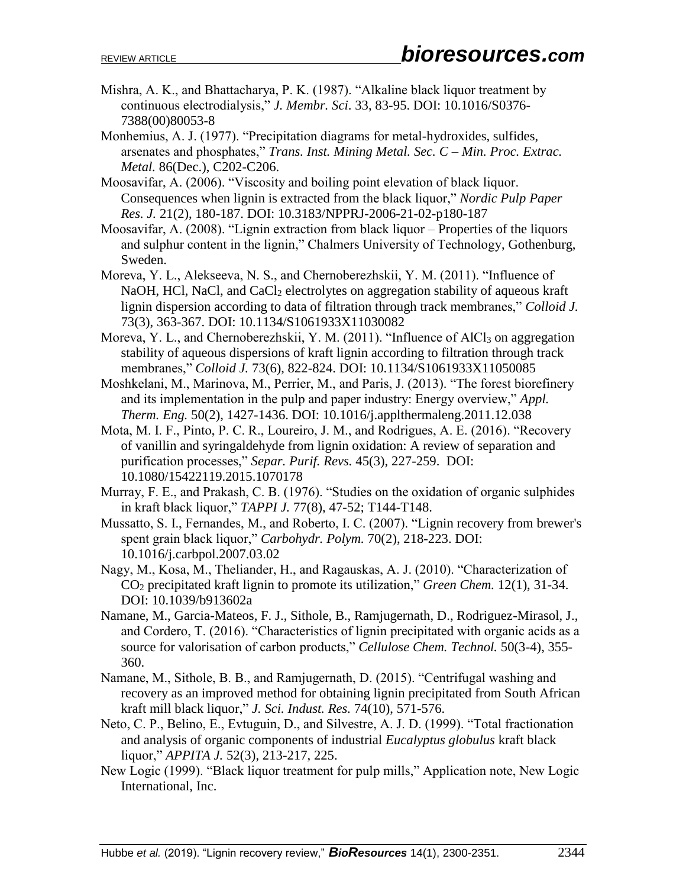- Mishra, A. K., and Bhattacharya, P. K. (1987). "Alkaline black liquor treatment by continuous electrodialysis," *J. Membr. Sci*. 33, 83-95. DOI: 10.1016/S0376- 7388(00)80053-8
- Monhemius, A. J. (1977). "Precipitation diagrams for metal-hydroxides, sulfides, arsenates and phosphates," *Trans. Inst. Mining Metal. Sec. C – Min. Proc. Extrac. Metal.* 86(Dec.), C202-C206.
- Moosavifar, A. (2006). "Viscosity and boiling point elevation of black liquor. Consequences when lignin is extracted from the black liquor," *Nordic Pulp Paper Res. J.* 21(2), 180-187. DOI: 10.3183/NPPRJ-2006-21-02-p180-187
- Moosavifar, A. (2008). "Lignin extraction from black liquor Properties of the liquors and sulphur content in the lignin," Chalmers University of Technology, Gothenburg, Sweden.
- Moreva, Y. L., Alekseeva, N. S., and Chernoberezhskii, Y. M. (2011). "Influence of NaOH, HCl, NaCl, and CaCl<sub>2</sub> electrolytes on aggregation stability of aqueous kraft lignin dispersion according to data of filtration through track membranes," *Colloid J.*  73(3), 363-367. DOI: 10.1134/S1061933X11030082
- Moreva, Y. L., and Chernoberezhskii, Y. M. (2011). "Influence of AlCl<sub>3</sub> on aggregation stability of aqueous dispersions of kraft lignin according to filtration through track membranes," *Colloid J.* 73(6), 822-824. DOI: 10.1134/S1061933X11050085
- Moshkelani, M., Marinova, M., Perrier, M., and Paris, J. (2013). "The forest biorefinery and its implementation in the pulp and paper industry: Energy overview," *Appl. Therm. Eng.* 50(2), 1427-1436. DOI: 10.1016/j.applthermaleng.2011.12.038
- Mota, M. I. F., Pinto, P. C. R., Loureiro, J. M., and Rodrigues, A. E. (2016). "Recovery of vanillin and syringaldehyde from lignin oxidation: A review of separation and purification processes," *Separ. Purif. Revs.* 45(3), 227-259. DOI: 10.1080/15422119.2015.1070178
- Murray, F. E., and Prakash, C. B. (1976). "Studies on the oxidation of organic sulphides in kraft black liquor," *TAPPI J.* 77(8), 47-52; T144-T148.
- Mussatto, S. I., Fernandes, M., and Roberto, I. C. (2007). "Lignin recovery from brewer's spent grain black liquor," *Carbohydr. Polym.* 70(2), 218-223. DOI: 10.1016/j.carbpol.2007.03.02
- Nagy, M., Kosa, M., Theliander, H., and Ragauskas, A. J. (2010). "Characterization of CO<sup>2</sup> precipitated kraft lignin to promote its utilization," *Green Chem.* 12(1), 31-34. DOI: 10.1039/b913602a
- Namane, M., Garcia-Mateos, F. J., Sithole, B., Ramjugernath, D., Rodriguez-Mirasol, J., and Cordero, T. (2016). "Characteristics of lignin precipitated with organic acids as a source for valorisation of carbon products," *Cellulose Chem. Technol.* 50(3-4), 355- 360.
- Namane, M., Sithole, B. B., and Ramjugernath, D. (2015). "Centrifugal washing and recovery as an improved method for obtaining lignin precipitated from South African kraft mill black liquor," *J. Sci. Indust. Res.* 74(10), 571-576.
- Neto, C. P., Belino, E., Evtuguin, D., and Silvestre, A. J. D. (1999). "Total fractionation and analysis of organic components of industrial *Eucalyptus globulus* kraft black liquor," *APPITA J.* 52(3), 213-217, 225.
- New Logic (1999). "Black liquor treatment for pulp mills," Application note, New Logic International, Inc.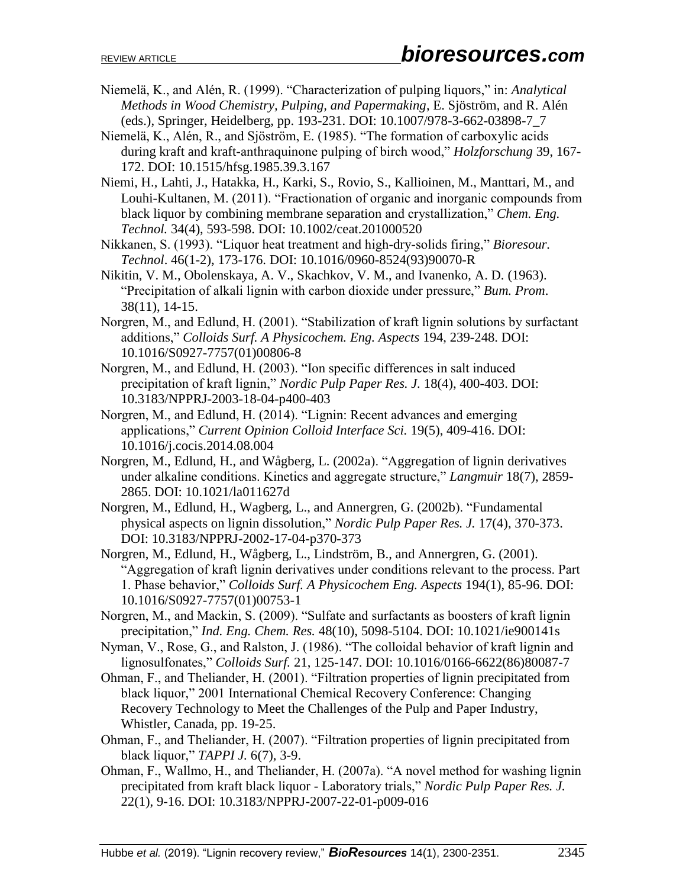- Niemelä, K., and Alén, R. (1999). "Characterization of pulping liquors," in: *Analytical Methods in Wood Chemistry, Pulping, and Papermaking*, E. Sjöström, and R. Alén (eds.), Springer, Heidelberg, pp. 193-231. DOI: 10.1007/978-3-662-03898-7\_7
- Niemelä, K., Alén, R., and Sjöström, E. (1985). "The formation of carboxylic acids during kraft and kraft-anthraquinone pulping of birch wood," *Holzforschung* 39, 167- 172. DOI: 10.1515/hfsg.1985.39.3.167
- Niemi, H., Lahti, J., Hatakka, H., Karki, S., Rovio, S., Kallioinen, M., Manttari, M., and Louhi-Kultanen, M. (2011). "Fractionation of organic and inorganic compounds from black liquor by combining membrane separation and crystallization," *Chem. Eng. Technol.* 34(4), 593-598. DOI: 10.1002/ceat.201000520
- Nikkanen, S. (1993). "Liquor heat treatment and high-dry-solids firing," *Bioresour. Technol*. 46(1-2), 173-176. DOI: 10.1016/0960-8524(93)90070-R
- Nikitin, V. M., Obolenskaya, A. V., Skachkov, V. M., and Ivanenko, A. D. (1963). "Precipitation of alkali lignin with carbon dioxide under pressure," *Bum. Prom*. 38(11), 14-15.
- Norgren, M., and Edlund, H. (2001). "Stabilization of kraft lignin solutions by surfactant additions," *Colloids Surf. A Physicochem. Eng. Aspects* 194, 239-248. DOI: 10.1016/S0927-7757(01)00806-8
- Norgren, M., and Edlund, H. (2003). "Ion specific differences in salt induced precipitation of kraft lignin," *Nordic Pulp Paper Res. J.* 18(4), 400-403. DOI: 10.3183/NPPRJ-2003-18-04-p400-403
- Norgren, M., and Edlund, H. (2014). "Lignin: Recent advances and emerging applications," *Current Opinion Colloid Interface Sci.* 19(5), 409-416. DOI: 10.1016/j.cocis.2014.08.004
- Norgren, M., Edlund, H., and Wågberg, L. (2002a). "Aggregation of lignin derivatives under alkaline conditions. Kinetics and aggregate structure," *Langmuir* 18(7), 2859- 2865. DOI: 10.1021/la011627d
- Norgren, M., Edlund, H., Wagberg, L., and Annergren, G. (2002b). "Fundamental physical aspects on lignin dissolution," *Nordic Pulp Paper Res. J.* 17(4), 370-373. DOI: 10.3183/NPPRJ-2002-17-04-p370-373
- Norgren, M., Edlund, H., Wågberg, L., Lindström, B., and Annergren, G. (2001). "Aggregation of kraft lignin derivatives under conditions relevant to the process. Part 1. Phase behavior," *Colloids Surf. A Physicochem Eng. Aspects* 194(1), 85-96. DOI: 10.1016/S0927-7757(01)00753-1
- Norgren, M., and Mackin, S. (2009). "Sulfate and surfactants as boosters of kraft lignin precipitation," *Ind. Eng. Chem. Res.* 48(10), 5098-5104. DOI: 10.1021/ie900141s
- Nyman, V., Rose, G., and Ralston, J. (1986). "The colloidal behavior of kraft lignin and lignosulfonates," *Colloids Surf.* 21, 125-147. DOI: 10.1016/0166-6622(86)80087-7
- Ohman, F., and Theliander, H. (2001). "Filtration properties of lignin precipitated from black liquor," 2001 International Chemical Recovery Conference: Changing Recovery Technology to Meet the Challenges of the Pulp and Paper Industry, Whistler, Canada, pp. 19-25.
- Ohman, F., and Theliander, H. (2007). "Filtration properties of lignin precipitated from black liquor," *TAPPI J.* 6(7), 3-9.
- Ohman, F., Wallmo, H., and Theliander, H. (2007a). "A novel method for washing lignin precipitated from kraft black liquor - Laboratory trials," *Nordic Pulp Paper Res. J.* 22(1), 9-16. DOI: 10.3183/NPPRJ-2007-22-01-p009-016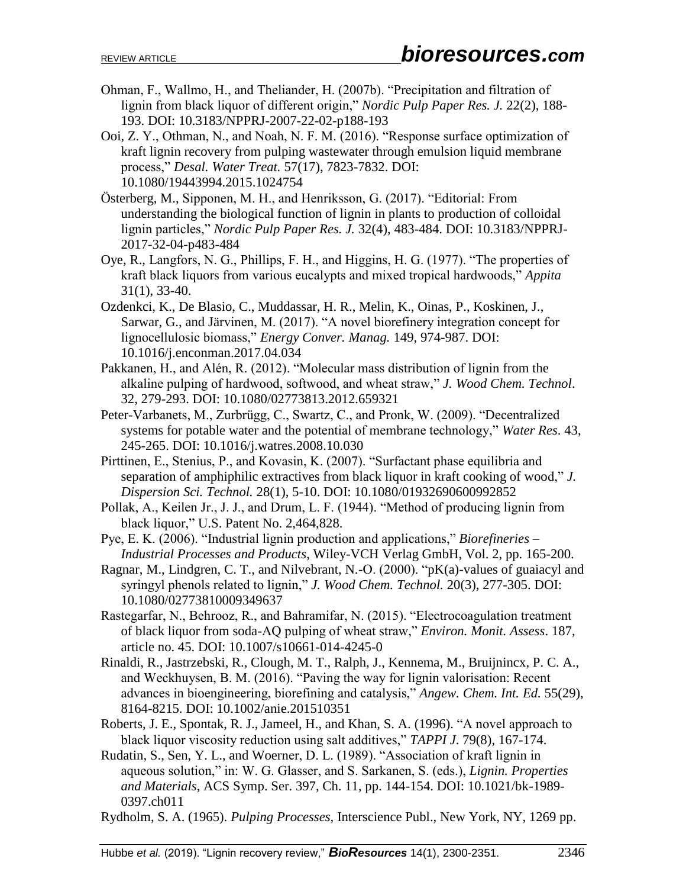- Ohman, F., Wallmo, H., and Theliander, H. (2007b). "Precipitation and filtration of lignin from black liquor of different origin," *Nordic Pulp Paper Res. J.* 22(2), 188- 193. DOI: 10.3183/NPPRJ-2007-22-02-p188-193
- Ooi, Z. Y., Othman, N., and Noah, N. F. M. (2016). "Response surface optimization of kraft lignin recovery from pulping wastewater through emulsion liquid membrane process," *Desal. Water Treat.* 57(17), 7823-7832. DOI: 10.1080/19443994.2015.1024754
- Österberg, M., Sipponen, M. H., and Henriksson, G. (2017). "Editorial: From understanding the biological function of lignin in plants to production of colloidal lignin particles," *Nordic Pulp Paper Res. J.* 32(4), 483-484. DOI: 10.3183/NPPRJ-2017-32-04-p483-484
- Oye, R., Langfors, N. G., Phillips, F. H., and Higgins, H. G. (1977). "The properties of kraft black liquors from various eucalypts and mixed tropical hardwoods," *Appita* 31(1), 33-40.
- Ozdenkci, K., De Blasio, C., Muddassar, H. R., Melin, K., Oinas, P., Koskinen, J., Sarwar, G., and Järvinen, M. (2017). "A novel biorefinery integration concept for lignocellulosic biomass," *Energy Conver. Manag.* 149, 974-987. DOI: 10.1016/j.enconman.2017.04.034
- Pakkanen, H., and Alén, R. (2012). "Molecular mass distribution of lignin from the alkaline pulping of hardwood, softwood, and wheat straw," *J. Wood Chem. Technol*. 32, 279-293. DOI: 10.1080/02773813.2012.659321
- Peter-Varbanets, M., Zurbrügg, C., Swartz, C., and Pronk, W. (2009). "Decentralized systems for potable water and the potential of membrane technology," *Water Res*. 43, 245-265. DOI: 10.1016/j.watres.2008.10.030
- Pirttinen, E., Stenius, P., and Kovasin, K. (2007). "Surfactant phase equilibria and separation of amphiphilic extractives from black liquor in kraft cooking of wood," *J. Dispersion Sci. Technol.* 28(1), 5-10. DOI: 10.1080/01932690600992852
- Pollak, A., Keilen Jr., J. J., and Drum, L. F. (1944). "Method of producing lignin from black liquor," U.S. Patent No. 2,464,828.
- Pye, E. K. (2006). "Industrial lignin production and applications," *Biorefineries Industrial Processes and Products*, Wiley-VCH Verlag GmbH, Vol. 2, pp. 165-200.
- Ragnar, M., Lindgren, C. T., and Nilvebrant, N.-O. (2000). "pK(a)-values of guaiacyl and syringyl phenols related to lignin," *J. Wood Chem. Technol.* 20(3), 277-305. DOI: 10.1080/02773810009349637
- Rastegarfar, N., Behrooz, R., and Bahramifar, N. (2015). "Electrocoagulation treatment of black liquor from soda-AQ pulping of wheat straw," *Environ. Monit. Assess*. 187, article no. 45. DOI: 10.1007/s10661-014-4245-0
- Rinaldi, R., Jastrzebski, R., Clough, M. T., Ralph, J., Kennema, M., Bruijnincx, P. C. A., and Weckhuysen, B. M. (2016). "Paving the way for lignin valorisation: Recent advances in bioengineering, biorefining and catalysis," *Angew. Chem. Int. Ed.* 55(29), 8164-8215. DOI: 10.1002/anie.201510351
- Roberts, J. E., Spontak, R. J., Jameel, H., and Khan, S. A. (1996). "A novel approach to black liquor viscosity reduction using salt additives," *TAPPI J*. 79(8), 167-174.
- Rudatin, S., Sen, Y. L., and Woerner, D. L. (1989). "Association of kraft lignin in aqueous solution," in: W. G. Glasser, and S. Sarkanen, S. (eds.), *Lignin. Properties and Materials*, ACS Symp. Ser. 397, Ch. 11, pp. 144-154. DOI: 10.1021/bk-1989- 0397.ch011
- Rydholm, S. A. (1965). *Pulping Processes*, Interscience Publ., New York, NY, 1269 pp.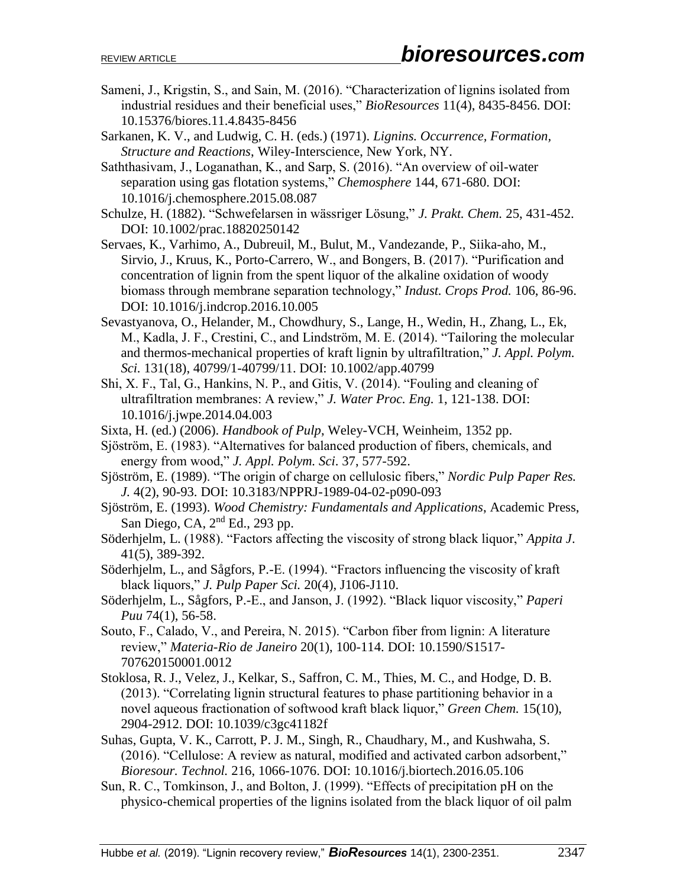- Sameni, J., Krigstin, S., and Sain, M. (2016). "Characterization of lignins isolated from industrial residues and their beneficial uses," *BioResources* 11(4), 8435-8456. DOI: 10.15376/biores.11.4.8435-8456
- Sarkanen, K. V., and Ludwig, C. H. (eds.) (1971). *Lignins. Occurrence, Formation, Structure and Reactions*, Wiley-Interscience, New York, NY.
- Saththasivam, J., Loganathan, K., and Sarp, S. (2016). "An overview of oil-water separation using gas flotation systems," *Chemosphere* 144, 671-680. DOI: 10.1016/j.chemosphere.2015.08.087
- Schulze, H. (1882). "Schwefelarsen in wässriger Lösung," *J. Prakt. Chem.* 25, 431-452. DOI: 10.1002/prac.18820250142
- Servaes, K., Varhimo, A., Dubreuil, M., Bulut, M., Vandezande, P., Siika-aho, M., Sirvio, J., Kruus, K., Porto-Carrero, W., and Bongers, B. (2017). "Purification and concentration of lignin from the spent liquor of the alkaline oxidation of woody biomass through membrane separation technology," *Indust. Crops Prod.* 106, 86-96. DOI: 10.1016/j.indcrop.2016.10.005
- Sevastyanova, O., Helander, M., Chowdhury, S., Lange, H., Wedin, H., Zhang, L., Ek, M., Kadla, J. F., Crestini, C., and Lindström, M. E. (2014). "Tailoring the molecular and thermos-mechanical properties of kraft lignin by ultrafiltration," *J. Appl. Polym. Sci.* 131(18), 40799/1-40799/11. DOI: 10.1002/app.40799
- Shi, X. F., Tal, G., Hankins, N. P., and Gitis, V. (2014). "Fouling and cleaning of ultrafiltration membranes: A review," *J. Water Proc. Eng.* 1, 121-138. DOI: 10.1016/j.jwpe.2014.04.003
- Sixta, H. (ed.) (2006). *Handbook of Pulp*, Weley-VCH, Weinheim, 1352 pp.
- Sjöström, E. (1983). "Alternatives for balanced production of fibers, chemicals, and energy from wood," *J. Appl. Polym. Sci*. 37, 577-592.
- Sjöström, E. (1989). "The origin of charge on cellulosic fibers," *Nordic Pulp Paper Res. J.* 4(2), 90-93. DOI: 10.3183/NPPRJ-1989-04-02-p090-093
- Sjöström, E. (1993). *Wood Chemistry: Fundamentals and Applications*, Academic Press, San Diego, CA,  $2<sup>nd</sup>$  Ed., 293 pp.
- Söderhjelm, L. (1988). "Factors affecting the viscosity of strong black liquor," *Appita J*. 41(5), 389-392.
- Söderhjelm, L., and Sågfors, P.-E. (1994). "Fractors influencing the viscosity of kraft black liquors," *J. Pulp Paper Sci.* 20(4), J106-J110.
- Söderhjelm, L., Sågfors, P.-E., and Janson, J. (1992). "Black liquor viscosity," *Paperi Puu* 74(1), 56-58.
- Souto, F., Calado, V., and Pereira, N. 2015). "Carbon fiber from lignin: A literature review," *Materia-Rio de Janeiro* 20(1), 100-114. DOI: 10.1590/S1517- 707620150001.0012
- Stoklosa, R. J., Velez, J., Kelkar, S., Saffron, C. M., Thies, M. C., and Hodge, D. B. (2013). "Correlating lignin structural features to phase partitioning behavior in a novel aqueous fractionation of softwood kraft black liquor," *Green Chem.* 15(10), 2904-2912. DOI: 10.1039/c3gc41182f
- Suhas, Gupta, V. K., Carrott, P. J. M., Singh, R., Chaudhary, M., and Kushwaha, S. (2016). "Cellulose: A review as natural, modified and activated carbon adsorbent," *Bioresour. Technol.* 216, 1066-1076. DOI: 10.1016/j.biortech.2016.05.106
- Sun, R. C., Tomkinson, J., and Bolton, J. (1999). "Effects of precipitation pH on the physico-chemical properties of the lignins isolated from the black liquor of oil palm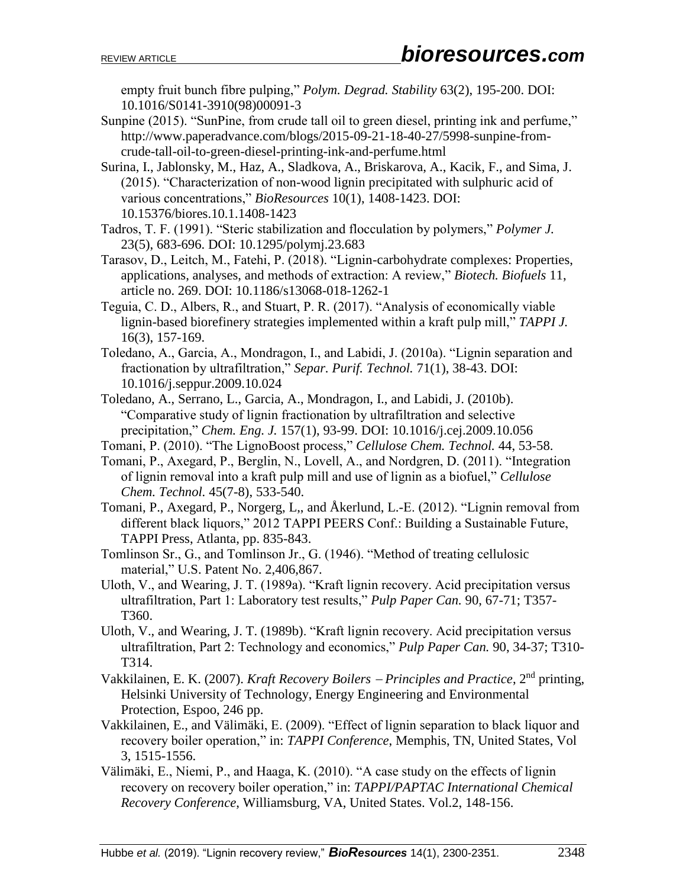empty fruit bunch fibre pulping," *Polym. Degrad. Stability* 63(2), 195-200. DOI: 10.1016/S0141-3910(98)00091-3

- Sunpine (2015). "SunPine, from crude tall oil to green diesel, printing ink and perfume," http://www.paperadvance.com/blogs/2015-09-21-18-40-27/5998-sunpine-fromcrude-tall-oil-to-green-diesel-printing-ink-and-perfume.html
- Surina, I., Jablonsky, M., Haz, A., Sladkova, A., Briskarova, A., Kacik, F., and Sima, J. (2015). "Characterization of non-wood lignin precipitated with sulphuric acid of various concentrations," *BioResources* 10(1), 1408-1423. DOI: 10.15376/biores.10.1.1408-1423
- Tadros, T. F. (1991). "Steric stabilization and flocculation by polymers," *Polymer J.* 23(5), 683-696. DOI: 10.1295/polymj.23.683
- Tarasov, D., Leitch, M., Fatehi, P. (2018). "Lignin-carbohydrate complexes: Properties, applications, analyses, and methods of extraction: A review," *Biotech. Biofuels* 11, article no. 269. DOI: 10.1186/s13068-018-1262-1
- Teguia, C. D., Albers, R., and Stuart, P. R. (2017). "Analysis of economically viable lignin-based biorefinery strategies implemented within a kraft pulp mill," *TAPPI J.*  16(3), 157-169.
- Toledano, A., Garcia, A., Mondragon, I., and Labidi, J. (2010a). "Lignin separation and fractionation by ultrafiltration," *Separ. Purif. Technol.* 71(1), 38-43. DOI: 10.1016/j.seppur.2009.10.024
- Toledano, A., Serrano, L., Garcia, A., Mondragon, I., and Labidi, J. (2010b). "Comparative study of lignin fractionation by ultrafiltration and selective precipitation," *Chem. Eng. J.* 157(1), 93-99. DOI: 10.1016/j.cej.2009.10.056
- Tomani, P. (2010). "The LignoBoost process," *Cellulose Chem. Technol.* 44, 53-58.
- Tomani, P., Axegard, P., Berglin, N., Lovell, A., and Nordgren, D. (2011). "Integration of lignin removal into a kraft pulp mill and use of lignin as a biofuel," *Cellulose Chem. Technol.* 45(7-8), 533-540.
- Tomani, P., Axegard, P., Norgerg, L,, and Åkerlund, L.-E. (2012). "Lignin removal from different black liquors," 2012 TAPPI PEERS Conf.: Building a Sustainable Future, TAPPI Press, Atlanta, pp. 835-843.
- Tomlinson Sr., G., and Tomlinson Jr., G. (1946). "Method of treating cellulosic material," U.S. Patent No. 2,406,867.
- Uloth, V., and Wearing, J. T. (1989a). "Kraft lignin recovery. Acid precipitation versus ultrafiltration, Part 1: Laboratory test results," *Pulp Paper Can.* 90, 67-71; T357- T360.
- Uloth, V., and Wearing, J. T. (1989b). "Kraft lignin recovery. Acid precipitation versus ultrafiltration, Part 2: Technology and economics," *Pulp Paper Can.* 90, 34-37; T310- T314.
- Vakkilainen, E. K. (2007). *Kraft Recovery Boilers Principles and Practice*, 2nd printing, Helsinki University of Technology, Energy Engineering and Environmental Protection, Espoo, 246 pp.
- Vakkilainen, E., and Välimäki, E. (2009). "Effect of lignin separation to black liquor and recovery boiler operation," in: *TAPPI Conference*, Memphis, TN, United States, Vol 3, 1515-1556.
- Välimäki, E., Niemi, P., and Haaga, K. (2010). "A case study on the effects of lignin recovery on recovery boiler operation," in: *TAPPI/PAPTAC International Chemical Recovery Conference*, Williamsburg, VA, United States. Vol.2, 148-156.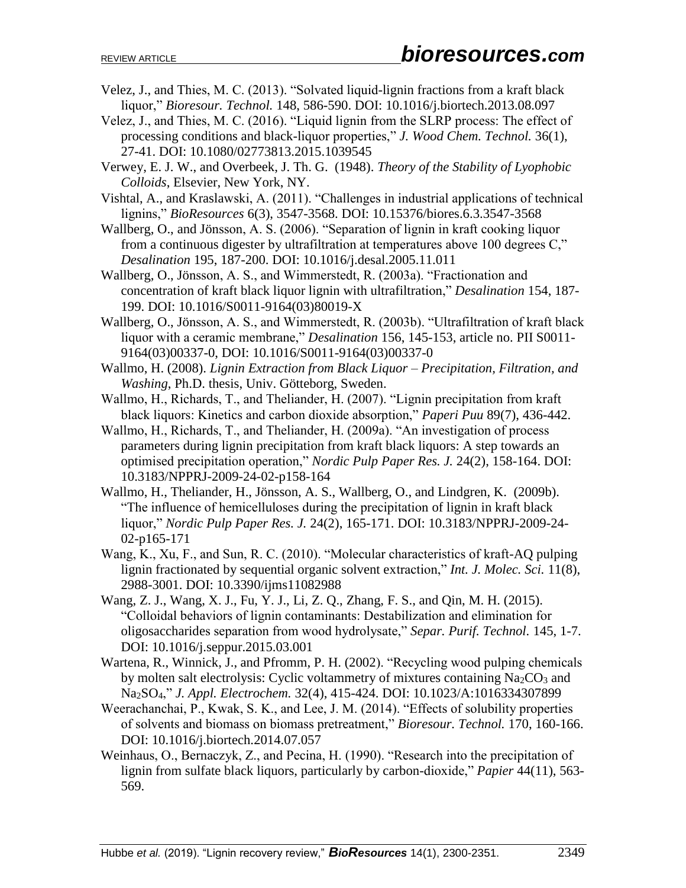- Velez, J., and Thies, M. C. (2013). "Solvated liquid-lignin fractions from a kraft black liquor," *Bioresour. Technol.* 148, 586-590. DOI: 10.1016/j.biortech.2013.08.097
- Velez, J., and Thies, M. C. (2016). "Liquid lignin from the SLRP process: The effect of processing conditions and black-liquor properties," *J. Wood Chem. Technol.* 36(1), 27-41. DOI: 10.1080/02773813.2015.1039545
- Verwey, E. J. W., and Overbeek, J. Th. G. (1948). *Theory of the Stability of Lyophobic Colloids*, Elsevier, New York, NY.
- Vishtal, A., and Kraslawski, A. (2011). "Challenges in industrial applications of technical lignins," *BioResources* 6(3), 3547-3568. DOI: 10.15376/biores.6.3.3547-3568
- Wallberg, O., and Jönsson, A. S. (2006). "Separation of lignin in kraft cooking liquor from a continuous digester by ultrafiltration at temperatures above 100 degrees C," *Desalination* 195, 187-200. DOI: 10.1016/j.desal.2005.11.011
- Wallberg, O., Jönsson, A. S., and Wimmerstedt, R. (2003a). "Fractionation and concentration of kraft black liquor lignin with ultrafiltration," *Desalination* 154, 187- 199. DOI: 10.1016/S0011-9164(03)80019-X
- Wallberg, O., Jönsson, A. S., and Wimmerstedt, R. (2003b). "Ultrafiltration of kraft black liquor with a ceramic membrane," *Desalination* 156, 145-153, article no. PII S0011- 9164(03)00337-0, DOI: 10.1016/S0011-9164(03)00337-0
- Wallmo, H. (2008). *Lignin Extraction from Black Liquor – Precipitation, Filtration, and Washing*, Ph.D. thesis, Univ. Götteborg, Sweden.
- Wallmo, H., Richards, T., and Theliander, H. (2007). "Lignin precipitation from kraft black liquors: Kinetics and carbon dioxide absorption," *Paperi Puu* 89(7), 436-442.
- Wallmo, H., Richards, T., and Theliander, H. (2009a). "An investigation of process parameters during lignin precipitation from kraft black liquors: A step towards an optimised precipitation operation," *Nordic Pulp Paper Res. J.* 24(2), 158-164. DOI: 10.3183/NPPRJ-2009-24-02-p158-164
- Wallmo, H., Theliander, H., Jönsson, A. S., Wallberg, O., and Lindgren, K. (2009b). "The influence of hemicelluloses during the precipitation of lignin in kraft black liquor," *Nordic Pulp Paper Res. J.* 24(2), 165-171. DOI: 10.3183/NPPRJ-2009-24- 02-p165-171
- Wang, K., Xu, F., and Sun, R. C. (2010). "Molecular characteristics of kraft-AQ pulping lignin fractionated by sequential organic solvent extraction," *Int. J. Molec. Sci.* 11(8), 2988-3001. DOI: 10.3390/ijms11082988
- Wang, Z. J., Wang, X. J., Fu, Y. J., Li, Z. Q., Zhang, F. S., and Qin, M. H. (2015). "Colloidal behaviors of lignin contaminants: Destabilization and elimination for oligosaccharides separation from wood hydrolysate," *Separ. Purif. Technol.* 145, 1-7. DOI: 10.1016/j.seppur.2015.03.001
- Wartena, R., Winnick, J., and Pfromm, P. H. (2002). "Recycling wood pulping chemicals by molten salt electrolysis: Cyclic voltammetry of mixtures containing Na<sub>2</sub>CO<sub>3</sub> and Na2SO4," *J. Appl. Electrochem.* 32(4), 415-424. DOI: 10.1023/A:1016334307899
- Weerachanchai, P., Kwak, S. K., and Lee, J. M. (2014). "Effects of solubility properties of solvents and biomass on biomass pretreatment," *Bioresour. Technol.* 170, 160-166. DOI: 10.1016/j.biortech.2014.07.057
- Weinhaus, O., Bernaczyk, Z., and Pecina, H. (1990). "Research into the precipitation of lignin from sulfate black liquors, particularly by carbon-dioxide," *Papier* 44(11), 563- 569.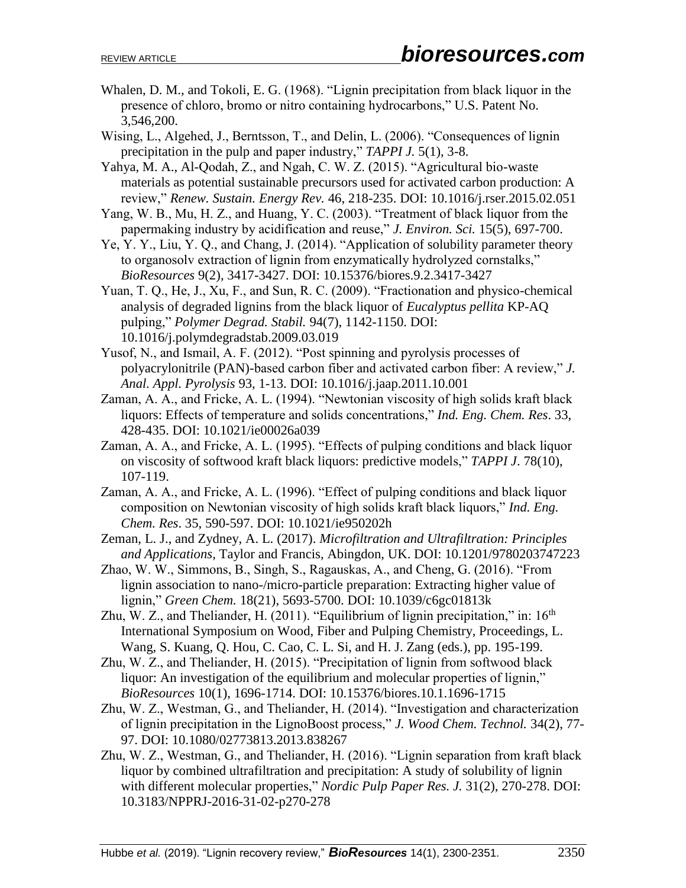- Whalen, D. M., and Tokoli, E. G. (1968). "Lignin precipitation from black liquor in the presence of chloro, bromo or nitro containing hydrocarbons," U.S. Patent No. 3,546,200.
- Wising, L., Algehed, J., Berntsson, T., and Delin, L. (2006). "Consequences of lignin precipitation in the pulp and paper industry," *TAPPI J.* 5(1), 3-8.
- Yahya, M. A., Al-Qodah, Z., and Ngah, C. W. Z. (2015). "Agricultural bio-waste materials as potential sustainable precursors used for activated carbon production: A review," *Renew. Sustain. Energy Rev.* 46, 218-235. DOI: 10.1016/j.rser.2015.02.051
- Yang, W. B., Mu, H. Z., and Huang, Y. C. (2003). "Treatment of black liquor from the papermaking industry by acidification and reuse," *J. Environ. Sci.* 15(5), 697-700.
- Ye, Y. Y., Liu, Y. Q., and Chang, J. (2014). "Application of solubility parameter theory to organosolv extraction of lignin from enzymatically hydrolyzed cornstalks," *BioResources* 9(2), 3417-3427. DOI: 10.15376/biores.9.2.3417-3427
- Yuan, T. Q., He, J., Xu, F., and Sun, R. C. (2009). "Fractionation and physico-chemical analysis of degraded lignins from the black liquor of *Eucalyptus pellita* KP-AQ pulping," *Polymer Degrad. Stabil.* 94(7), 1142-1150. DOI: 10.1016/j.polymdegradstab.2009.03.019
- Yusof, N., and Ismail, A. F. (2012). "Post spinning and pyrolysis processes of polyacrylonitrile (PAN)-based carbon fiber and activated carbon fiber: A review," *J. Anal. Appl. Pyrolysis* 93, 1-13. DOI: 10.1016/j.jaap.2011.10.001
- Zaman, A. A., and Fricke, A. L. (1994). "Newtonian viscosity of high solids kraft black liquors: Effects of temperature and solids concentrations," *Ind. Eng. Chem. Res*. 33, 428-435. DOI: 10.1021/ie00026a039
- Zaman, A. A., and Fricke, A. L. (1995). "Effects of pulping conditions and black liquor on viscosity of softwood kraft black liquors: predictive models," *TAPPI J*. 78(10), 107-119.
- Zaman, A. A., and Fricke, A. L. (1996). "Effect of pulping conditions and black liquor composition on Newtonian viscosity of high solids kraft black liquors," *Ind. Eng. Chem. Res*. 35, 590-597. DOI: 10.1021/ie950202h
- Zeman, L. J., and Zydney, A. L. (2017). *Microfiltration and Ultrafiltration: Principles and Applications*, Taylor and Francis, Abingdon, UK. DOI: 10.1201/9780203747223
- Zhao, W. W., Simmons, B., Singh, S., Ragauskas, A., and Cheng, G. (2016). "From lignin association to nano-/micro-particle preparation: Extracting higher value of lignin," *Green Chem.* 18(21), 5693-5700. DOI: 10.1039/c6gc01813k
- Zhu, W. Z., and Theliander, H.  $(2011)$ . "Equilibrium of lignin precipitation," in:  $16<sup>th</sup>$ International Symposium on Wood, Fiber and Pulping Chemistry, Proceedings, L. Wang, S. Kuang, Q. Hou, C. Cao, C. L. Si, and H. J. Zang (eds.), pp. 195-199.
- Zhu, W. Z., and Theliander, H. (2015). "Precipitation of lignin from softwood black liquor: An investigation of the equilibrium and molecular properties of lignin," *BioResources* 10(1), 1696-1714. DOI: 10.15376/biores.10.1.1696-1715
- Zhu, W. Z., Westman, G., and Theliander, H. (2014). "Investigation and characterization of lignin precipitation in the LignoBoost process," *J. Wood Chem. Technol.* 34(2), 77- 97. DOI: 10.1080/02773813.2013.838267
- Zhu, W. Z., Westman, G., and Theliander, H. (2016). "Lignin separation from kraft black liquor by combined ultrafiltration and precipitation: A study of solubility of lignin with different molecular properties," *Nordic Pulp Paper Res. J.* 31(2), 270-278. DOI: 10.3183/NPPRJ-2016-31-02-p270-278